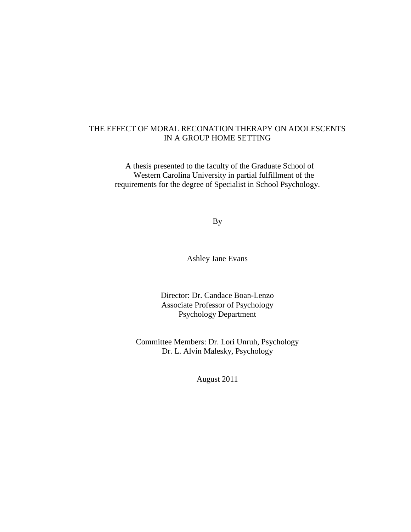# THE EFFECT OF MORAL RECONATION THERAPY ON ADOLESCENTS IN A GROUP HOME SETTING

A thesis presented to the faculty of the Graduate School of Western Carolina University in partial fulfillment of the requirements for the degree of Specialist in School Psychology.

By

Ashley Jane Evans

Director: Dr. Candace Boan-Lenzo Associate Professor of Psychology Psychology Department

Committee Members: Dr. Lori Unruh, Psychology Dr. L. Alvin Malesky, Psychology

August 2011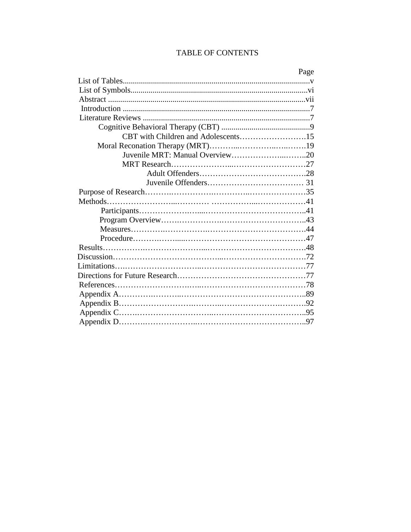# TABLE OF CONTENTS

|                                     | Page |
|-------------------------------------|------|
|                                     |      |
|                                     |      |
|                                     |      |
|                                     |      |
|                                     |      |
|                                     |      |
| CBT with Children and Adolescents15 |      |
|                                     |      |
| Juvenile MRT: Manual Overview20     |      |
|                                     |      |
|                                     |      |
|                                     |      |
|                                     |      |
|                                     |      |
|                                     |      |
|                                     |      |
|                                     |      |
|                                     |      |
|                                     |      |
|                                     |      |
|                                     |      |
|                                     |      |
|                                     |      |
|                                     |      |
|                                     |      |
|                                     |      |
|                                     |      |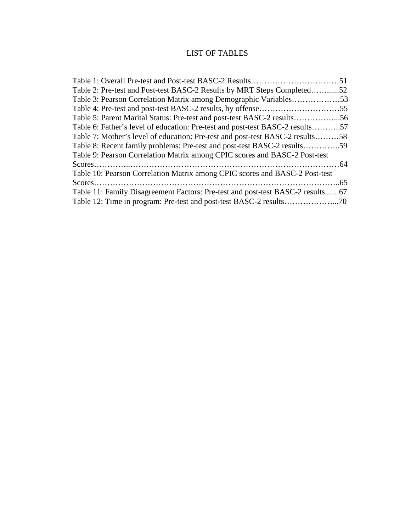# LIST OF TABLES

| Table 2: Pre-test and Post-test BASC-2 Results by MRT Steps Completed52       |
|-------------------------------------------------------------------------------|
| Table 3: Pearson Correlation Matrix among Demographic Variables53             |
|                                                                               |
| Table 5: Parent Marital Status: Pre-test and post-test BASC-2 results56       |
| Table 6: Father's level of education: Pre-test and post-test BASC-2 results57 |
| Table 7: Mother's level of education: Pre-test and post-test BASC-2 results58 |
| Table 8: Recent family problems: Pre-test and post-test BASC-2 results59      |
|                                                                               |
|                                                                               |
|                                                                               |
|                                                                               |
|                                                                               |
|                                                                               |
|                                                                               |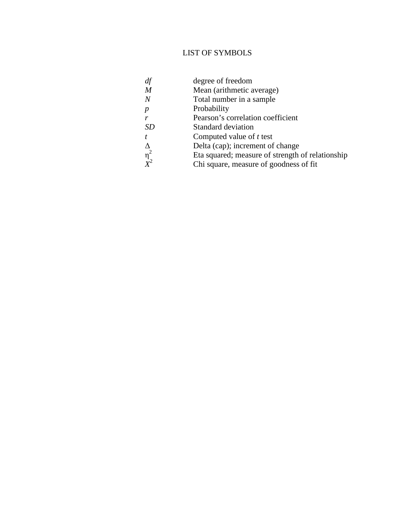# LIST OF SYMBOLS

- *df* degree of freedom *M* Mean (arithmetic a
- Mean (arithmetic average)
- *N* Total number in a sample
- *p* Probability

η

*X* 2

- *r* **Pearson's correlation coefficient**
- *SD* Standard deviation
- *t* Computed value of *t* test
- ∆ Delta (cap); increment of change
	- <sup>2</sup> Eta squared; measure of strength of relationship
	- Chi square, measure of goodness of fit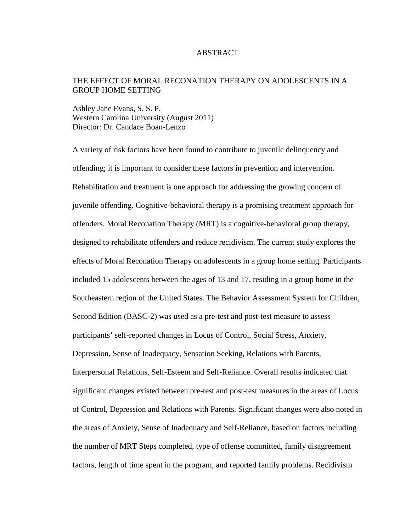### ABSTRACT

# THE EFFECT OF MORAL RECONATION THERAPY ON ADOLESCENTS IN A GROUP HOME SETTING

Ashley Jane Evans, S. S. P. Western Carolina University (August 2011) Director: Dr. Candace Boan-Lenzo

A variety of risk factors have been found to contribute to juvenile delinquency and offending; it is important to consider these factors in prevention and intervention. Rehabilitation and treatment is one approach for addressing the growing concern of juvenile offending. Cognitive-behavioral therapy is a promising treatment approach for offenders. Moral Reconation Therapy (MRT) is a cognitive-behavioral group therapy, designed to rehabilitate offenders and reduce recidivism. The current study explores the effects of Moral Reconation Therapy on adolescents in a group home setting. Participants included 15 adolescents between the ages of 13 and 17, residing in a group home in the Southeastern region of the United States. The Behavior Assessment System for Children, Second Edition (BASC-2) was used as a pre-test and post-test measure to assess participants' self-reported changes in Locus of Control, Social Stress, Anxiety, Depression, Sense of Inadequacy, Sensation Seeking, Relations with Parents, Interpersonal Relations, Self-Esteem and Self-Reliance. Overall results indicated that significant changes existed between pre-test and post-test measures in the areas of Locus of Control, Depression and Relations with Parents. Significant changes were also noted in the areas of Anxiety, Sense of Inadequacy and Self-Reliance, based on factors including the number of MRT Steps completed, type of offense committed, family disagreement factors, length of time spent in the program, and reported family problems. Recidivism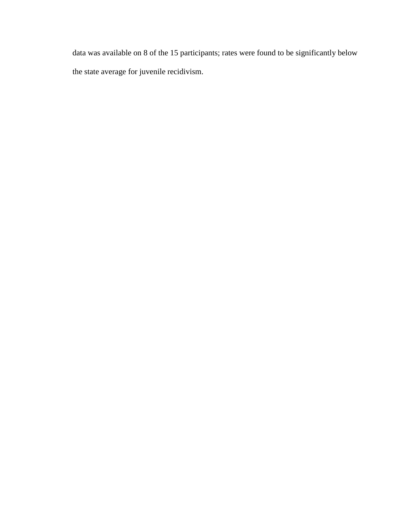data was available on 8 of the 15 participants; rates were found to be significantly below the state average for juvenile recidivism.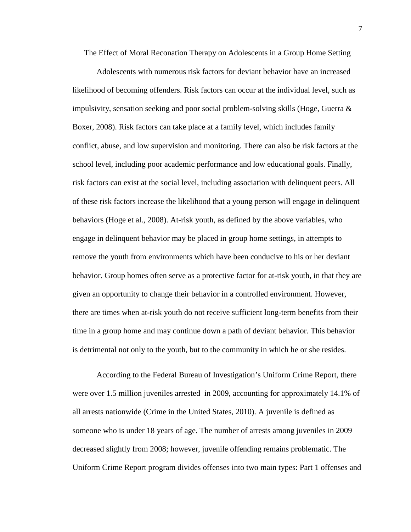The Effect of Moral Reconation Therapy on Adolescents in a Group Home Setting

Adolescents with numerous risk factors for deviant behavior have an increased likelihood of becoming offenders. Risk factors can occur at the individual level, such as impulsivity, sensation seeking and poor social problem-solving skills (Hoge, Guerra  $\&$ Boxer, 2008). Risk factors can take place at a family level, which includes family conflict, abuse, and low supervision and monitoring. There can also be risk factors at the school level, including poor academic performance and low educational goals. Finally, risk factors can exist at the social level, including association with delinquent peers. All of these risk factors increase the likelihood that a young person will engage in delinquent behaviors (Hoge et al., 2008). At-risk youth, as defined by the above variables, who engage in delinquent behavior may be placed in group home settings, in attempts to remove the youth from environments which have been conducive to his or her deviant behavior. Group homes often serve as a protective factor for at-risk youth, in that they are given an opportunity to change their behavior in a controlled environment. However, there are times when at-risk youth do not receive sufficient long-term benefits from their time in a group home and may continue down a path of deviant behavior. This behavior is detrimental not only to the youth, but to the community in which he or she resides.

According to the Federal Bureau of Investigation's Uniform Crime Report, there were over 1.5 million juveniles arrested in 2009, accounting for approximately 14.1% of all arrests nationwide (Crime in the United States, 2010). A juvenile is defined as someone who is under 18 years of age. The number of arrests among juveniles in 2009 decreased slightly from 2008; however, juvenile offending remains problematic. The Uniform Crime Report program divides offenses into two main types: Part 1 offenses and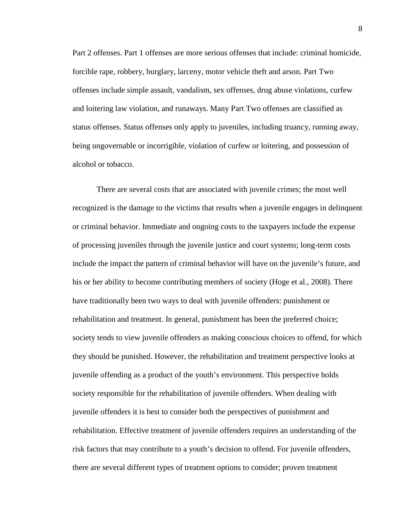Part 2 offenses. Part 1 offenses are more serious offenses that include: criminal homicide, forcible rape, robbery, burglary, larceny, motor vehicle theft and arson. Part Two offenses include simple assault, vandalism, sex offenses, drug abuse violations, curfew and loitering law violation, and runaways. Many Part Two offenses are classified as status offenses. Status offenses only apply to juveniles, including truancy, running away, being ungovernable or incorrigible, violation of curfew or loitering, and possession of alcohol or tobacco.

There are several costs that are associated with juvenile crimes; the most well recognized is the damage to the victims that results when a juvenile engages in delinquent or criminal behavior. Immediate and ongoing costs to the taxpayers include the expense of processing juveniles through the juvenile justice and court systems; long-term costs include the impact the pattern of criminal behavior will have on the juvenile's future, and his or her ability to become contributing members of society (Hoge et al., 2008). There have traditionally been two ways to deal with juvenile offenders: punishment or rehabilitation and treatment. In general, punishment has been the preferred choice; society tends to view juvenile offenders as making conscious choices to offend, for which they should be punished. However, the rehabilitation and treatment perspective looks at juvenile offending as a product of the youth's environment. This perspective holds society responsible for the rehabilitation of juvenile offenders. When dealing with juvenile offenders it is best to consider both the perspectives of punishment and rehabilitation. Effective treatment of juvenile offenders requires an understanding of the risk factors that may contribute to a youth's decision to offend. For juvenile offenders, there are several different types of treatment options to consider; proven treatment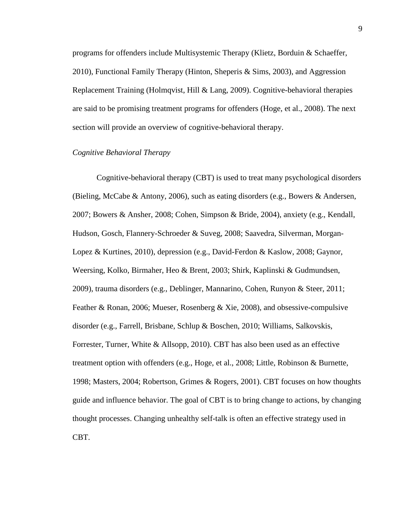programs for offenders include Multisystemic Therapy (Klietz, Borduin & Schaeffer, 2010), Functional Family Therapy (Hinton, Sheperis & Sims, 2003), and Aggression Replacement Training (Holmqvist, Hill & Lang, 2009). Cognitive-behavioral therapies are said to be promising treatment programs for offenders (Hoge, et al., 2008). The next section will provide an overview of cognitive-behavioral therapy.

## *Cognitive Behavioral Therapy*

Cognitive-behavioral therapy (CBT) is used to treat many psychological disorders (Bieling, McCabe & Antony, 2006), such as eating disorders (e.g., Bowers & Andersen, 2007; Bowers & Ansher, 2008; Cohen, Simpson & Bride, 2004), anxiety (e.g., Kendall, Hudson, Gosch, Flannery-Schroeder & Suveg, 2008; Saavedra, Silverman, Morgan-Lopez & Kurtines, 2010), depression (e.g., David-Ferdon & Kaslow, 2008; Gaynor, Weersing, Kolko, Birmaher, Heo & Brent, 2003; Shirk, Kaplinski & Gudmundsen, 2009), trauma disorders (e.g., Deblinger, Mannarino, Cohen, Runyon & Steer, 2011; Feather & Ronan, 2006; Mueser, Rosenberg & Xie, 2008), and obsessive-compulsive disorder (e.g., Farrell, Brisbane, Schlup & Boschen, 2010; Williams, Salkovskis, Forrester, Turner, White & Allsopp, 2010). CBT has also been used as an effective treatment option with offenders (e.g., Hoge, et al., 2008; Little, Robinson & Burnette, 1998; Masters, 2004; Robertson, Grimes & Rogers, 2001). CBT focuses on how thoughts guide and influence behavior. The goal of CBT is to bring change to actions, by changing thought processes. Changing unhealthy self-talk is often an effective strategy used in CBT.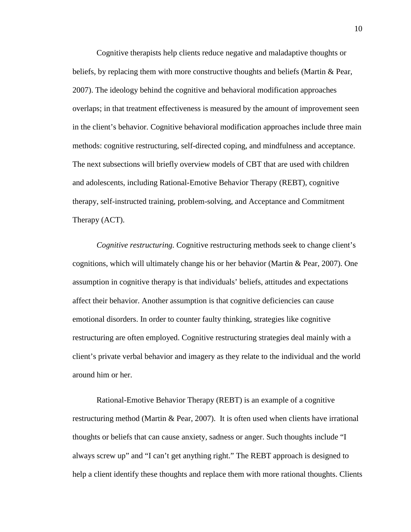Cognitive therapists help clients reduce negative and maladaptive thoughts or beliefs, by replacing them with more constructive thoughts and beliefs (Martin & Pear, 2007). The ideology behind the cognitive and behavioral modification approaches overlaps; in that treatment effectiveness is measured by the amount of improvement seen in the client's behavior. Cognitive behavioral modification approaches include three main methods: cognitive restructuring, self-directed coping, and mindfulness and acceptance. The next subsections will briefly overview models of CBT that are used with children and adolescents, including Rational-Emotive Behavior Therapy (REBT), cognitive therapy, self-instructed training, problem-solving, and Acceptance and Commitment Therapy (ACT).

*Cognitive restructuring.* Cognitive restructuring methods seek to change client's cognitions, which will ultimately change his or her behavior (Martin & Pear, 2007). One assumption in cognitive therapy is that individuals' beliefs, attitudes and expectations affect their behavior. Another assumption is that cognitive deficiencies can cause emotional disorders. In order to counter faulty thinking, strategies like cognitive restructuring are often employed. Cognitive restructuring strategies deal mainly with a client's private verbal behavior and imagery as they relate to the individual and the world around him or her.

Rational-Emotive Behavior Therapy (REBT) is an example of a cognitive restructuring method (Martin & Pear, 2007). It is often used when clients have irrational thoughts or beliefs that can cause anxiety, sadness or anger. Such thoughts include "I always screw up" and "I can't get anything right." The REBT approach is designed to help a client identify these thoughts and replace them with more rational thoughts. Clients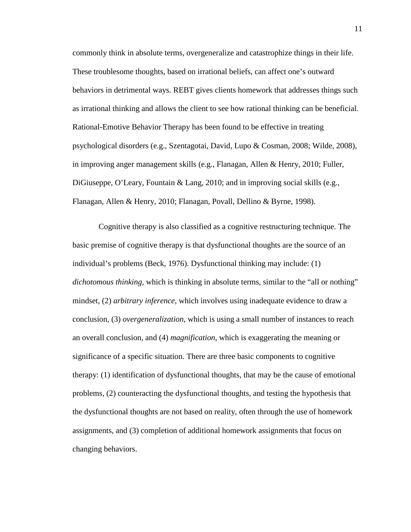commonly think in absolute terms, overgeneralize and catastrophize things in their life. These troublesome thoughts, based on irrational beliefs, can affect one's outward behaviors in detrimental ways. REBT gives clients homework that addresses things such as irrational thinking and allows the client to see how rational thinking can be beneficial. Rational-Emotive Behavior Therapy has been found to be effective in treating psychological disorders (e.g., Szentagotai, David, Lupo & Cosman, 2008; Wilde, 2008), in improving anger management skills (e.g., Flanagan, Allen & Henry, 2010; Fuller, DiGiuseppe, O'Leary, Fountain & Lang, 2010; and in improving social skills (e.g., Flanagan, Allen & Henry, 2010; Flanagan, Povall, Dellino & Byrne, 1998).

 Cognitive therapy is also classified as a cognitive restructuring technique. The basic premise of cognitive therapy is that dysfunctional thoughts are the source of an individual's problems (Beck, 1976). Dysfunctional thinking may include: (1) *dichotomous thinking,* which is thinking in absolute terms, similar to the "all or nothing" mindset, (2) *arbitrary inference*, which involves using inadequate evidence to draw a conclusion, (3) *overgeneralization*, which is using a small number of instances to reach an overall conclusion, and (4) *magnification*, which is exaggerating the meaning or significance of a specific situation. There are three basic components to cognitive therapy: (1) identification of dysfunctional thoughts, that may be the cause of emotional problems, (2) counteracting the dysfunctional thoughts, and testing the hypothesis that the dysfunctional thoughts are not based on reality, often through the use of homework assignments, and (3) completion of additional homework assignments that focus on changing behaviors.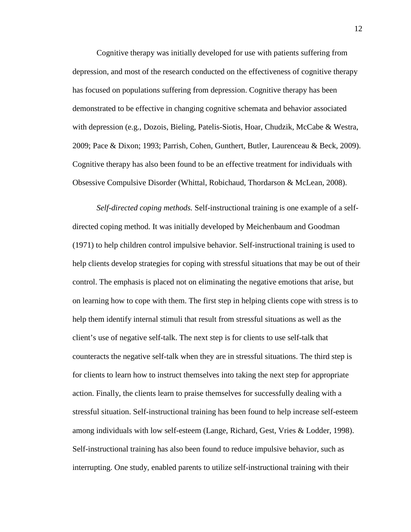Cognitive therapy was initially developed for use with patients suffering from depression, and most of the research conducted on the effectiveness of cognitive therapy has focused on populations suffering from depression. Cognitive therapy has been demonstrated to be effective in changing cognitive schemata and behavior associated with depression (e.g., Dozois, Bieling, Patelis-Siotis, Hoar, Chudzik, McCabe & Westra, 2009; Pace & Dixon; 1993; Parrish, Cohen, Gunthert, Butler, Laurenceau & Beck, 2009). Cognitive therapy has also been found to be an effective treatment for individuals with Obsessive Compulsive Disorder (Whittal, Robichaud, Thordarson & McLean, 2008).

*Self-directed coping methods.* Self-instructional training is one example of a selfdirected coping method. It was initially developed by Meichenbaum and Goodman (1971) to help children control impulsive behavior. Self-instructional training is used to help clients develop strategies for coping with stressful situations that may be out of their control. The emphasis is placed not on eliminating the negative emotions that arise, but on learning how to cope with them. The first step in helping clients cope with stress is to help them identify internal stimuli that result from stressful situations as well as the client's use of negative self-talk. The next step is for clients to use self-talk that counteracts the negative self-talk when they are in stressful situations. The third step is for clients to learn how to instruct themselves into taking the next step for appropriate action. Finally, the clients learn to praise themselves for successfully dealing with a stressful situation. Self-instructional training has been found to help increase self-esteem among individuals with low self-esteem (Lange, Richard, Gest, Vries & Lodder, 1998). Self-instructional training has also been found to reduce impulsive behavior, such as interrupting. One study, enabled parents to utilize self-instructional training with their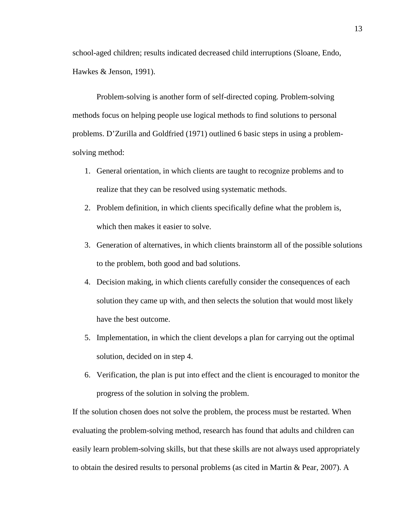school-aged children; results indicated decreased child interruptions (Sloane, Endo, Hawkes & Jenson, 1991).

 Problem-solving is another form of self-directed coping. Problem-solving methods focus on helping people use logical methods to find solutions to personal problems. D'Zurilla and Goldfried (1971) outlined 6 basic steps in using a problemsolving method:

- 1. General orientation, in which clients are taught to recognize problems and to realize that they can be resolved using systematic methods.
- 2. Problem definition, in which clients specifically define what the problem is, which then makes it easier to solve.
- 3. Generation of alternatives, in which clients brainstorm all of the possible solutions to the problem, both good and bad solutions.
- 4. Decision making, in which clients carefully consider the consequences of each solution they came up with, and then selects the solution that would most likely have the best outcome.
- 5. Implementation, in which the client develops a plan for carrying out the optimal solution, decided on in step 4.
- 6. Verification, the plan is put into effect and the client is encouraged to monitor the progress of the solution in solving the problem.

If the solution chosen does not solve the problem, the process must be restarted. When evaluating the problem-solving method, research has found that adults and children can easily learn problem-solving skills, but that these skills are not always used appropriately to obtain the desired results to personal problems (as cited in Martin & Pear, 2007). A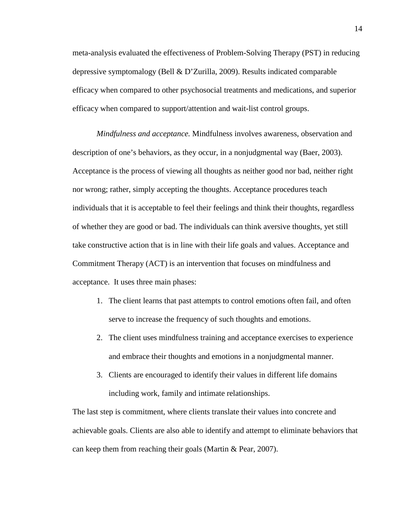meta-analysis evaluated the effectiveness of Problem-Solving Therapy (PST) in reducing depressive symptomalogy (Bell & D'Zurilla, 2009). Results indicated comparable efficacy when compared to other psychosocial treatments and medications, and superior efficacy when compared to support/attention and wait-list control groups.

*Mindfulness and acceptance.* Mindfulness involves awareness, observation and description of one's behaviors, as they occur, in a nonjudgmental way (Baer, 2003). Acceptance is the process of viewing all thoughts as neither good nor bad, neither right nor wrong; rather, simply accepting the thoughts. Acceptance procedures teach individuals that it is acceptable to feel their feelings and think their thoughts, regardless of whether they are good or bad. The individuals can think aversive thoughts, yet still take constructive action that is in line with their life goals and values. Acceptance and Commitment Therapy (ACT) is an intervention that focuses on mindfulness and acceptance. It uses three main phases:

- 1. The client learns that past attempts to control emotions often fail, and often serve to increase the frequency of such thoughts and emotions.
- 2. The client uses mindfulness training and acceptance exercises to experience and embrace their thoughts and emotions in a nonjudgmental manner.
- 3. Clients are encouraged to identify their values in different life domains including work, family and intimate relationships.

The last step is commitment, where clients translate their values into concrete and achievable goals. Clients are also able to identify and attempt to eliminate behaviors that can keep them from reaching their goals (Martin & Pear, 2007).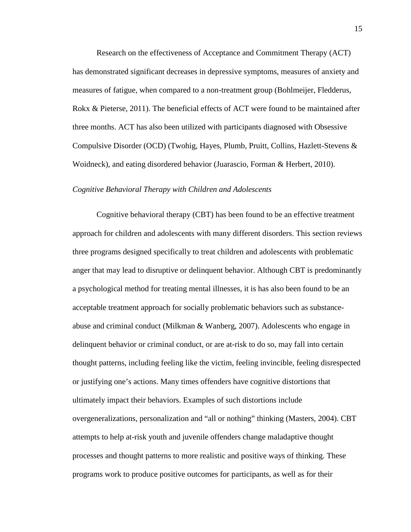Research on the effectiveness of Acceptance and Commitment Therapy (ACT) has demonstrated significant decreases in depressive symptoms, measures of anxiety and measures of fatigue, when compared to a non-treatment group (Bohlmeijer, Fledderus, Rokx & Pieterse, 2011). The beneficial effects of ACT were found to be maintained after three months. ACT has also been utilized with participants diagnosed with Obsessive Compulsive Disorder (OCD) (Twohig, Hayes, Plumb, Pruitt, Collins, Hazlett-Stevens & Woidneck), and eating disordered behavior (Juarascio, Forman & Herbert, 2010).

### *Cognitive Behavioral Therapy with Children and Adolescents*

Cognitive behavioral therapy (CBT) has been found to be an effective treatment approach for children and adolescents with many different disorders. This section reviews three programs designed specifically to treat children and adolescents with problematic anger that may lead to disruptive or delinquent behavior. Although CBT is predominantly a psychological method for treating mental illnesses, it is has also been found to be an acceptable treatment approach for socially problematic behaviors such as substanceabuse and criminal conduct (Milkman & Wanberg, 2007). Adolescents who engage in delinquent behavior or criminal conduct, or are at-risk to do so, may fall into certain thought patterns, including feeling like the victim, feeling invincible, feeling disrespected or justifying one's actions. Many times offenders have cognitive distortions that ultimately impact their behaviors. Examples of such distortions include overgeneralizations, personalization and "all or nothing" thinking (Masters, 2004). CBT attempts to help at-risk youth and juvenile offenders change maladaptive thought processes and thought patterns to more realistic and positive ways of thinking. These programs work to produce positive outcomes for participants, as well as for their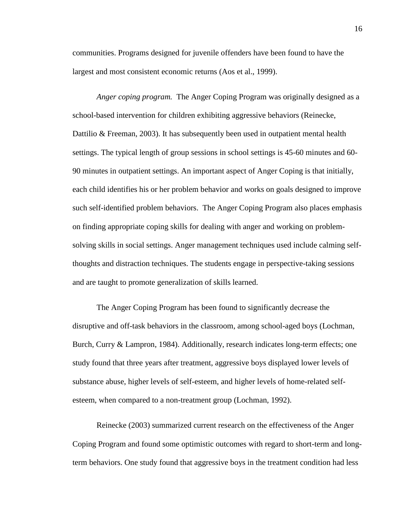communities. Programs designed for juvenile offenders have been found to have the largest and most consistent economic returns (Aos et al., 1999).

*Anger coping program.* The Anger Coping Program was originally designed as a school-based intervention for children exhibiting aggressive behaviors (Reinecke, Dattilio & Freeman, 2003). It has subsequently been used in outpatient mental health settings. The typical length of group sessions in school settings is 45-60 minutes and 60- 90 minutes in outpatient settings. An important aspect of Anger Coping is that initially, each child identifies his or her problem behavior and works on goals designed to improve such self-identified problem behaviors. The Anger Coping Program also places emphasis on finding appropriate coping skills for dealing with anger and working on problemsolving skills in social settings. Anger management techniques used include calming selfthoughts and distraction techniques. The students engage in perspective-taking sessions and are taught to promote generalization of skills learned.

The Anger Coping Program has been found to significantly decrease the disruptive and off-task behaviors in the classroom, among school-aged boys (Lochman, Burch, Curry & Lampron, 1984). Additionally, research indicates long-term effects; one study found that three years after treatment, aggressive boys displayed lower levels of substance abuse, higher levels of self-esteem, and higher levels of home-related selfesteem, when compared to a non-treatment group (Lochman, 1992).

Reinecke (2003) summarized current research on the effectiveness of the Anger Coping Program and found some optimistic outcomes with regard to short-term and longterm behaviors. One study found that aggressive boys in the treatment condition had less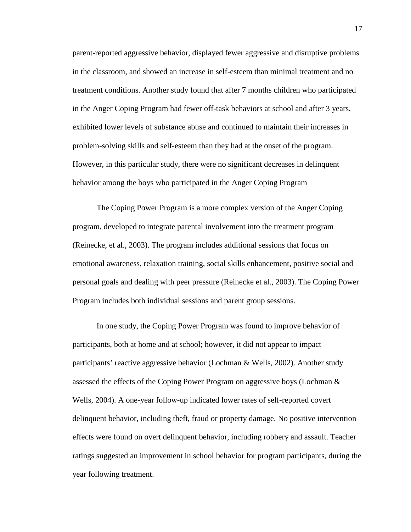parent-reported aggressive behavior, displayed fewer aggressive and disruptive problems in the classroom, and showed an increase in self-esteem than minimal treatment and no treatment conditions. Another study found that after 7 months children who participated in the Anger Coping Program had fewer off-task behaviors at school and after 3 years, exhibited lower levels of substance abuse and continued to maintain their increases in problem-solving skills and self-esteem than they had at the onset of the program. However, in this particular study, there were no significant decreases in delinquent behavior among the boys who participated in the Anger Coping Program

The Coping Power Program is a more complex version of the Anger Coping program, developed to integrate parental involvement into the treatment program (Reinecke, et al., 2003). The program includes additional sessions that focus on emotional awareness, relaxation training, social skills enhancement, positive social and personal goals and dealing with peer pressure (Reinecke et al., 2003). The Coping Power Program includes both individual sessions and parent group sessions.

In one study, the Coping Power Program was found to improve behavior of participants, both at home and at school; however, it did not appear to impact participants' reactive aggressive behavior (Lochman & Wells, 2002). Another study assessed the effects of the Coping Power Program on aggressive boys (Lochman & Wells, 2004). A one-year follow-up indicated lower rates of self-reported covert delinquent behavior, including theft, fraud or property damage. No positive intervention effects were found on overt delinquent behavior, including robbery and assault. Teacher ratings suggested an improvement in school behavior for program participants, during the year following treatment.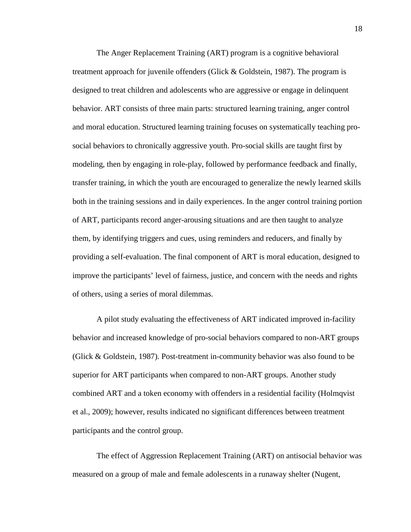The Anger Replacement Training (ART) program is a cognitive behavioral treatment approach for juvenile offenders (Glick & Goldstein, 1987). The program is designed to treat children and adolescents who are aggressive or engage in delinquent behavior. ART consists of three main parts: structured learning training, anger control and moral education. Structured learning training focuses on systematically teaching prosocial behaviors to chronically aggressive youth. Pro-social skills are taught first by modeling, then by engaging in role-play, followed by performance feedback and finally, transfer training, in which the youth are encouraged to generalize the newly learned skills both in the training sessions and in daily experiences. In the anger control training portion of ART, participants record anger-arousing situations and are then taught to analyze them, by identifying triggers and cues, using reminders and reducers, and finally by providing a self-evaluation. The final component of ART is moral education, designed to improve the participants' level of fairness, justice, and concern with the needs and rights of others, using a series of moral dilemmas.

A pilot study evaluating the effectiveness of ART indicated improved in-facility behavior and increased knowledge of pro-social behaviors compared to non-ART groups (Glick & Goldstein, 1987). Post-treatment in-community behavior was also found to be superior for ART participants when compared to non-ART groups. Another study combined ART and a token economy with offenders in a residential facility (Holmqvist et al., 2009); however, results indicated no significant differences between treatment participants and the control group.

 The effect of Aggression Replacement Training (ART) on antisocial behavior was measured on a group of male and female adolescents in a runaway shelter (Nugent,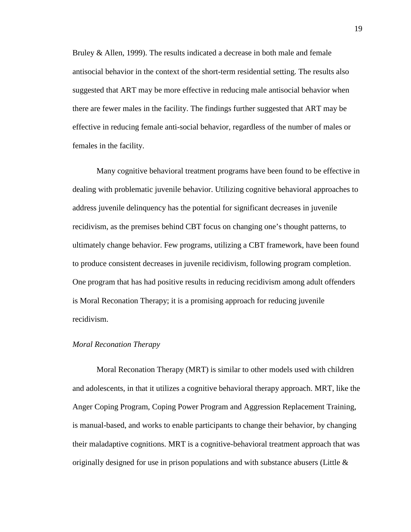Bruley & Allen, 1999). The results indicated a decrease in both male and female antisocial behavior in the context of the short-term residential setting. The results also suggested that ART may be more effective in reducing male antisocial behavior when there are fewer males in the facility. The findings further suggested that ART may be effective in reducing female anti-social behavior, regardless of the number of males or females in the facility.

Many cognitive behavioral treatment programs have been found to be effective in dealing with problematic juvenile behavior. Utilizing cognitive behavioral approaches to address juvenile delinquency has the potential for significant decreases in juvenile recidivism, as the premises behind CBT focus on changing one's thought patterns, to ultimately change behavior. Few programs, utilizing a CBT framework, have been found to produce consistent decreases in juvenile recidivism, following program completion. One program that has had positive results in reducing recidivism among adult offenders is Moral Reconation Therapy; it is a promising approach for reducing juvenile recidivism.

### *Moral Reconation Therapy*

Moral Reconation Therapy (MRT) is similar to other models used with children and adolescents, in that it utilizes a cognitive behavioral therapy approach. MRT, like the Anger Coping Program, Coping Power Program and Aggression Replacement Training, is manual-based, and works to enable participants to change their behavior, by changing their maladaptive cognitions. MRT is a cognitive-behavioral treatment approach that was originally designed for use in prison populations and with substance abusers (Little  $\&$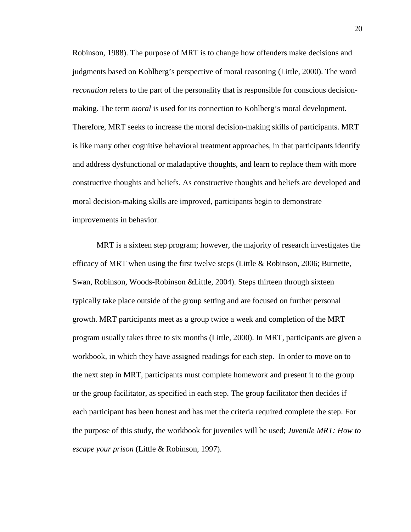Robinson, 1988). The purpose of MRT is to change how offenders make decisions and judgments based on Kohlberg's perspective of moral reasoning (Little, 2000). The word *reconation* refers to the part of the personality that is responsible for conscious decisionmaking. The term *moral* is used for its connection to Kohlberg's moral development. Therefore, MRT seeks to increase the moral decision-making skills of participants. MRT is like many other cognitive behavioral treatment approaches, in that participants identify and address dysfunctional or maladaptive thoughts, and learn to replace them with more constructive thoughts and beliefs. As constructive thoughts and beliefs are developed and moral decision-making skills are improved, participants begin to demonstrate improvements in behavior.

MRT is a sixteen step program; however, the majority of research investigates the efficacy of MRT when using the first twelve steps (Little & Robinson, 2006; Burnette, Swan, Robinson, Woods-Robinson &Little, 2004). Steps thirteen through sixteen typically take place outside of the group setting and are focused on further personal growth. MRT participants meet as a group twice a week and completion of the MRT program usually takes three to six months (Little, 2000). In MRT, participants are given a workbook, in which they have assigned readings for each step. In order to move on to the next step in MRT, participants must complete homework and present it to the group or the group facilitator, as specified in each step. The group facilitator then decides if each participant has been honest and has met the criteria required complete the step. For the purpose of this study, the workbook for juveniles will be used; *Juvenile MRT: How to escape your prison* (Little & Robinson, 1997).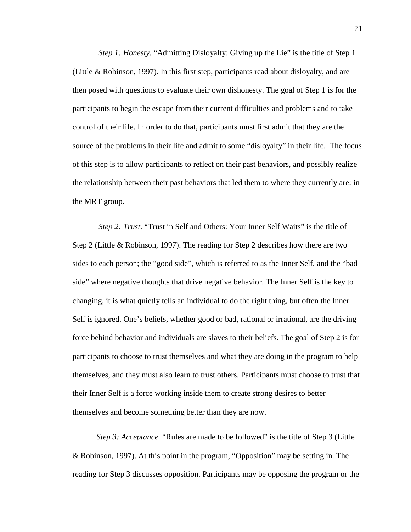*Step 1: Honesty.* "Admitting Disloyalty: Giving up the Lie" is the title of Step 1 (Little & Robinson, 1997). In this first step, participants read about disloyalty, and are then posed with questions to evaluate their own dishonesty. The goal of Step 1 is for the participants to begin the escape from their current difficulties and problems and to take control of their life. In order to do that, participants must first admit that they are the source of the problems in their life and admit to some "disloyalty" in their life. The focus of this step is to allow participants to reflect on their past behaviors, and possibly realize the relationship between their past behaviors that led them to where they currently are: in the MRT group.

*Step 2: Trust*. "Trust in Self and Others: Your Inner Self Waits" is the title of Step 2 (Little & Robinson, 1997). The reading for Step 2 describes how there are two sides to each person; the "good side", which is referred to as the Inner Self, and the "bad side" where negative thoughts that drive negative behavior. The Inner Self is the key to changing, it is what quietly tells an individual to do the right thing, but often the Inner Self is ignored. One's beliefs, whether good or bad, rational or irrational, are the driving force behind behavior and individuals are slaves to their beliefs. The goal of Step 2 is for participants to choose to trust themselves and what they are doing in the program to help themselves, and they must also learn to trust others. Participants must choose to trust that their Inner Self is a force working inside them to create strong desires to better themselves and become something better than they are now.

*Step 3: Acceptance.* "Rules are made to be followed" is the title of Step 3 (Little & Robinson, 1997). At this point in the program, "Opposition" may be setting in. The reading for Step 3 discusses opposition. Participants may be opposing the program or the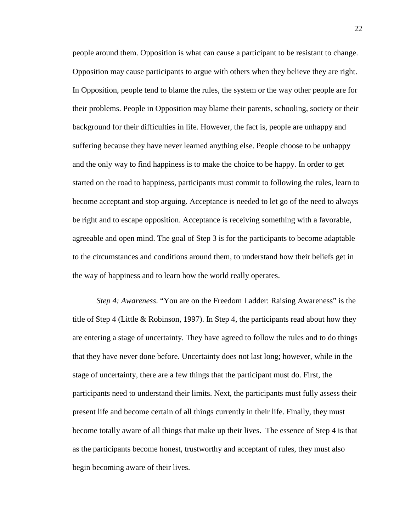people around them. Opposition is what can cause a participant to be resistant to change. Opposition may cause participants to argue with others when they believe they are right. In Opposition, people tend to blame the rules, the system or the way other people are for their problems. People in Opposition may blame their parents, schooling, society or their background for their difficulties in life. However, the fact is, people are unhappy and suffering because they have never learned anything else. People choose to be unhappy and the only way to find happiness is to make the choice to be happy. In order to get started on the road to happiness, participants must commit to following the rules, learn to become acceptant and stop arguing. Acceptance is needed to let go of the need to always be right and to escape opposition. Acceptance is receiving something with a favorable, agreeable and open mind. The goal of Step 3 is for the participants to become adaptable to the circumstances and conditions around them, to understand how their beliefs get in the way of happiness and to learn how the world really operates.

*Step 4: Awareness*. "You are on the Freedom Ladder: Raising Awareness" is the title of Step 4 (Little & Robinson, 1997). In Step 4, the participants read about how they are entering a stage of uncertainty. They have agreed to follow the rules and to do things that they have never done before. Uncertainty does not last long; however, while in the stage of uncertainty, there are a few things that the participant must do. First, the participants need to understand their limits. Next, the participants must fully assess their present life and become certain of all things currently in their life. Finally, they must become totally aware of all things that make up their lives. The essence of Step 4 is that as the participants become honest, trustworthy and acceptant of rules, they must also begin becoming aware of their lives.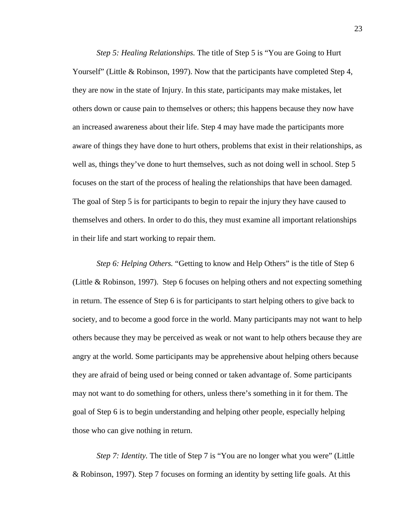*Step 5: Healing Relationships.* The title of Step 5 is "You are Going to Hurt Yourself" (Little & Robinson, 1997). Now that the participants have completed Step 4, they are now in the state of Injury. In this state, participants may make mistakes, let others down or cause pain to themselves or others; this happens because they now have an increased awareness about their life. Step 4 may have made the participants more aware of things they have done to hurt others, problems that exist in their relationships, as well as, things they've done to hurt themselves, such as not doing well in school. Step 5 focuses on the start of the process of healing the relationships that have been damaged. The goal of Step 5 is for participants to begin to repair the injury they have caused to themselves and others. In order to do this, they must examine all important relationships in their life and start working to repair them.

*Step 6: Helping Others.* "Getting to know and Help Others" is the title of Step 6 (Little & Robinson, 1997). Step 6 focuses on helping others and not expecting something in return. The essence of Step 6 is for participants to start helping others to give back to society, and to become a good force in the world. Many participants may not want to help others because they may be perceived as weak or not want to help others because they are angry at the world. Some participants may be apprehensive about helping others because they are afraid of being used or being conned or taken advantage of. Some participants may not want to do something for others, unless there's something in it for them. The goal of Step 6 is to begin understanding and helping other people, especially helping those who can give nothing in return.

*Step 7: Identity.* The title of Step 7 is "You are no longer what you were" (Little & Robinson, 1997). Step 7 focuses on forming an identity by setting life goals. At this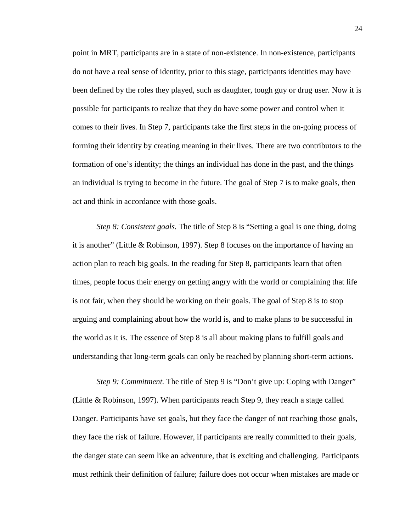point in MRT, participants are in a state of non-existence. In non-existence, participants do not have a real sense of identity, prior to this stage, participants identities may have been defined by the roles they played, such as daughter, tough guy or drug user. Now it is possible for participants to realize that they do have some power and control when it comes to their lives. In Step 7, participants take the first steps in the on-going process of forming their identity by creating meaning in their lives. There are two contributors to the formation of one's identity; the things an individual has done in the past, and the things an individual is trying to become in the future. The goal of Step 7 is to make goals, then act and think in accordance with those goals.

*Step 8: Consistent goals.* The title of Step 8 is "Setting a goal is one thing, doing it is another" (Little & Robinson, 1997). Step 8 focuses on the importance of having an action plan to reach big goals. In the reading for Step 8, participants learn that often times, people focus their energy on getting angry with the world or complaining that life is not fair, when they should be working on their goals. The goal of Step 8 is to stop arguing and complaining about how the world is, and to make plans to be successful in the world as it is. The essence of Step 8 is all about making plans to fulfill goals and understanding that long-term goals can only be reached by planning short-term actions.

*Step 9: Commitment.* The title of Step 9 is "Don't give up: Coping with Danger" (Little & Robinson, 1997). When participants reach Step 9, they reach a stage called Danger. Participants have set goals, but they face the danger of not reaching those goals, they face the risk of failure. However, if participants are really committed to their goals, the danger state can seem like an adventure, that is exciting and challenging. Participants must rethink their definition of failure; failure does not occur when mistakes are made or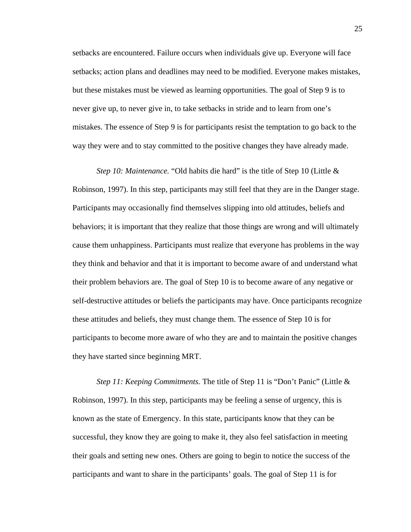setbacks are encountered. Failure occurs when individuals give up. Everyone will face setbacks; action plans and deadlines may need to be modified. Everyone makes mistakes, but these mistakes must be viewed as learning opportunities. The goal of Step 9 is to never give up, to never give in, to take setbacks in stride and to learn from one's mistakes. The essence of Step 9 is for participants resist the temptation to go back to the way they were and to stay committed to the positive changes they have already made.

*Step 10: Maintenance.* "Old habits die hard" is the title of Step 10 (Little & Robinson, 1997). In this step, participants may still feel that they are in the Danger stage. Participants may occasionally find themselves slipping into old attitudes, beliefs and behaviors; it is important that they realize that those things are wrong and will ultimately cause them unhappiness. Participants must realize that everyone has problems in the way they think and behavior and that it is important to become aware of and understand what their problem behaviors are. The goal of Step 10 is to become aware of any negative or self-destructive attitudes or beliefs the participants may have. Once participants recognize these attitudes and beliefs, they must change them. The essence of Step 10 is for participants to become more aware of who they are and to maintain the positive changes they have started since beginning MRT.

*Step 11: Keeping Commitments.* The title of Step 11 is "Don't Panic" (Little & Robinson, 1997). In this step, participants may be feeling a sense of urgency, this is known as the state of Emergency. In this state, participants know that they can be successful, they know they are going to make it, they also feel satisfaction in meeting their goals and setting new ones. Others are going to begin to notice the success of the participants and want to share in the participants' goals. The goal of Step 11 is for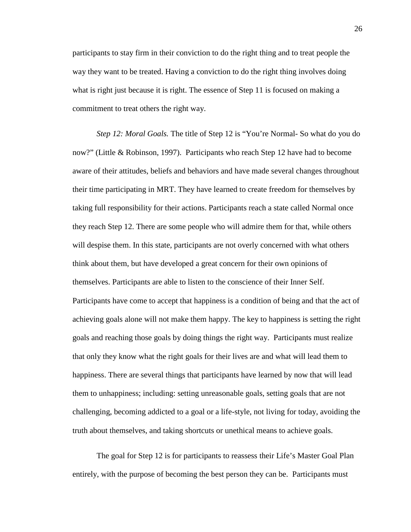participants to stay firm in their conviction to do the right thing and to treat people the way they want to be treated. Having a conviction to do the right thing involves doing what is right just because it is right. The essence of Step 11 is focused on making a commitment to treat others the right way.

*Step 12: Moral Goals.* The title of Step 12 is "You're Normal- So what do you do now?" (Little & Robinson, 1997). Participants who reach Step 12 have had to become aware of their attitudes, beliefs and behaviors and have made several changes throughout their time participating in MRT. They have learned to create freedom for themselves by taking full responsibility for their actions. Participants reach a state called Normal once they reach Step 12. There are some people who will admire them for that, while others will despise them. In this state, participants are not overly concerned with what others think about them, but have developed a great concern for their own opinions of themselves. Participants are able to listen to the conscience of their Inner Self. Participants have come to accept that happiness is a condition of being and that the act of achieving goals alone will not make them happy. The key to happiness is setting the right goals and reaching those goals by doing things the right way. Participants must realize that only they know what the right goals for their lives are and what will lead them to happiness. There are several things that participants have learned by now that will lead them to unhappiness; including: setting unreasonable goals, setting goals that are not challenging, becoming addicted to a goal or a life-style, not living for today, avoiding the truth about themselves, and taking shortcuts or unethical means to achieve goals.

The goal for Step 12 is for participants to reassess their Life's Master Goal Plan entirely, with the purpose of becoming the best person they can be. Participants must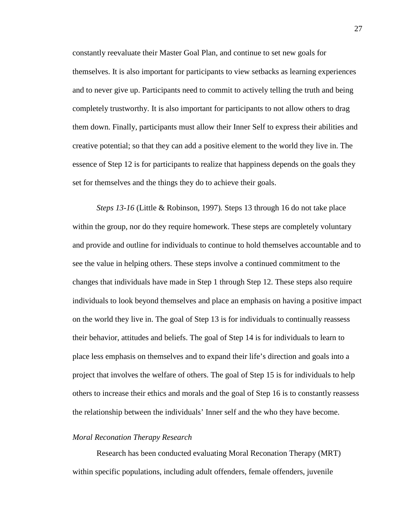constantly reevaluate their Master Goal Plan, and continue to set new goals for themselves. It is also important for participants to view setbacks as learning experiences and to never give up. Participants need to commit to actively telling the truth and being completely trustworthy. It is also important for participants to not allow others to drag them down. Finally, participants must allow their Inner Self to express their abilities and creative potential; so that they can add a positive element to the world they live in. The essence of Step 12 is for participants to realize that happiness depends on the goals they set for themselves and the things they do to achieve their goals.

*Steps 13-16* (Little & Robinson, 1997)*.* Steps 13 through 16 do not take place within the group, nor do they require homework. These steps are completely voluntary and provide and outline for individuals to continue to hold themselves accountable and to see the value in helping others. These steps involve a continued commitment to the changes that individuals have made in Step 1 through Step 12. These steps also require individuals to look beyond themselves and place an emphasis on having a positive impact on the world they live in. The goal of Step 13 is for individuals to continually reassess their behavior, attitudes and beliefs. The goal of Step 14 is for individuals to learn to place less emphasis on themselves and to expand their life's direction and goals into a project that involves the welfare of others. The goal of Step 15 is for individuals to help others to increase their ethics and morals and the goal of Step 16 is to constantly reassess the relationship between the individuals' Inner self and the who they have become.

### *Moral Reconation Therapy Research*

Research has been conducted evaluating Moral Reconation Therapy (MRT) within specific populations, including adult offenders, female offenders, juvenile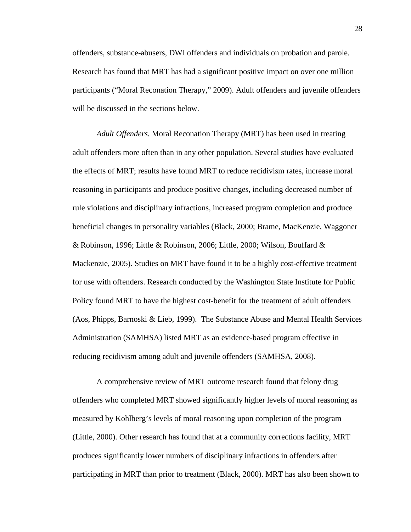offenders, substance-abusers, DWI offenders and individuals on probation and parole. Research has found that MRT has had a significant positive impact on over one million participants ("Moral Reconation Therapy," 2009). Adult offenders and juvenile offenders will be discussed in the sections below.

*Adult Offenders.* Moral Reconation Therapy (MRT) has been used in treating adult offenders more often than in any other population. Several studies have evaluated the effects of MRT; results have found MRT to reduce recidivism rates, increase moral reasoning in participants and produce positive changes, including decreased number of rule violations and disciplinary infractions, increased program completion and produce beneficial changes in personality variables (Black, 2000; Brame, MacKenzie, Waggoner & Robinson, 1996; Little & Robinson, 2006; Little, 2000; Wilson, Bouffard & Mackenzie, 2005). Studies on MRT have found it to be a highly cost-effective treatment for use with offenders. Research conducted by the Washington State Institute for Public Policy found MRT to have the highest cost-benefit for the treatment of adult offenders (Aos, Phipps, Barnoski & Lieb, 1999). The Substance Abuse and Mental Health Services Administration (SAMHSA) listed MRT as an evidence-based program effective in reducing recidivism among adult and juvenile offenders (SAMHSA, 2008).

A comprehensive review of MRT outcome research found that felony drug offenders who completed MRT showed significantly higher levels of moral reasoning as measured by Kohlberg's levels of moral reasoning upon completion of the program (Little, 2000). Other research has found that at a community corrections facility, MRT produces significantly lower numbers of disciplinary infractions in offenders after participating in MRT than prior to treatment (Black, 2000). MRT has also been shown to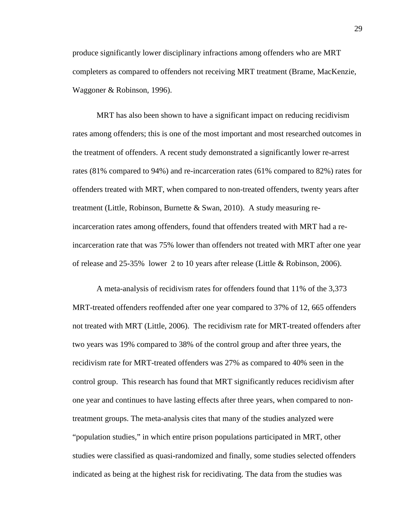produce significantly lower disciplinary infractions among offenders who are MRT completers as compared to offenders not receiving MRT treatment (Brame, MacKenzie, Waggoner & Robinson, 1996).

MRT has also been shown to have a significant impact on reducing recidivism rates among offenders; this is one of the most important and most researched outcomes in the treatment of offenders. A recent study demonstrated a significantly lower re-arrest rates (81% compared to 94%) and re-incarceration rates (61% compared to 82%) rates for offenders treated with MRT, when compared to non-treated offenders, twenty years after treatment (Little, Robinson, Burnette & Swan, 2010). A study measuring reincarceration rates among offenders, found that offenders treated with MRT had a reincarceration rate that was 75% lower than offenders not treated with MRT after one year of release and 25-35% lower 2 to 10 years after release (Little & Robinson, 2006).

A meta-analysis of recidivism rates for offenders found that 11% of the 3,373 MRT-treated offenders reoffended after one year compared to 37% of 12, 665 offenders not treated with MRT (Little, 2006). The recidivism rate for MRT-treated offenders after two years was 19% compared to 38% of the control group and after three years, the recidivism rate for MRT-treated offenders was 27% as compared to 40% seen in the control group. This research has found that MRT significantly reduces recidivism after one year and continues to have lasting effects after three years, when compared to nontreatment groups. The meta-analysis cites that many of the studies analyzed were "population studies," in which entire prison populations participated in MRT, other studies were classified as quasi-randomized and finally, some studies selected offenders indicated as being at the highest risk for recidivating. The data from the studies was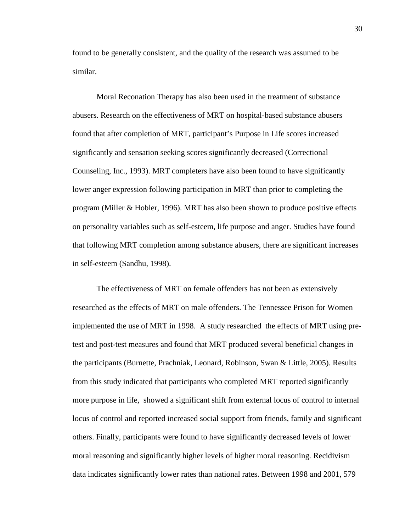found to be generally consistent, and the quality of the research was assumed to be similar.

Moral Reconation Therapy has also been used in the treatment of substance abusers. Research on the effectiveness of MRT on hospital-based substance abusers found that after completion of MRT, participant's Purpose in Life scores increased significantly and sensation seeking scores significantly decreased (Correctional Counseling, Inc., 1993). MRT completers have also been found to have significantly lower anger expression following participation in MRT than prior to completing the program (Miller & Hobler, 1996). MRT has also been shown to produce positive effects on personality variables such as self-esteem, life purpose and anger. Studies have found that following MRT completion among substance abusers, there are significant increases in self-esteem (Sandhu, 1998).

The effectiveness of MRT on female offenders has not been as extensively researched as the effects of MRT on male offenders. The Tennessee Prison for Women implemented the use of MRT in 1998. A study researched the effects of MRT using pretest and post-test measures and found that MRT produced several beneficial changes in the participants (Burnette, Prachniak, Leonard, Robinson, Swan & Little, 2005). Results from this study indicated that participants who completed MRT reported significantly more purpose in life, showed a significant shift from external locus of control to internal locus of control and reported increased social support from friends, family and significant others. Finally, participants were found to have significantly decreased levels of lower moral reasoning and significantly higher levels of higher moral reasoning. Recidivism data indicates significantly lower rates than national rates. Between 1998 and 2001, 579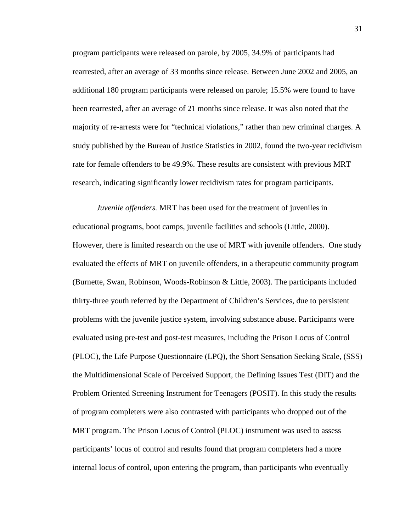program participants were released on parole, by 2005, 34.9% of participants had rearrested, after an average of 33 months since release. Between June 2002 and 2005, an additional 180 program participants were released on parole; 15.5% were found to have been rearrested, after an average of 21 months since release. It was also noted that the majority of re-arrests were for "technical violations," rather than new criminal charges. A study published by the Bureau of Justice Statistics in 2002, found the two-year recidivism rate for female offenders to be 49.9%. These results are consistent with previous MRT research, indicating significantly lower recidivism rates for program participants.

*Juvenile offenders.* MRT has been used for the treatment of juveniles in educational programs, boot camps, juvenile facilities and schools (Little, 2000). However, there is limited research on the use of MRT with juvenile offenders. One study evaluated the effects of MRT on juvenile offenders, in a therapeutic community program (Burnette, Swan, Robinson, Woods-Robinson & Little, 2003). The participants included thirty-three youth referred by the Department of Children's Services, due to persistent problems with the juvenile justice system, involving substance abuse. Participants were evaluated using pre-test and post-test measures, including the Prison Locus of Control (PLOC), the Life Purpose Questionnaire (LPQ), the Short Sensation Seeking Scale, (SSS) the Multidimensional Scale of Perceived Support, the Defining Issues Test (DIT) and the Problem Oriented Screening Instrument for Teenagers (POSIT). In this study the results of program completers were also contrasted with participants who dropped out of the MRT program. The Prison Locus of Control (PLOC) instrument was used to assess participants' locus of control and results found that program completers had a more internal locus of control, upon entering the program, than participants who eventually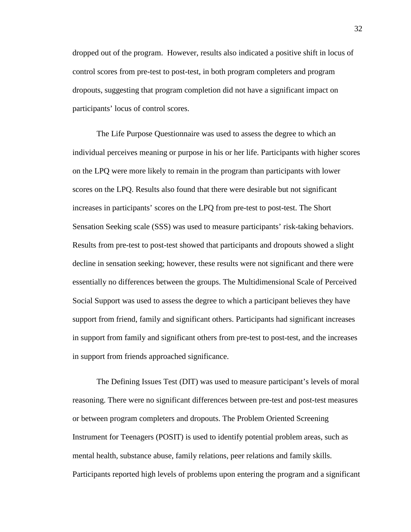dropped out of the program. However, results also indicated a positive shift in locus of control scores from pre-test to post-test, in both program completers and program dropouts, suggesting that program completion did not have a significant impact on participants' locus of control scores.

The Life Purpose Questionnaire was used to assess the degree to which an individual perceives meaning or purpose in his or her life. Participants with higher scores on the LPQ were more likely to remain in the program than participants with lower scores on the LPQ. Results also found that there were desirable but not significant increases in participants' scores on the LPQ from pre-test to post-test. The Short Sensation Seeking scale (SSS) was used to measure participants' risk-taking behaviors. Results from pre-test to post-test showed that participants and dropouts showed a slight decline in sensation seeking; however, these results were not significant and there were essentially no differences between the groups. The Multidimensional Scale of Perceived Social Support was used to assess the degree to which a participant believes they have support from friend, family and significant others. Participants had significant increases in support from family and significant others from pre-test to post-test, and the increases in support from friends approached significance.

The Defining Issues Test (DIT) was used to measure participant's levels of moral reasoning. There were no significant differences between pre-test and post-test measures or between program completers and dropouts. The Problem Oriented Screening Instrument for Teenagers (POSIT) is used to identify potential problem areas, such as mental health, substance abuse, family relations, peer relations and family skills. Participants reported high levels of problems upon entering the program and a significant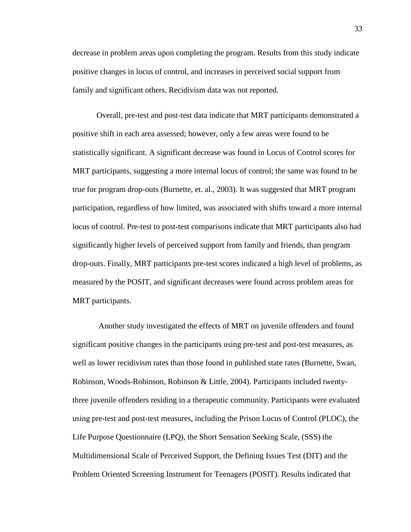decrease in problem areas upon completing the program. Results from this study indicate positive changes in locus of control, and increases in perceived social support from family and significant others. Recidivism data was not reported.

Overall, pre-test and post-test data indicate that MRT participants demonstrated a positive shift in each area assessed; however, only a few areas were found to be statistically significant. A significant decrease was found in Locus of Control scores for MRT participants, suggesting a more internal locus of control; the same was found to be true for program drop-outs (Burnette, et. al., 2003). It was suggested that MRT program participation, regardless of how limited, was associated with shifts toward a more internal locus of control. Pre-test to post-test comparisons indicate that MRT participants also had significantly higher levels of perceived support from family and friends, than program drop-outs. Finally, MRT participants pre-test scores indicated a high level of problems, as measured by the POSIT, and significant decreases were found across problem areas for MRT participants.

 Another study investigated the effects of MRT on juvenile offenders and found significant positive changes in the participants using pre-test and post-test measures, as well as lower recidivism rates than those found in published state rates (Burnette, Swan, Robinson, Woods-Robinson, Robinson & Little, 2004). Participants included twentythree juvenile offenders residing in a therapeutic community. Participants were evaluated using pre-test and post-test measures, including the Prison Locus of Control (PLOC), the Life Purpose Questionnaire (LPQ), the Short Sensation Seeking Scale, (SSS) the Multidimensional Scale of Perceived Support, the Defining Issues Test (DIT) and the Problem Oriented Screening Instrument for Teenagers (POSIT). Results indicated that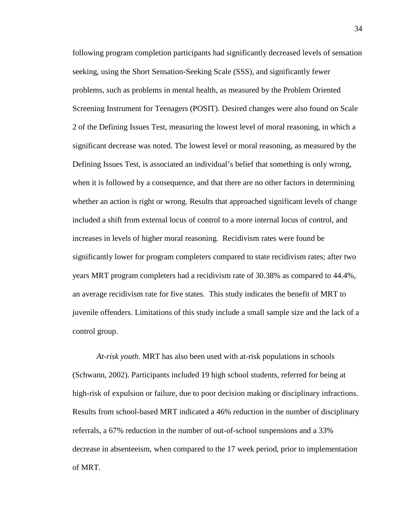following program completion participants had significantly decreased levels of sensation seeking, using the Short Sensation-Seeking Scale (SSS), and significantly fewer problems, such as problems in mental health, as measured by the Problem Oriented Screening Instrument for Teenagers (POSIT). Desired changes were also found on Scale 2 of the Defining Issues Test, measuring the lowest level of moral reasoning, in which a significant decrease was noted. The lowest level or moral reasoning, as measured by the Defining Issues Test, is associated an individual's belief that something is only wrong, when it is followed by a consequence, and that there are no other factors in determining whether an action is right or wrong. Results that approached significant levels of change included a shift from external locus of control to a more internal locus of control, and increases in levels of higher moral reasoning. Recidivism rates were found be significantly lower for program completers compared to state recidivism rates; after two years MRT program completers had a recidivism rate of 30.38% as compared to 44.4%, an average recidivism rate for five states. This study indicates the benefit of MRT to juvenile offenders. Limitations of this study include a small sample size and the lack of a control group.

*At-risk youth.* MRT has also been used with at-risk populations in schools (Schwann, 2002). Participants included 19 high school students, referred for being at high-risk of expulsion or failure, due to poor decision making or disciplinary infractions. Results from school-based MRT indicated a 46% reduction in the number of disciplinary referrals, a 67% reduction in the number of out-of-school suspensions and a 33% decrease in absenteeism, when compared to the 17 week period, prior to implementation of MRT.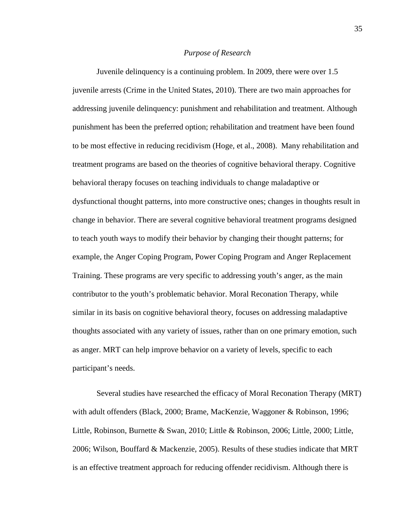### *Purpose of Research*

 Juvenile delinquency is a continuing problem. In 2009, there were over 1.5 juvenile arrests (Crime in the United States, 2010). There are two main approaches for addressing juvenile delinquency: punishment and rehabilitation and treatment. Although punishment has been the preferred option; rehabilitation and treatment have been found to be most effective in reducing recidivism (Hoge, et al., 2008). Many rehabilitation and treatment programs are based on the theories of cognitive behavioral therapy. Cognitive behavioral therapy focuses on teaching individuals to change maladaptive or dysfunctional thought patterns, into more constructive ones; changes in thoughts result in change in behavior. There are several cognitive behavioral treatment programs designed to teach youth ways to modify their behavior by changing their thought patterns; for example, the Anger Coping Program, Power Coping Program and Anger Replacement Training. These programs are very specific to addressing youth's anger, as the main contributor to the youth's problematic behavior. Moral Reconation Therapy, while similar in its basis on cognitive behavioral theory, focuses on addressing maladaptive thoughts associated with any variety of issues, rather than on one primary emotion, such as anger. MRT can help improve behavior on a variety of levels, specific to each participant's needs.

Several studies have researched the efficacy of Moral Reconation Therapy (MRT) with adult offenders (Black, 2000; Brame, MacKenzie, Waggoner & Robinson, 1996; Little, Robinson, Burnette & Swan, 2010; Little & Robinson, 2006; Little, 2000; Little, 2006; Wilson, Bouffard & Mackenzie, 2005). Results of these studies indicate that MRT is an effective treatment approach for reducing offender recidivism. Although there is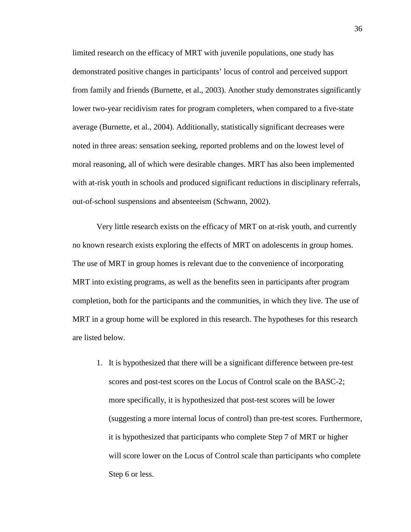limited research on the efficacy of MRT with juvenile populations, one study has demonstrated positive changes in participants' locus of control and perceived support from family and friends (Burnette, et al., 2003). Another study demonstrates significantly lower two-year recidivism rates for program completers, when compared to a five-state average (Burnette, et al., 2004). Additionally, statistically significant decreases were noted in three areas: sensation seeking, reported problems and on the lowest level of moral reasoning, all of which were desirable changes. MRT has also been implemented with at-risk youth in schools and produced significant reductions in disciplinary referrals, out-of-school suspensions and absenteeism (Schwann, 2002).

Very little research exists on the efficacy of MRT on at-risk youth, and currently no known research exists exploring the effects of MRT on adolescents in group homes. The use of MRT in group homes is relevant due to the convenience of incorporating MRT into existing programs, as well as the benefits seen in participants after program completion, both for the participants and the communities, in which they live. The use of MRT in a group home will be explored in this research. The hypotheses for this research are listed below.

1. It is hypothesized that there will be a significant difference between pre-test scores and post-test scores on the Locus of Control scale on the BASC-2; more specifically, it is hypothesized that post-test scores will be lower (suggesting a more internal locus of control) than pre-test scores. Furthermore, it is hypothesized that participants who complete Step 7 of MRT or higher will score lower on the Locus of Control scale than participants who complete Step 6 or less.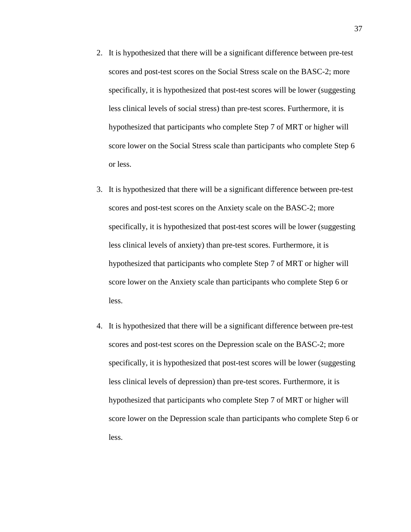- 2. It is hypothesized that there will be a significant difference between pre-test scores and post-test scores on the Social Stress scale on the BASC-2; more specifically, it is hypothesized that post-test scores will be lower (suggesting less clinical levels of social stress) than pre-test scores. Furthermore, it is hypothesized that participants who complete Step 7 of MRT or higher will score lower on the Social Stress scale than participants who complete Step 6 or less.
- 3. It is hypothesized that there will be a significant difference between pre-test scores and post-test scores on the Anxiety scale on the BASC-2; more specifically, it is hypothesized that post-test scores will be lower (suggesting less clinical levels of anxiety) than pre-test scores. Furthermore, it is hypothesized that participants who complete Step 7 of MRT or higher will score lower on the Anxiety scale than participants who complete Step 6 or less.
- 4. It is hypothesized that there will be a significant difference between pre-test scores and post-test scores on the Depression scale on the BASC-2; more specifically, it is hypothesized that post-test scores will be lower (suggesting less clinical levels of depression) than pre-test scores. Furthermore, it is hypothesized that participants who complete Step 7 of MRT or higher will score lower on the Depression scale than participants who complete Step 6 or less.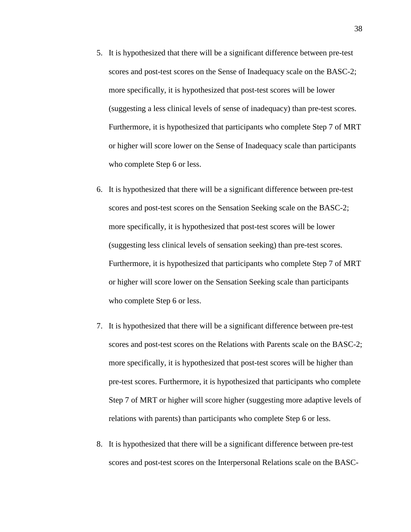- 5. It is hypothesized that there will be a significant difference between pre-test scores and post-test scores on the Sense of Inadequacy scale on the BASC-2; more specifically, it is hypothesized that post-test scores will be lower (suggesting a less clinical levels of sense of inadequacy) than pre-test scores. Furthermore, it is hypothesized that participants who complete Step 7 of MRT or higher will score lower on the Sense of Inadequacy scale than participants who complete Step 6 or less.
- 6. It is hypothesized that there will be a significant difference between pre-test scores and post-test scores on the Sensation Seeking scale on the BASC-2; more specifically, it is hypothesized that post-test scores will be lower (suggesting less clinical levels of sensation seeking) than pre-test scores. Furthermore, it is hypothesized that participants who complete Step 7 of MRT or higher will score lower on the Sensation Seeking scale than participants who complete Step 6 or less.
- 7. It is hypothesized that there will be a significant difference between pre-test scores and post-test scores on the Relations with Parents scale on the BASC-2; more specifically, it is hypothesized that post-test scores will be higher than pre-test scores. Furthermore, it is hypothesized that participants who complete Step 7 of MRT or higher will score higher (suggesting more adaptive levels of relations with parents) than participants who complete Step 6 or less.
- 8. It is hypothesized that there will be a significant difference between pre-test scores and post-test scores on the Interpersonal Relations scale on the BASC-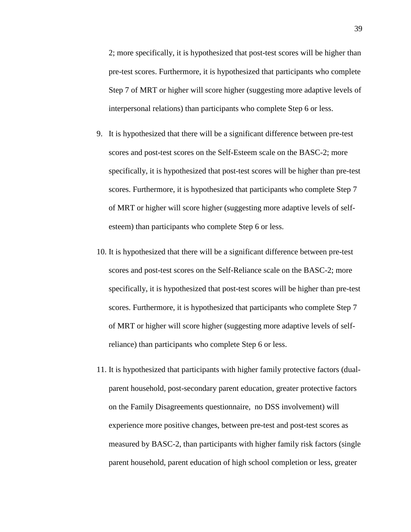2; more specifically, it is hypothesized that post-test scores will be higher than pre-test scores. Furthermore, it is hypothesized that participants who complete Step 7 of MRT or higher will score higher (suggesting more adaptive levels of interpersonal relations) than participants who complete Step 6 or less.

- 9. It is hypothesized that there will be a significant difference between pre-test scores and post-test scores on the Self-Esteem scale on the BASC-2; more specifically, it is hypothesized that post-test scores will be higher than pre-test scores. Furthermore, it is hypothesized that participants who complete Step 7 of MRT or higher will score higher (suggesting more adaptive levels of selfesteem) than participants who complete Step 6 or less.
- 10. It is hypothesized that there will be a significant difference between pre-test scores and post-test scores on the Self-Reliance scale on the BASC-2; more specifically, it is hypothesized that post-test scores will be higher than pre-test scores. Furthermore, it is hypothesized that participants who complete Step 7 of MRT or higher will score higher (suggesting more adaptive levels of selfreliance) than participants who complete Step 6 or less.
- 11. It is hypothesized that participants with higher family protective factors (dualparent household, post-secondary parent education, greater protective factors on the Family Disagreements questionnaire, no DSS involvement) will experience more positive changes, between pre-test and post-test scores as measured by BASC-2, than participants with higher family risk factors (single parent household, parent education of high school completion or less, greater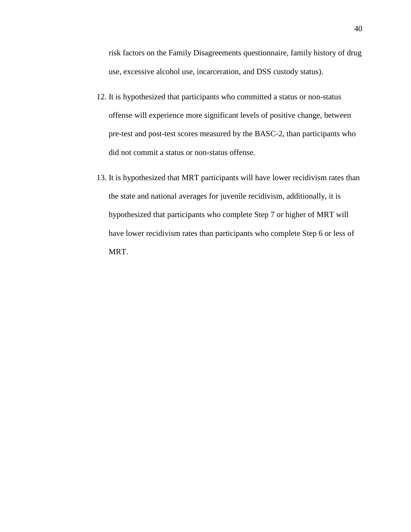risk factors on the Family Disagreements questionnaire, family history of drug use, excessive alcohol use, incarceration, and DSS custody status).

- 12. It is hypothesized that participants who committed a status or non-status offense will experience more significant levels of positive change, between pre-test and post-test scores measured by the BASC-2, than participants who did not commit a status or non-status offense.
- 13. It is hypothesized that MRT participants will have lower recidivism rates than the state and national averages for juvenile recidivism, additionally, it is hypothesized that participants who complete Step 7 or higher of MRT will have lower recidivism rates than participants who complete Step 6 or less of MRT.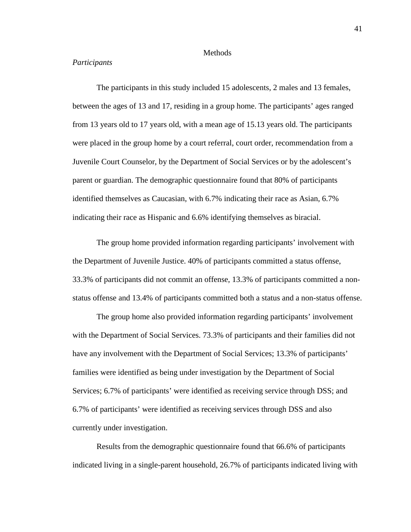### **Methods**

# *Participants*

The participants in this study included 15 adolescents, 2 males and 13 females, between the ages of 13 and 17, residing in a group home. The participants' ages ranged from 13 years old to 17 years old, with a mean age of 15.13 years old. The participants were placed in the group home by a court referral, court order, recommendation from a Juvenile Court Counselor, by the Department of Social Services or by the adolescent's parent or guardian. The demographic questionnaire found that 80% of participants identified themselves as Caucasian, with 6.7% indicating their race as Asian, 6.7% indicating their race as Hispanic and 6.6% identifying themselves as biracial.

The group home provided information regarding participants' involvement with the Department of Juvenile Justice. 40% of participants committed a status offense, 33.3% of participants did not commit an offense, 13.3% of participants committed a nonstatus offense and 13.4% of participants committed both a status and a non-status offense.

The group home also provided information regarding participants' involvement with the Department of Social Services. 73.3% of participants and their families did not have any involvement with the Department of Social Services; 13.3% of participants' families were identified as being under investigation by the Department of Social Services; 6.7% of participants' were identified as receiving service through DSS; and 6.7% of participants' were identified as receiving services through DSS and also currently under investigation.

Results from the demographic questionnaire found that 66.6% of participants indicated living in a single-parent household, 26.7% of participants indicated living with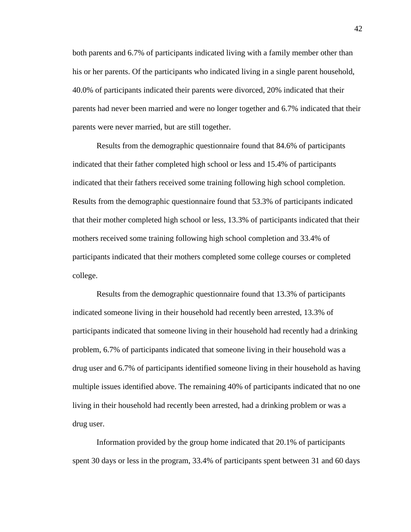both parents and 6.7% of participants indicated living with a family member other than his or her parents. Of the participants who indicated living in a single parent household, 40.0% of participants indicated their parents were divorced, 20% indicated that their parents had never been married and were no longer together and 6.7% indicated that their parents were never married, but are still together.

Results from the demographic questionnaire found that 84.6% of participants indicated that their father completed high school or less and 15.4% of participants indicated that their fathers received some training following high school completion. Results from the demographic questionnaire found that 53.3% of participants indicated that their mother completed high school or less, 13.3% of participants indicated that their mothers received some training following high school completion and 33.4% of participants indicated that their mothers completed some college courses or completed college.

Results from the demographic questionnaire found that 13.3% of participants indicated someone living in their household had recently been arrested, 13.3% of participants indicated that someone living in their household had recently had a drinking problem, 6.7% of participants indicated that someone living in their household was a drug user and 6.7% of participants identified someone living in their household as having multiple issues identified above. The remaining 40% of participants indicated that no one living in their household had recently been arrested, had a drinking problem or was a drug user.

Information provided by the group home indicated that 20.1% of participants spent 30 days or less in the program, 33.4% of participants spent between 31 and 60 days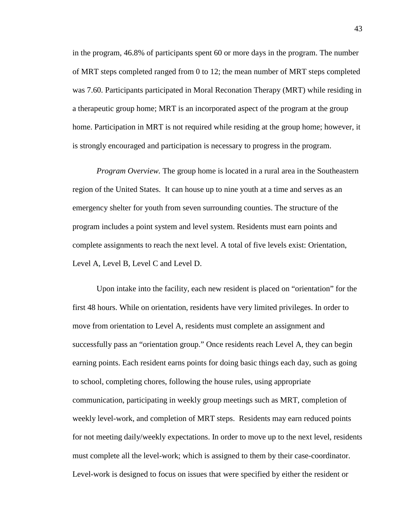in the program, 46.8% of participants spent 60 or more days in the program. The number of MRT steps completed ranged from 0 to 12; the mean number of MRT steps completed was 7.60. Participants participated in Moral Reconation Therapy (MRT) while residing in a therapeutic group home; MRT is an incorporated aspect of the program at the group home. Participation in MRT is not required while residing at the group home; however, it is strongly encouraged and participation is necessary to progress in the program.

*Program Overview.* The group home is located in a rural area in the Southeastern region of the United States. It can house up to nine youth at a time and serves as an emergency shelter for youth from seven surrounding counties. The structure of the program includes a point system and level system. Residents must earn points and complete assignments to reach the next level. A total of five levels exist: Orientation, Level A, Level B, Level C and Level D.

Upon intake into the facility, each new resident is placed on "orientation" for the first 48 hours. While on orientation, residents have very limited privileges. In order to move from orientation to Level A, residents must complete an assignment and successfully pass an "orientation group." Once residents reach Level A, they can begin earning points. Each resident earns points for doing basic things each day, such as going to school, completing chores, following the house rules, using appropriate communication, participating in weekly group meetings such as MRT, completion of weekly level-work, and completion of MRT steps. Residents may earn reduced points for not meeting daily/weekly expectations. In order to move up to the next level, residents must complete all the level-work; which is assigned to them by their case-coordinator. Level-work is designed to focus on issues that were specified by either the resident or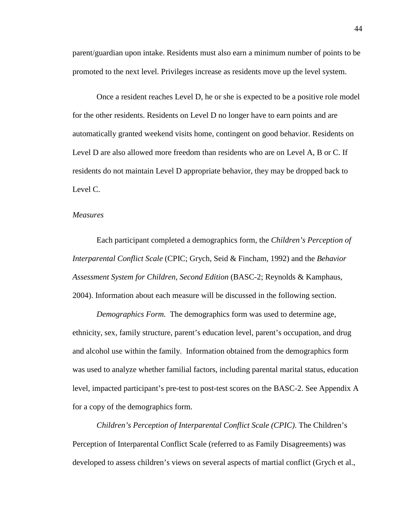parent/guardian upon intake. Residents must also earn a minimum number of points to be promoted to the next level. Privileges increase as residents move up the level system.

Once a resident reaches Level D, he or she is expected to be a positive role model for the other residents. Residents on Level D no longer have to earn points and are automatically granted weekend visits home, contingent on good behavior. Residents on Level D are also allowed more freedom than residents who are on Level A, B or C. If residents do not maintain Level D appropriate behavior, they may be dropped back to Level C.

## *Measures*

Each participant completed a demographics form, the *Children's Perception of Interparental Conflict Scale* (CPIC; Grych, Seid & Fincham, 1992) and the *Behavior Assessment System for Children, Second Edition* (BASC-2; Reynolds & Kamphaus, 2004). Information about each measure will be discussed in the following section.

*Demographics Form.* The demographics form was used to determine age, ethnicity, sex, family structure, parent's education level, parent's occupation, and drug and alcohol use within the family. Information obtained from the demographics form was used to analyze whether familial factors, including parental marital status, education level, impacted participant's pre-test to post-test scores on the BASC-2. See Appendix A for a copy of the demographics form.

*Children's Perception of Interparental Conflict Scale (CPIC)*. The Children's Perception of Interparental Conflict Scale (referred to as Family Disagreements) was developed to assess children's views on several aspects of martial conflict (Grych et al.,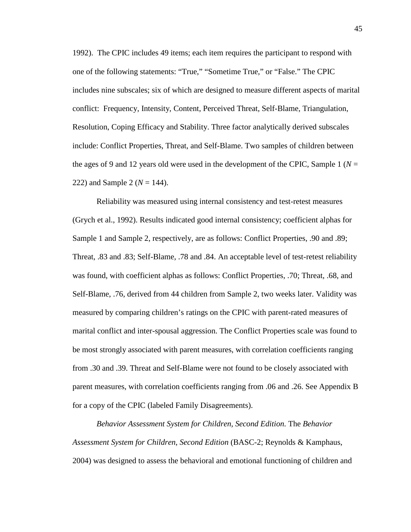1992). The CPIC includes 49 items; each item requires the participant to respond with one of the following statements: "True," "Sometime True," or "False." The CPIC includes nine subscales; six of which are designed to measure different aspects of marital conflict: Frequency, Intensity, Content, Perceived Threat, Self-Blame, Triangulation, Resolution, Coping Efficacy and Stability. Three factor analytically derived subscales include: Conflict Properties, Threat, and Self-Blame. Two samples of children between the ages of 9 and 12 years old were used in the development of the CPIC, Sample 1 ( $N =$ 222) and Sample 2 ( $N = 144$ ).

Reliability was measured using internal consistency and test-retest measures (Grych et al., 1992). Results indicated good internal consistency; coefficient alphas for Sample 1 and Sample 2, respectively, are as follows: Conflict Properties, .90 and .89; Threat, .83 and .83; Self-Blame, .78 and .84. An acceptable level of test-retest reliability was found, with coefficient alphas as follows: Conflict Properties, .70; Threat, .68, and Self-Blame, .76, derived from 44 children from Sample 2, two weeks later. Validity was measured by comparing children's ratings on the CPIC with parent-rated measures of marital conflict and inter-spousal aggression. The Conflict Properties scale was found to be most strongly associated with parent measures, with correlation coefficients ranging from .30 and .39. Threat and Self-Blame were not found to be closely associated with parent measures, with correlation coefficients ranging from .06 and .26. See Appendix B for a copy of the CPIC (labeled Family Disagreements).

*Behavior Assessment System for Children, Second Edition.* The *Behavior Assessment System for Children*, *Second Edition* (BASC-2; Reynolds & Kamphaus, 2004) was designed to assess the behavioral and emotional functioning of children and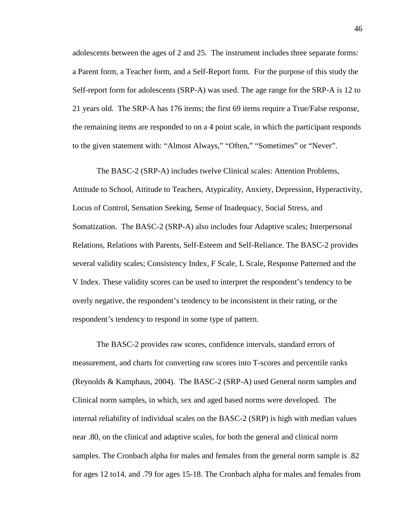adolescents between the ages of 2 and 25. The instrument includes three separate forms: a Parent form, a Teacher form, and a Self-Report form. For the purpose of this study the Self-report form for adolescents (SRP-A) was used. The age range for the SRP-A is 12 to 21 years old. The SRP-A has 176 items; the first 69 items require a True/False response, the remaining items are responded to on a 4 point scale, in which the participant responds to the given statement with: "Almost Always," "Often," "Sometimes" or "Never".

The BASC-2 (SRP-A) includes twelve Clinical scales: Attention Problems, Attitude to School, Attitude to Teachers, Atypicality, Anxiety, Depression, Hyperactivity, Locus of Control, Sensation Seeking, Sense of Inadequacy, Social Stress, and Somatization. The BASC-2 (SRP-A) also includes four Adaptive scales; Interpersonal Relations, Relations with Parents, Self-Esteem and Self-Reliance. The BASC-2 provides several validity scales; Consistency Index, F Scale, L Scale, Response Patterned and the V Index. These validity scores can be used to interpret the respondent's tendency to be overly negative, the respondent's tendency to be inconsistent in their rating, or the respondent's tendency to respond in some type of pattern.

The BASC-2 provides raw scores, confidence intervals, standard errors of measurement, and charts for converting raw scores into T-scores and percentile ranks (Reynolds & Kamphaus, 2004). The BASC-2 (SRP-A) used General norm samples and Clinical norm samples, in which, sex and aged based norms were developed. The internal reliability of individual scales on the BASC-2 (SRP) is high with median values near .80, on the clinical and adaptive scales, for both the general and clinical norm samples. The Cronbach alpha for males and females from the general norm sample is .82 for ages 12 to14, and .79 for ages 15-18. The Cronbach alpha for males and females from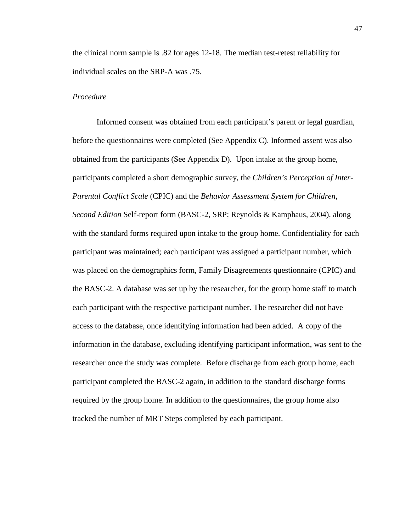the clinical norm sample is .82 for ages 12-18. The median test-retest reliability for individual scales on the SRP-A was .75.

## *Procedure*

Informed consent was obtained from each participant's parent or legal guardian, before the questionnaires were completed (See Appendix C). Informed assent was also obtained from the participants (See Appendix D). Upon intake at the group home, participants completed a short demographic survey, the *Children's Perception of Inter-Parental Conflict Scale* (CPIC) and the *Behavior Assessment System for Children, Second Edition* Self-report form (BASC-2, SRP; Reynolds & Kamphaus, 2004), along with the standard forms required upon intake to the group home. Confidentiality for each participant was maintained; each participant was assigned a participant number, which was placed on the demographics form, Family Disagreements questionnaire (CPIC) and the BASC-2. A database was set up by the researcher, for the group home staff to match each participant with the respective participant number. The researcher did not have access to the database, once identifying information had been added. A copy of the information in the database, excluding identifying participant information, was sent to the researcher once the study was complete. Before discharge from each group home, each participant completed the BASC-2 again, in addition to the standard discharge forms required by the group home. In addition to the questionnaires, the group home also tracked the number of MRT Steps completed by each participant.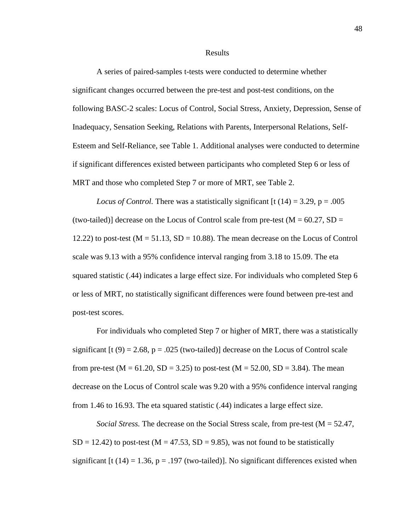### Results

A series of paired-samples t-tests were conducted to determine whether significant changes occurred between the pre-test and post-test conditions, on the following BASC-2 scales: Locus of Control, Social Stress, Anxiety, Depression, Sense of Inadequacy, Sensation Seeking, Relations with Parents, Interpersonal Relations, Self-Esteem and Self-Reliance, see Table 1. Additional analyses were conducted to determine if significant differences existed between participants who completed Step 6 or less of MRT and those who completed Step 7 or more of MRT, see Table 2.

*Locus of Control.* There was a statistically significant  $[t(14) = 3.29, p = .005$ (two-tailed)] decrease on the Locus of Control scale from pre-test  $(M = 60.27, SD =$ 12.22) to post-test  $(M = 51.13, SD = 10.88)$ . The mean decrease on the Locus of Control scale was 9.13 with a 95% confidence interval ranging from 3.18 to 15.09. The eta squared statistic (.44) indicates a large effect size. For individuals who completed Step 6 or less of MRT, no statistically significant differences were found between pre-test and post-test scores.

For individuals who completed Step 7 or higher of MRT, there was a statistically significant [t (9) = 2.68, p = .025 (two-tailed)] decrease on the Locus of Control scale from pre-test ( $M = 61.20$ ,  $SD = 3.25$ ) to post-test ( $M = 52.00$ ,  $SD = 3.84$ ). The mean decrease on the Locus of Control scale was 9.20 with a 95% confidence interval ranging from 1.46 to 16.93. The eta squared statistic (.44) indicates a large effect size.

*Social Stress.* The decrease on the Social Stress scale, from pre-test (M = 52.47,  $SD = 12.42$ ) to post-test (M = 47.53, SD = 9.85), was not found to be statistically significant  $[t(14) = 1.36, p = .197$  (two-tailed)]. No significant differences existed when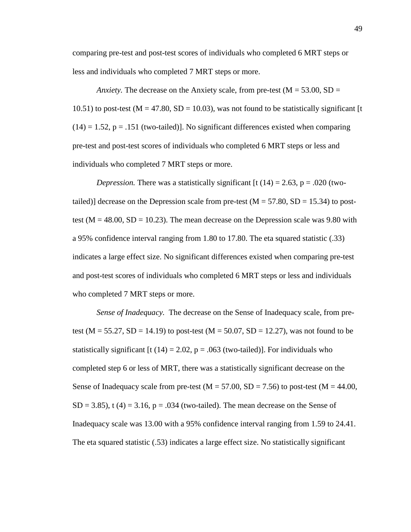comparing pre-test and post-test scores of individuals who completed 6 MRT steps or less and individuals who completed 7 MRT steps or more.

*Anxiety.* The decrease on the Anxiety scale, from pre-test ( $M = 53.00$ , SD = 10.51) to post-test ( $M = 47.80$ ,  $SD = 10.03$ ), was not found to be statistically significant [t  $(14) = 1.52$ ,  $p = .151$  (two-tailed)]. No significant differences existed when comparing pre-test and post-test scores of individuals who completed 6 MRT steps or less and individuals who completed 7 MRT steps or more.

*Depression.* There was a statistically significant  $[t(14) = 2.63, p = .020$  (twotailed)] decrease on the Depression scale from pre-test  $(M = 57.80, SD = 15.34)$  to posttest ( $M = 48.00$ ,  $SD = 10.23$ ). The mean decrease on the Depression scale was 9.80 with a 95% confidence interval ranging from 1.80 to 17.80. The eta squared statistic (.33) indicates a large effect size. No significant differences existed when comparing pre-test and post-test scores of individuals who completed 6 MRT steps or less and individuals who completed 7 MRT steps or more.

*Sense of Inadequacy.* The decrease on the Sense of Inadequacy scale, from pretest (M = 55.27, SD = 14.19) to post-test (M = 50.07, SD = 12.27), was not found to be statistically significant [t (14) = 2.02,  $p = .063$  (two-tailed)]. For individuals who completed step 6 or less of MRT, there was a statistically significant decrease on the Sense of Inadequacy scale from pre-test  $(M = 57.00, SD = 7.56)$  to post-test  $(M = 44.00,$  $SD = 3.85$ , t (4) = 3.16, p = .034 (two-tailed). The mean decrease on the Sense of Inadequacy scale was 13.00 with a 95% confidence interval ranging from 1.59 to 24.41. The eta squared statistic (.53) indicates a large effect size. No statistically significant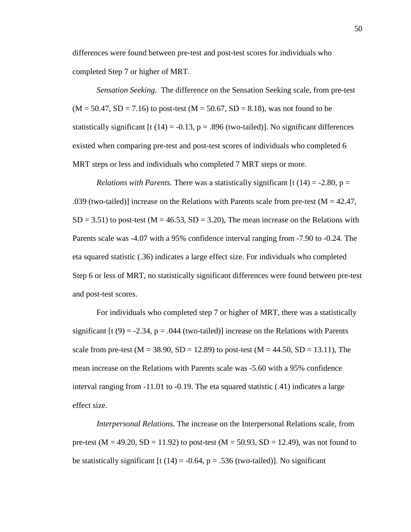differences were found between pre-test and post-test scores for individuals who completed Step 7 or higher of MRT.

*Sensation Seeking.* The difference on the Sensation Seeking scale, from pre-test  $(M = 50.47, SD = 7.16)$  to post-test  $(M = 50.67, SD = 8.18)$ , was not found to be statistically significant  $[t (14) = -0.13, p = .896$  (two-tailed)]. No significant differences existed when comparing pre-test and post-test scores of individuals who completed 6 MRT steps or less and individuals who completed 7 MRT steps or more.

*Relations with Parents.* There was a statistically significant  $[t(14) = -2.80, p =$ .039 (two-tailed)] increase on the Relations with Parents scale from pre-test ( $M = 42.47$ ,  $SD = 3.51$ ) to post-test (M = 46.53, SD = 3.20), The mean increase on the Relations with Parents scale was -4.07 with a 95% confidence interval ranging from -7.90 to -0.24. The eta squared statistic (.36) indicates a large effect size. For individuals who completed Step 6 or less of MRT, no statistically significant differences were found between pre-test and post-test scores.

For individuals who completed step 7 or higher of MRT, there was a statistically significant [t (9) = -2.34, p = .044 (two-tailed)] increase on the Relations with Parents scale from pre-test ( $M = 38.90$ ,  $SD = 12.89$ ) to post-test ( $M = 44.50$ ,  $SD = 13.11$ ), The mean increase on the Relations with Parents scale was -5.60 with a 95% confidence interval ranging from -11.01 to -0.19. The eta squared statistic (.41) indicates a large effect size.

*Interpersonal Relations.* The increase on the Interpersonal Relations scale, from pre-test ( $M = 49.20$ ,  $SD = 11.92$ ) to post-test ( $M = 50.93$ ,  $SD = 12.49$ ), was not found to be statistically significant [t (14) = -0.64, p = .536 (two-tailed)]. No significant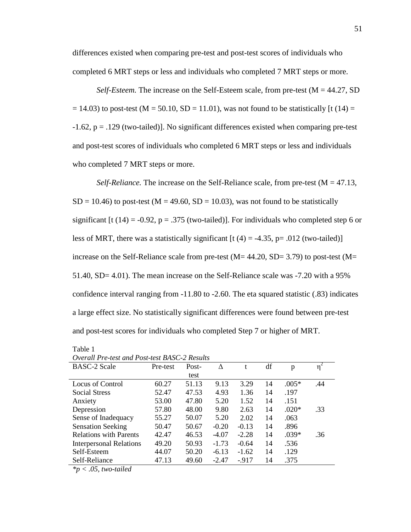differences existed when comparing pre-test and post-test scores of individuals who completed 6 MRT steps or less and individuals who completed 7 MRT steps or more.

*Self-Esteem.* The increase on the Self-Esteem scale, from pre-test  $(M = 44.27, SD$  $= 14.03$ ) to post-test (M = 50.10, SD = 11.01), was not found to be statistically [t (14) = -1.62, p = .129 (two-tailed)]. No significant differences existed when comparing pre-test and post-test scores of individuals who completed 6 MRT steps or less and individuals who completed 7 MRT steps or more.

*Self-Reliance.* The increase on the Self-Reliance scale, from pre-test ( $M = 47.13$ ,  $SD = 10.46$ ) to post-test (M = 49.60, SD = 10.03), was not found to be statistically significant [t (14) = -0.92, p = .375 (two-tailed)]. For individuals who completed step 6 or less of MRT, there was a statistically significant  $[t (4) = -4.35, p = .012$  (two-tailed)] increase on the Self-Reliance scale from pre-test  $(M= 44.20, SD= 3.79)$  to post-test  $(M=$ 51.40, SD= 4.01). The mean increase on the Self-Reliance scale was -7.20 with a 95% confidence interval ranging from -11.80 to -2.60. The eta squared statistic (.83) indicates a large effect size. No statistically significant differences were found between pre-test and post-test scores for individuals who completed Step 7 or higher of MRT.

| $\cup$ refunction and the contract of the contract $\cup$ . The contract of the contract of the contract of the contract of the contract of the contract of the contract of the contract of the contract of the contract of the c |          |       |         |         |    |         |     |
|-----------------------------------------------------------------------------------------------------------------------------------------------------------------------------------------------------------------------------------|----------|-------|---------|---------|----|---------|-----|
| <b>BASC-2 Scale</b>                                                                                                                                                                                                               | Pre-test | Post- | Δ       | t       | df | p       | η   |
|                                                                                                                                                                                                                                   |          | test  |         |         |    |         |     |
| Locus of Control                                                                                                                                                                                                                  | 60.27    | 51.13 | 9.13    | 3.29    | 14 | $.005*$ | .44 |
| <b>Social Stress</b>                                                                                                                                                                                                              | 52.47    | 47.53 | 4.93    | 1.36    | 14 | .197    |     |
| Anxiety                                                                                                                                                                                                                           | 53.00    | 47.80 | 5.20    | 1.52    | 14 | .151    |     |
| Depression                                                                                                                                                                                                                        | 57.80    | 48.00 | 9.80    | 2.63    | 14 | $.020*$ | .33 |
| Sense of Inadequacy                                                                                                                                                                                                               | 55.27    | 50.07 | 5.20    | 2.02    | 14 | .063    |     |
| <b>Sensation Seeking</b>                                                                                                                                                                                                          | 50.47    | 50.67 | $-0.20$ | $-0.13$ | 14 | .896    |     |
| <b>Relations with Parents</b>                                                                                                                                                                                                     | 42.47    | 46.53 | $-4.07$ | $-2.28$ | 14 | $.039*$ | .36 |
| <b>Interpersonal Relations</b>                                                                                                                                                                                                    | 49.20    | 50.93 | $-1.73$ | $-0.64$ | 14 | .536    |     |
| Self-Esteem                                                                                                                                                                                                                       | 44.07    | 50.20 | $-6.13$ | $-1.62$ | 14 | .129    |     |
| Self-Reliance                                                                                                                                                                                                                     | 47.13    | 49.60 | $-2.47$ | $-917$  | 14 | .375    |     |

*Overall Pre-test and Post-test BASC-2 Results*

*\*p < .05, two-tailed* 

Table 1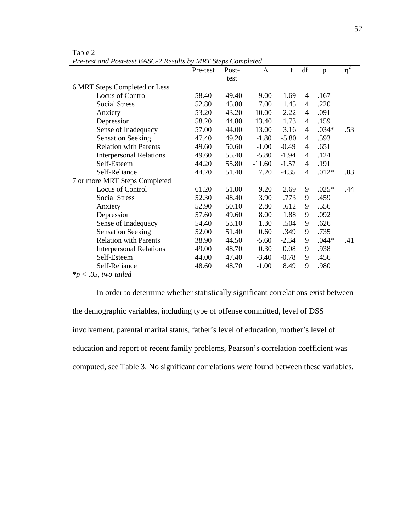| 6 MRT Steps Completed or Less<br>Locus of Control<br>58.40<br><b>Social Stress</b><br>52.80 | test<br>49.40<br>45.80<br>43.20 | 9.00<br>7.00<br>10.00 | 1.69<br>1.45 | 4 | .167    |     |
|---------------------------------------------------------------------------------------------|---------------------------------|-----------------------|--------------|---|---------|-----|
|                                                                                             |                                 |                       |              |   |         |     |
|                                                                                             |                                 |                       |              |   |         |     |
|                                                                                             |                                 |                       |              |   |         |     |
|                                                                                             |                                 |                       |              | 4 | .220    |     |
| 53.20<br>Anxiety                                                                            |                                 |                       | 2.22         | 4 | .091    |     |
| 58.20<br>Depression                                                                         | 44.80                           | 13.40                 | 1.73         | 4 | .159    |     |
| Sense of Inadequacy<br>57.00                                                                | 44.00                           | 13.00                 | 3.16         | 4 | $.034*$ | .53 |
| <b>Sensation Seeking</b><br>47.40                                                           | 49.20                           | $-1.80$               | $-5.80$      | 4 | .593    |     |
| <b>Relation with Parents</b><br>49.60                                                       | 50.60                           | $-1.00$               | $-0.49$      | 4 | .651    |     |
| <b>Interpersonal Relations</b><br>49.60                                                     | 55.40                           | $-5.80$               | $-1.94$      | 4 | .124    |     |
| Self-Esteem<br>44.20                                                                        | 55.80                           | $-11.60$              | $-1.57$      | 4 | .191    |     |
| Self-Reliance<br>44.20                                                                      | 51.40                           | 7.20                  | $-4.35$      | 4 | $.012*$ | .83 |
| 7 or more MRT Steps Completed                                                               |                                 |                       |              |   |         |     |
| Locus of Control<br>61.20                                                                   | 51.00                           | 9.20                  | 2.69         | 9 | $.025*$ | .44 |
| <b>Social Stress</b><br>52.30                                                               | 48.40                           | 3.90                  | .773         | 9 | .459    |     |
| Anxiety<br>52.90                                                                            | 50.10                           | 2.80                  | .612         | 9 | .556    |     |
| Depression<br>57.60                                                                         | 49.60                           | 8.00                  | 1.88         | 9 | .092    |     |
| Sense of Inadequacy<br>54.40                                                                | 53.10                           | 1.30                  | .504         | 9 | .626    |     |
| <b>Sensation Seeking</b><br>52.00                                                           | 51.40                           | 0.60                  | .349         | 9 | .735    |     |
| <b>Relation with Parents</b><br>38.90                                                       | 44.50                           | $-5.60$               | $-2.34$      | 9 | $.044*$ | .41 |
| <b>Interpersonal Relations</b><br>49.00                                                     | 48.70                           | 0.30                  | 0.08         | 9 | .938    |     |
| Self-Esteem<br>44.00                                                                        | 47.40                           | $-3.40$               | $-0.78$      | 9 | .456    |     |
| Self-Reliance<br>48.60                                                                      | 48.70                           | $-1.00$               | 8.49         | 9 | .980    |     |

Table 2 *Pre-test and Post-test BASC-2 Results by MRT Steps Completed*

*\*p < .05, two-tailed* 

In order to determine whether statistically significant correlations exist between the demographic variables, including type of offense committed, level of DSS involvement, parental marital status, father's level of education, mother's level of education and report of recent family problems, Pearson's correlation coefficient was computed, see Table 3. No significant correlations were found between these variables.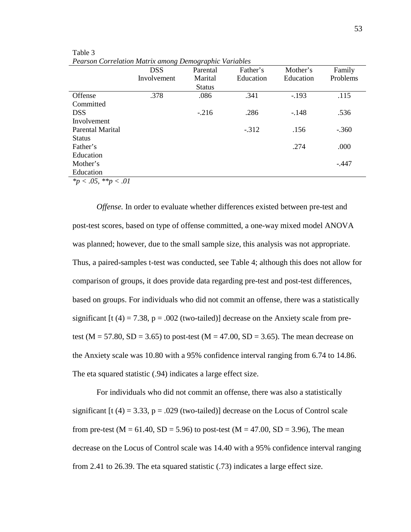|                            | <b>DSS</b>  | Parental      | Father's  | Mother's  | Family   |
|----------------------------|-------------|---------------|-----------|-----------|----------|
|                            | Involvement | Marital       | Education | Education | Problems |
|                            |             | <b>Status</b> |           |           |          |
| Offense                    | .378        | .086          | .341      | $-.193$   | .115     |
| Committed                  |             |               |           |           |          |
| <b>DSS</b>                 |             | $-.216$       | .286      | $-.148$   | .536     |
| Involvement                |             |               |           |           |          |
| Parental Marital           |             |               | $-.312$   | .156      | $-.360$  |
| <b>Status</b>              |             |               |           |           |          |
| Father's                   |             |               |           | .274      | .000     |
| Education                  |             |               |           |           |          |
| Mother's                   |             |               |           |           | -.447    |
| Education                  |             |               |           |           |          |
| * $p < .05$ , ** $p < .01$ |             |               |           |           |          |

Table 3 *Pearson Correlation Matrix among Demographic Variables*

*Offense.* In order to evaluate whether differences existed between pre-test and post-test scores, based on type of offense committed, a one-way mixed model ANOVA was planned; however, due to the small sample size, this analysis was not appropriate. Thus, a paired-samples t-test was conducted, see Table 4; although this does not allow for comparison of groups, it does provide data regarding pre-test and post-test differences, based on groups. For individuals who did not commit an offense, there was a statistically significant  $[t (4) = 7.38, p = .002$  (two-tailed)] decrease on the Anxiety scale from pretest (M = 57.80, SD = 3.65) to post-test (M = 47.00, SD = 3.65). The mean decrease on the Anxiety scale was 10.80 with a 95% confidence interval ranging from 6.74 to 14.86. The eta squared statistic (.94) indicates a large effect size.

For individuals who did not commit an offense, there was also a statistically significant [t (4) = 3.33, p = .029 (two-tailed)] decrease on the Locus of Control scale from pre-test ( $M = 61.40$ ,  $SD = 5.96$ ) to post-test ( $M = 47.00$ ,  $SD = 3.96$ ), The mean decrease on the Locus of Control scale was 14.40 with a 95% confidence interval ranging from 2.41 to 26.39. The eta squared statistic (.73) indicates a large effect size.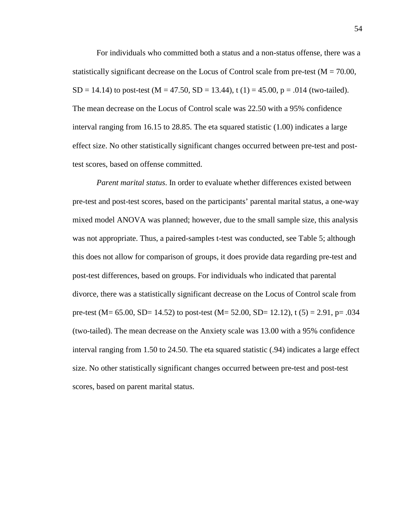For individuals who committed both a status and a non-status offense, there was a statistically significant decrease on the Locus of Control scale from pre-test ( $M = 70.00$ ,  $SD = 14.14$ ) to post-test (M = 47.50, SD = 13.44), t (1) = 45.00, p = .014 (two-tailed). The mean decrease on the Locus of Control scale was 22.50 with a 95% confidence interval ranging from 16.15 to 28.85. The eta squared statistic (1.00) indicates a large effect size. No other statistically significant changes occurred between pre-test and posttest scores, based on offense committed.

*Parent marital status*. In order to evaluate whether differences existed between pre-test and post-test scores, based on the participants' parental marital status, a one-way mixed model ANOVA was planned; however, due to the small sample size, this analysis was not appropriate. Thus, a paired-samples t-test was conducted, see Table 5; although this does not allow for comparison of groups, it does provide data regarding pre-test and post-test differences, based on groups. For individuals who indicated that parental divorce, there was a statistically significant decrease on the Locus of Control scale from pre-test (M= 65.00, SD= 14.52) to post-test (M= 52.00, SD= 12.12), t (5) = 2.91, p= .034 (two-tailed). The mean decrease on the Anxiety scale was 13.00 with a 95% confidence interval ranging from 1.50 to 24.50. The eta squared statistic (.94) indicates a large effect size. No other statistically significant changes occurred between pre-test and post-test scores, based on parent marital status.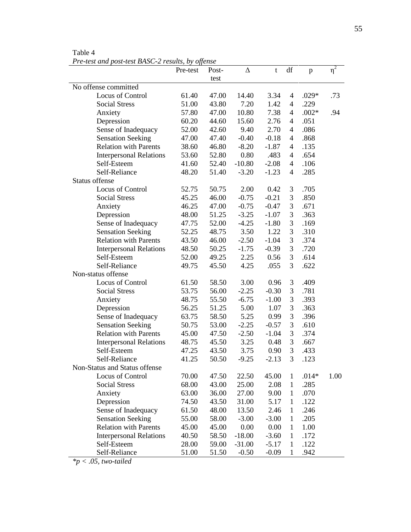Table 4 *Pre-test and post-test BASC-2 results, by offense*

|                       |                                | Pre-test | Post- | $\Delta$ | t       | df             | p       | $\eta^2$ |
|-----------------------|--------------------------------|----------|-------|----------|---------|----------------|---------|----------|
|                       |                                |          | test  |          |         |                |         |          |
|                       | No offense committed           |          |       |          |         |                |         |          |
|                       | Locus of Control               | 61.40    | 47.00 | 14.40    | 3.34    | 4              | $.029*$ | .73      |
|                       | <b>Social Stress</b>           | 51.00    | 43.80 | 7.20     | 1.42    | $\overline{4}$ | .229    |          |
|                       | Anxiety                        | 57.80    | 47.00 | 10.80    | 7.38    | 4              | $.002*$ | .94      |
|                       | Depression                     | 60.20    | 44.60 | 15.60    | 2.76    | 4              | .051    |          |
|                       | Sense of Inadequacy            | 52.00    | 42.60 | 9.40     | 2.70    | 4              | .086    |          |
|                       | <b>Sensation Seeking</b>       | 47.00    | 47.40 | $-0.40$  | $-0.18$ | 4              | .868    |          |
|                       | <b>Relation with Parents</b>   | 38.60    | 46.80 | $-8.20$  | $-1.87$ | 4              | .135    |          |
|                       | <b>Interpersonal Relations</b> | 53.60    | 52.80 | 0.80     | .483    | 4              | .654    |          |
|                       | Self-Esteem                    | 41.60    | 52.40 | $-10.80$ | $-2.08$ | $\overline{4}$ | .106    |          |
|                       | Self-Reliance                  | 48.20    | 51.40 | $-3.20$  | $-1.23$ | $\overline{4}$ | .285    |          |
| <b>Status offense</b> |                                |          |       |          |         |                |         |          |
|                       | Locus of Control               | 52.75    | 50.75 | 2.00     | 0.42    | 3              | .705    |          |
|                       | <b>Social Stress</b>           | 45.25    | 46.00 | $-0.75$  | $-0.21$ | 3              | .850    |          |
|                       | Anxiety                        | 46.25    | 47.00 | $-0.75$  | $-0.47$ | 3              | .671    |          |
|                       | Depression                     | 48.00    | 51.25 | $-3.25$  | $-1.07$ | 3              | .363    |          |
|                       | Sense of Inadequacy            | 47.75    | 52.00 | $-4.25$  | $-1.80$ | 3              | .169    |          |
|                       | <b>Sensation Seeking</b>       | 52.25    | 48.75 | 3.50     | 1.22    | 3              | .310    |          |
|                       | <b>Relation with Parents</b>   | 43.50    | 46.00 | $-2.50$  | $-1.04$ | 3              | .374    |          |
|                       | <b>Interpersonal Relations</b> | 48.50    | 50.25 | $-1.75$  | $-0.39$ | 3              | .720    |          |
|                       | Self-Esteem                    | 52.00    | 49.25 | 2.25     | 0.56    | 3              | .614    |          |
|                       | Self-Reliance                  | 49.75    | 45.50 | 4.25     | .055    | 3              | .622    |          |
| Non-status offense    |                                |          |       |          |         |                |         |          |
|                       | Locus of Control               | 61.50    | 58.50 | 3.00     | 0.96    | 3              | .409    |          |
|                       | <b>Social Stress</b>           | 53.75    | 56.00 | $-2.25$  | $-0.30$ | 3              | .781    |          |
|                       | Anxiety                        | 48.75    | 55.50 | $-6.75$  | $-1.00$ | 3              | .393    |          |
|                       | Depression                     | 56.25    | 51.25 | 5.00     | 1.07    | 3              | .363    |          |
|                       | Sense of Inadequacy            | 63.75    | 58.50 | 5.25     | 0.99    | 3              | .396    |          |
|                       | <b>Sensation Seeking</b>       | 50.75    | 53.00 | $-2.25$  | $-0.57$ | 3              | .610    |          |
|                       | <b>Relation with Parents</b>   | 45.00    | 47.50 | $-2.50$  | $-1.04$ | 3              | .374    |          |
|                       | <b>Interpersonal Relations</b> | 48.75    | 45.50 | 3.25     | 0.48    | 3              | .667    |          |
|                       | Self-Esteem                    | 47.25    | 43.50 | 3.75     | 0.90    | 3              | .433    |          |
|                       | Self-Reliance                  | 41.25    | 50.50 | $-9.25$  | $-2.13$ | 3              | .123    |          |
|                       | Non-Status and Status offense  |          |       |          |         |                |         |          |
|                       | Locus of Control               | 70.00    | 47.50 | 22.50    | 45.00   | $\mathbf{1}$   | $.014*$ | 1.00     |
|                       | <b>Social Stress</b>           | 68.00    | 43.00 | 25.00    | 2.08    | $\mathbf{1}$   | .285    |          |
|                       | Anxiety                        | 63.00    | 36.00 | 27.00    | 9.00    | $\mathbf{1}$   | .070    |          |
|                       | Depression                     | 74.50    | 43.50 | 31.00    | 5.17    | $\mathbf{1}$   | .122    |          |
|                       | Sense of Inadequacy            | 61.50    | 48.00 | 13.50    | 2.46    | $\mathbf{1}$   | .246    |          |
|                       | <b>Sensation Seeking</b>       | 55.00    | 58.00 | $-3.00$  | $-3.00$ | $\mathbf{1}$   | .205    |          |
|                       | <b>Relation with Parents</b>   | 45.00    | 45.00 | 0.00     | 0.00    | $\mathbf{1}$   | 1.00    |          |
|                       | <b>Interpersonal Relations</b> | 40.50    | 58.50 | $-18.00$ | $-3.60$ | $\mathbf{1}$   | .172    |          |
|                       | Self-Esteem                    | 28.00    | 59.00 | $-31.00$ | $-5.17$ | $\mathbf{1}$   | .122    |          |
|                       | Self-Reliance                  | 51.00    | 51.50 | $-0.50$  | $-0.09$ | 1              | .942    |          |

*\*p < .05, two-tailed*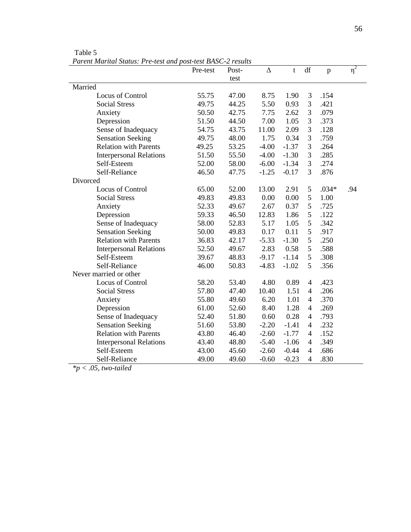| т агент магнатышая. Тте-тем ини розг-тем DASC-2 темпя | Pre-test | Post- | Δ       | t       | df             | $\, {\bf p}$ | $\eta^2$ |
|-------------------------------------------------------|----------|-------|---------|---------|----------------|--------------|----------|
|                                                       |          | test  |         |         |                |              |          |
| Married                                               |          |       |         |         |                |              |          |
| Locus of Control                                      | 55.75    | 47.00 | 8.75    | 1.90    | 3              | .154         |          |
| <b>Social Stress</b>                                  | 49.75    | 44.25 | 5.50    | 0.93    | 3              | .421         |          |
| Anxiety                                               | 50.50    | 42.75 | 7.75    | 2.62    | 3              | .079         |          |
| Depression                                            | 51.50    | 44.50 | 7.00    | 1.05    | 3              | .373         |          |
| Sense of Inadequacy                                   | 54.75    | 43.75 | 11.00   | 2.09    | 3              | .128         |          |
| <b>Sensation Seeking</b>                              | 49.75    | 48.00 | 1.75    | 0.34    | 3              | .759         |          |
| <b>Relation with Parents</b>                          | 49.25    | 53.25 | $-4.00$ | $-1.37$ | 3              | .264         |          |
| <b>Interpersonal Relations</b>                        | 51.50    | 55.50 | $-4.00$ | $-1.30$ | 3              | .285         |          |
| Self-Esteem                                           | 52.00    | 58.00 | $-6.00$ | $-1.34$ | 3              | .274         |          |
| Self-Reliance                                         | 46.50    | 47.75 | $-1.25$ | $-0.17$ | 3              | .876         |          |
| Divorced                                              |          |       |         |         |                |              |          |
| Locus of Control                                      | 65.00    | 52.00 | 13.00   | 2.91    | $\mathfrak{S}$ | $.034*$      | .94      |
| <b>Social Stress</b>                                  | 49.83    | 49.83 | 0.00    | 0.00    | 5              | 1.00         |          |
| Anxiety                                               | 52.33    | 49.67 | 2.67    | 0.37    | 5              | .725         |          |
| Depression                                            | 59.33    | 46.50 | 12.83   | 1.86    | 5              | .122         |          |
| Sense of Inadequacy                                   | 58.00    | 52.83 | 5.17    | 1.05    | 5              | .342         |          |
| <b>Sensation Seeking</b>                              | 50.00    | 49.83 | 0.17    | 0.11    | 5              | .917         |          |
| <b>Relation with Parents</b>                          | 36.83    | 42.17 | $-5.33$ | $-1.30$ | 5              | .250         |          |
| <b>Interpersonal Relations</b>                        | 52.50    | 49.67 | 2.83    | 0.58    | 5              | .588         |          |
| Self-Esteem                                           | 39.67    | 48.83 | $-9.17$ | $-1.14$ | 5              | .308         |          |
| Self-Reliance                                         | 46.00    | 50.83 | $-4.83$ | $-1.02$ | 5              | .356         |          |
| Never married or other                                |          |       |         |         |                |              |          |
| Locus of Control                                      | 58.20    | 53.40 | 4.80    | 0.89    | 4              | .423         |          |
| <b>Social Stress</b>                                  | 57.80    | 47.40 | 10.40   | 1.51    | 4              | .206         |          |
| Anxiety                                               | 55.80    | 49.60 | 6.20    | 1.01    | $\overline{4}$ | .370         |          |
| Depression                                            | 61.00    | 52.60 | 8.40    | 1.28    | 4              | .269         |          |
| Sense of Inadequacy                                   | 52.40    | 51.80 | 0.60    | 0.28    | $\overline{4}$ | .793         |          |
| <b>Sensation Seeking</b>                              | 51.60    | 53.80 | $-2.20$ | $-1.41$ | $\overline{4}$ | .232         |          |
| <b>Relation with Parents</b>                          | 43.80    | 46.40 | $-2.60$ | $-1.77$ | $\overline{4}$ | .152         |          |
| <b>Interpersonal Relations</b>                        | 43.40    | 48.80 | $-5.40$ | $-1.06$ | $\overline{4}$ | .349         |          |
| Self-Esteem                                           | 43.00    | 45.60 | $-2.60$ | $-0.44$ | $\overline{4}$ | .686         |          |
| Self-Reliance                                         | 49.00    | 49.60 | $-0.60$ | $-0.23$ | 4              | .830         |          |

Table 5 *Parent Marital Status: Pre-test and post-test BASC-2 results*

*\*p < .05, two-tailed*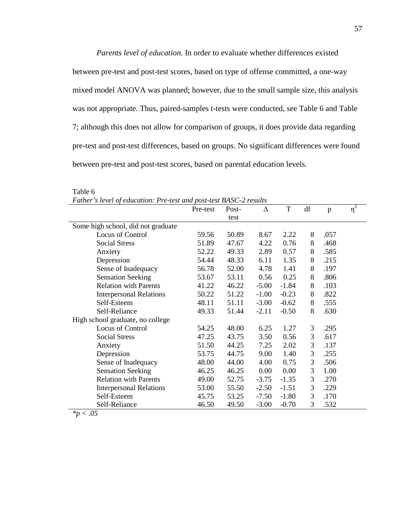*Parents level of education.* In order to evaluate whether differences existed between pre-test and post-test scores, based on type of offense committed, a one-way mixed model ANOVA was planned; however, due to the small sample size, this analysis was not appropriate. Thus, paired-samples t-tests were conducted, see Table 6 and Table 7; although this does not allow for comparison of groups, it does provide data regarding pre-test and post-test differences, based on groups. No significant differences were found between pre-test and post-test scores, based on parental education levels.

|                                    | Pre-test | Post- | Δ       | T       | df | p    | $\eta^2$ |
|------------------------------------|----------|-------|---------|---------|----|------|----------|
|                                    |          | test  |         |         |    |      |          |
| Some high school, did not graduate |          |       |         |         |    |      |          |
| Locus of Control                   | 59.56    | 50.89 | 8.67    | 2.22    | 8  | .057 |          |
| <b>Social Stress</b>               | 51.89    | 47.67 | 4.22    | 0.76    | 8  | .468 |          |
| Anxiety                            | 52.22    | 49.33 | 2.89    | 0.57    | 8  | .585 |          |
| Depression                         | 54.44    | 48.33 | 6.11    | 1.35    | 8  | .215 |          |
| Sense of Inadequacy                | 56.78    | 52.00 | 4.78    | 1.41    | 8  | .197 |          |
| <b>Sensation Seeking</b>           | 53.67    | 53.11 | 0.56    | 0.25    | 8  | .806 |          |
| <b>Relation with Parents</b>       | 41.22    | 46.22 | $-5.00$ | $-1.84$ | 8  | .103 |          |
| <b>Interpersonal Relations</b>     | 50.22    | 51.22 | $-1.00$ | $-0.23$ | 8  | .822 |          |
| Self-Esteem                        | 48.11    | 51.11 | $-3.00$ | $-0.62$ | 8  | .555 |          |
| Self-Reliance                      | 49.33    | 51.44 | $-2.11$ | $-0.50$ | 8  | .630 |          |
| High school graduate, no college   |          |       |         |         |    |      |          |
| Locus of Control                   | 54.25    | 48.00 | 6.25    | 1.27    | 3  | .295 |          |
| <b>Social Stress</b>               | 47.25    | 43.75 | 3.50    | 0.56    | 3  | .617 |          |
| Anxiety                            | 51.50    | 44.25 | 7.25    | 2.02    | 3  | .137 |          |
| Depression                         | 53.75    | 44.75 | 9.00    | 1.40    | 3  | .255 |          |
| Sense of Inadequacy                | 48.00    | 44.00 | 4.00    | 0.75    | 3  | .506 |          |
| <b>Sensation Seeking</b>           | 46.25    | 46.25 | 0.00    | 0.00    | 3  | 1.00 |          |
| <b>Relation with Parents</b>       | 49.00    | 52.75 | $-3.75$ | $-1.35$ | 3  | .270 |          |
| <b>Interpersonal Relations</b>     | 53.00    | 55.50 | $-2.50$ | $-1.51$ | 3  | .229 |          |
| Self-Esteem                        | 45.75    | 53.25 | $-7.50$ | $-1.80$ | 3  | .170 |          |
| Self-Reliance                      | 46.50    | 49.50 | $-3.00$ | $-0.70$ | 3  | .532 |          |

Table 6

*Father's level of education: Pre-test and post-test BASC-2 results*

*\*p < .05*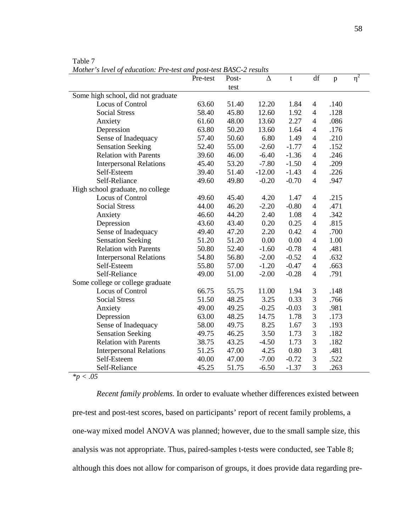|                                    | Pre-test | Post- | Δ        | t       | df             | $\, {\bf p}$ | $\eta^2$ |
|------------------------------------|----------|-------|----------|---------|----------------|--------------|----------|
|                                    |          | test  |          |         |                |              |          |
| Some high school, did not graduate |          |       |          |         |                |              |          |
| Locus of Control                   | 63.60    | 51.40 | 12.20    | 1.84    | $\overline{4}$ | .140         |          |
| <b>Social Stress</b>               | 58.40    | 45.80 | 12.60    | 1.92    | $\overline{4}$ | .128         |          |
| Anxiety                            | 61.60    | 48.00 | 13.60    | 2.27    | $\overline{4}$ | .086         |          |
| Depression                         | 63.80    | 50.20 | 13.60    | 1.64    | $\overline{4}$ | .176         |          |
| Sense of Inadequacy                | 57.40    | 50.60 | 6.80     | 1.49    | $\overline{4}$ | .210         |          |
| <b>Sensation Seeking</b>           | 52.40    | 55.00 | $-2.60$  | $-1.77$ | $\overline{4}$ | .152         |          |
| <b>Relation with Parents</b>       | 39.60    | 46.00 | $-6.40$  | $-1.36$ | $\overline{4}$ | .246         |          |
| <b>Interpersonal Relations</b>     | 45.40    | 53.20 | $-7.80$  | $-1.50$ | $\overline{4}$ | .209         |          |
| Self-Esteem                        | 39.40    | 51.40 | $-12.00$ | $-1.43$ | $\overline{4}$ | .226         |          |
| Self-Reliance                      | 49.60    | 49.80 | $-0.20$  | $-0.70$ | $\overline{4}$ | .947         |          |
| High school graduate, no college   |          |       |          |         |                |              |          |
| Locus of Control                   | 49.60    | 45.40 | 4.20     | 1.47    | $\overline{4}$ | .215         |          |
| <b>Social Stress</b>               | 44.00    | 46.20 | $-2.20$  | $-0.80$ | $\overline{4}$ | .471         |          |
| Anxiety                            | 46.60    | 44.20 | 2.40     | 1.08    | $\overline{4}$ | .342         |          |
| Depression                         | 43.60    | 43.40 | 0.20     | 0.25    | $\overline{4}$ | .815         |          |
| Sense of Inadequacy                | 49.40    | 47.20 | 2.20     | 0.42    | $\overline{4}$ | .700         |          |
| <b>Sensation Seeking</b>           | 51.20    | 51.20 | 0.00     | 0.00    | $\overline{4}$ | 1.00         |          |
| <b>Relation with Parents</b>       | 50.80    | 52.40 | $-1.60$  | $-0.78$ | $\overline{4}$ | .481         |          |
| <b>Interpersonal Relations</b>     | 54.80    | 56.80 | $-2.00$  | $-0.52$ | $\overline{4}$ | .632         |          |
| Self-Esteem                        | 55.80    | 57.00 | $-1.20$  | $-0.47$ | $\overline{4}$ | .663         |          |
| Self-Reliance                      | 49.00    | 51.00 | $-2.00$  | $-0.28$ | $\overline{4}$ | .791         |          |
| Some college or college graduate   |          |       |          |         |                |              |          |
| Locus of Control                   | 66.75    | 55.75 | 11.00    | 1.94    | $\mathfrak{Z}$ | .148         |          |
| <b>Social Stress</b>               | 51.50    | 48.25 | 3.25     | 0.33    | 3              | .766         |          |
| Anxiety                            | 49.00    | 49.25 | $-0.25$  | $-0.03$ | 3              | .981         |          |
| Depression                         | 63.00    | 48.25 | 14.75    | 1.78    | 3              | .173         |          |
| Sense of Inadequacy                | 58.00    | 49.75 | 8.25     | 1.67    | 3              | .193         |          |
| <b>Sensation Seeking</b>           | 49.75    | 46.25 | 3.50     | 1.73    | 3              | .182         |          |
| <b>Relation with Parents</b>       | 38.75    | 43.25 | $-4.50$  | 1.73    | 3              | .182         |          |
| <b>Interpersonal Relations</b>     | 51.25    | 47.00 | 4.25     | 0.80    | 3              | .481         |          |
| Self-Esteem                        | 40.00    | 47.00 | $-7.00$  | $-0.72$ | 3              | .522         |          |
| Self-Reliance                      | 45.25    | 51.75 | $-6.50$  | $-1.37$ | 3              | .263         |          |
| $*p$ < .05                         |          |       |          |         |                |              |          |

Table 7

*Mother's level of education: Pre-test and post-test BASC-2 results*

*Recent family problems.* In order to evaluate whether differences existed between pre-test and post-test scores, based on participants' report of recent family problems, a one-way mixed model ANOVA was planned; however, due to the small sample size, this analysis was not appropriate. Thus, paired-samples t-tests were conducted, see Table 8; although this does not allow for comparison of groups, it does provide data regarding pre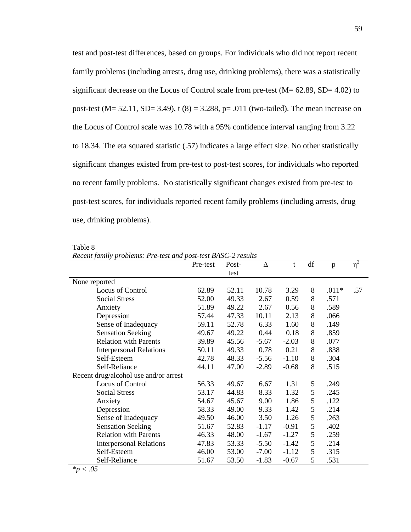test and post-test differences, based on groups. For individuals who did not report recent family problems (including arrests, drug use, drinking problems), there was a statistically significant decrease on the Locus of Control scale from pre-test  $(M = 62.89, SD = 4.02)$  to post-test (M= 52.11, SD= 3.49), t (8) = 3.288, p= .011 (two-tailed). The mean increase on the Locus of Control scale was 10.78 with a 95% confidence interval ranging from 3.22 to 18.34. The eta squared statistic (.57) indicates a large effect size. No other statistically significant changes existed from pre-test to post-test scores, for individuals who reported no recent family problems. No statistically significant changes existed from pre-test to post-test scores, for individuals reported recent family problems (including arrests, drug use, drinking problems).

Table 8

*Recent family problems: Pre-test and post-test BASC-2 results*

|                                       | Pre-test | Post- | Δ       | t       | df | p       | $\eta^2$ |
|---------------------------------------|----------|-------|---------|---------|----|---------|----------|
|                                       |          | test  |         |         |    |         |          |
| None reported                         |          |       |         |         |    |         |          |
| Locus of Control                      | 62.89    | 52.11 | 10.78   | 3.29    | 8  | $.011*$ | .57      |
| <b>Social Stress</b>                  | 52.00    | 49.33 | 2.67    | 0.59    | 8  | .571    |          |
| Anxiety                               | 51.89    | 49.22 | 2.67    | 0.56    | 8  | .589    |          |
| Depression                            | 57.44    | 47.33 | 10.11   | 2.13    | 8  | .066    |          |
| Sense of Inadequacy                   | 59.11    | 52.78 | 6.33    | 1.60    | 8  | .149    |          |
| <b>Sensation Seeking</b>              | 49.67    | 49.22 | 0.44    | 0.18    | 8  | .859    |          |
| <b>Relation with Parents</b>          | 39.89    | 45.56 | $-5.67$ | $-2.03$ | 8  | .077    |          |
| <b>Interpersonal Relations</b>        | 50.11    | 49.33 | 0.78    | 0.21    | 8  | .838    |          |
| Self-Esteem                           | 42.78    | 48.33 | $-5.56$ | $-1.10$ | 8  | .304    |          |
| Self-Reliance                         | 44.11    | 47.00 | $-2.89$ | $-0.68$ | 8  | .515    |          |
| Recent drug/alcohol use and/or arrest |          |       |         |         |    |         |          |
| Locus of Control                      | 56.33    | 49.67 | 6.67    | 1.31    | 5  | .249    |          |
| <b>Social Stress</b>                  | 53.17    | 44.83 | 8.33    | 1.32    | 5  | .245    |          |
| Anxiety                               | 54.67    | 45.67 | 9.00    | 1.86    | 5  | .122    |          |
| Depression                            | 58.33    | 49.00 | 9.33    | 1.42    | 5  | .214    |          |
| Sense of Inadequacy                   | 49.50    | 46.00 | 3.50    | 1.26    | 5  | .263    |          |
| <b>Sensation Seeking</b>              | 51.67    | 52.83 | $-1.17$ | $-0.91$ | 5  | .402    |          |
| <b>Relation with Parents</b>          | 46.33    | 48.00 | $-1.67$ | $-1.27$ | 5  | .259    |          |
| <b>Interpersonal Relations</b>        | 47.83    | 53.33 | $-5.50$ | $-1.42$ | 5  | .214    |          |
| Self-Esteem                           | 46.00    | 53.00 | $-7.00$ | $-1.12$ | 5  | .315    |          |
| Self-Reliance                         | 51.67    | 53.50 | $-1.83$ | $-0.67$ | 5  | .531    |          |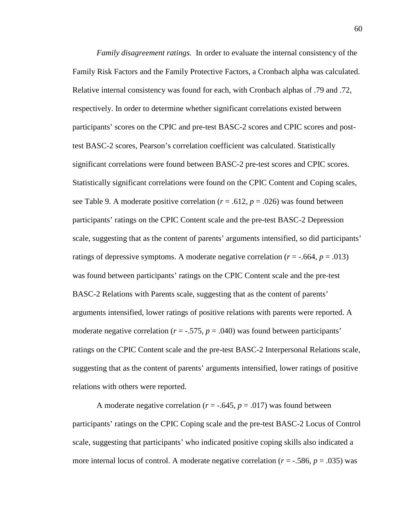*Family disagreement ratings.* In order to evaluate the internal consistency of the Family Risk Factors and the Family Protective Factors, a Cronbach alpha was calculated. Relative internal consistency was found for each, with Cronbach alphas of .79 and .72, respectively. In order to determine whether significant correlations existed between participants' scores on the CPIC and pre-test BASC-2 scores and CPIC scores and posttest BASC-2 scores, Pearson's correlation coefficient was calculated. Statistically significant correlations were found between BASC-2 pre-test scores and CPIC scores. Statistically significant correlations were found on the CPIC Content and Coping scales, see Table 9. A moderate positive correlation  $(r = .612, p = .026)$  was found between participants' ratings on the CPIC Content scale and the pre-test BASC-2 Depression scale, suggesting that as the content of parents' arguments intensified, so did participants' ratings of depressive symptoms. A moderate negative correlation  $(r = -.664, p = .013)$ was found between participants' ratings on the CPIC Content scale and the pre-test BASC-2 Relations with Parents scale, suggesting that as the content of parents' arguments intensified, lower ratings of positive relations with parents were reported. A moderate negative correlation  $(r = -.575, p = .040)$  was found between participants' ratings on the CPIC Content scale and the pre-test BASC-2 Interpersonal Relations scale, suggesting that as the content of parents' arguments intensified, lower ratings of positive relations with others were reported.

A moderate negative correlation ( $r = -.645$ ,  $p = .017$ ) was found between participants' ratings on the CPIC Coping scale and the pre-test BASC-2 Locus of Control scale, suggesting that participants' who indicated positive coping skills also indicated a more internal locus of control. A moderate negative correlation (*r* = -.586, *p* = .035) was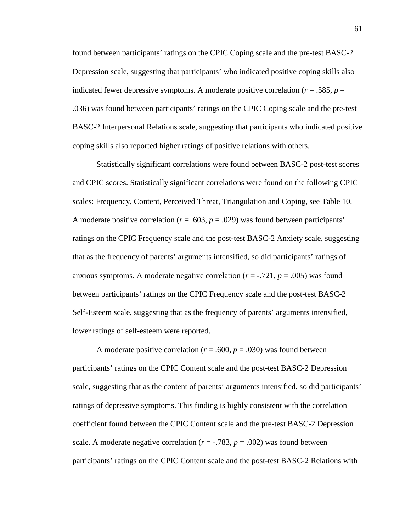found between participants' ratings on the CPIC Coping scale and the pre-test BASC-2 Depression scale, suggesting that participants' who indicated positive coping skills also indicated fewer depressive symptoms. A moderate positive correlation  $(r = .585, p =$ .036) was found between participants' ratings on the CPIC Coping scale and the pre-test BASC-2 Interpersonal Relations scale, suggesting that participants who indicated positive coping skills also reported higher ratings of positive relations with others.

Statistically significant correlations were found between BASC-2 post-test scores and CPIC scores. Statistically significant correlations were found on the following CPIC scales: Frequency, Content, Perceived Threat, Triangulation and Coping, see Table 10. A moderate positive correlation  $(r = .603, p = .029)$  was found between participants' ratings on the CPIC Frequency scale and the post-test BASC-2 Anxiety scale, suggesting that as the frequency of parents' arguments intensified, so did participants' ratings of anxious symptoms. A moderate negative correlation  $(r = -0.721, p = .005)$  was found between participants' ratings on the CPIC Frequency scale and the post-test BASC-2 Self-Esteem scale, suggesting that as the frequency of parents' arguments intensified, lower ratings of self-esteem were reported.

A moderate positive correlation ( $r = .600$ ,  $p = .030$ ) was found between participants' ratings on the CPIC Content scale and the post-test BASC-2 Depression scale, suggesting that as the content of parents' arguments intensified, so did participants' ratings of depressive symptoms. This finding is highly consistent with the correlation coefficient found between the CPIC Content scale and the pre-test BASC-2 Depression scale. A moderate negative correlation  $(r = -0.783, p = 0.002)$  was found between participants' ratings on the CPIC Content scale and the post-test BASC-2 Relations with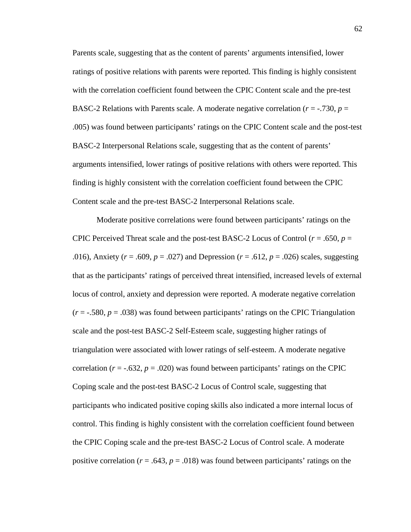Parents scale, suggesting that as the content of parents' arguments intensified, lower ratings of positive relations with parents were reported. This finding is highly consistent with the correlation coefficient found between the CPIC Content scale and the pre-test BASC-2 Relations with Parents scale. A moderate negative correlation  $(r = -0.730, p = 0.730)$ .005) was found between participants' ratings on the CPIC Content scale and the post-test BASC-2 Interpersonal Relations scale, suggesting that as the content of parents' arguments intensified, lower ratings of positive relations with others were reported. This finding is highly consistent with the correlation coefficient found between the CPIC Content scale and the pre-test BASC-2 Interpersonal Relations scale.

Moderate positive correlations were found between participants' ratings on the CPIC Perceived Threat scale and the post-test BASC-2 Locus of Control (*r* = .650, *p* = .016), Anxiety (*r* = .609, *p* = .027) and Depression (*r* = .612, *p* = .026) scales, suggesting that as the participants' ratings of perceived threat intensified, increased levels of external locus of control, anxiety and depression were reported. A moderate negative correlation  $(r = -.580, p = .038)$  was found between participants' ratings on the CPIC Triangulation scale and the post-test BASC-2 Self-Esteem scale, suggesting higher ratings of triangulation were associated with lower ratings of self-esteem. A moderate negative correlation  $(r = -.632, p = .020)$  was found between participants' ratings on the CPIC Coping scale and the post-test BASC-2 Locus of Control scale, suggesting that participants who indicated positive coping skills also indicated a more internal locus of control. This finding is highly consistent with the correlation coefficient found between the CPIC Coping scale and the pre-test BASC-2 Locus of Control scale. A moderate positive correlation ( $r = .643$ ,  $p = .018$ ) was found between participants' ratings on the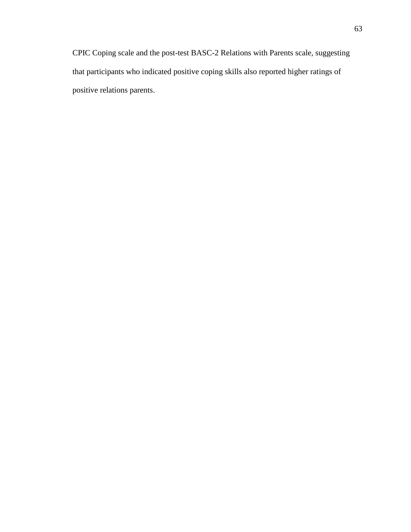CPIC Coping scale and the post-test BASC-2 Relations with Parents scale, suggesting that participants who indicated positive coping skills also reported higher ratings of positive relations parents.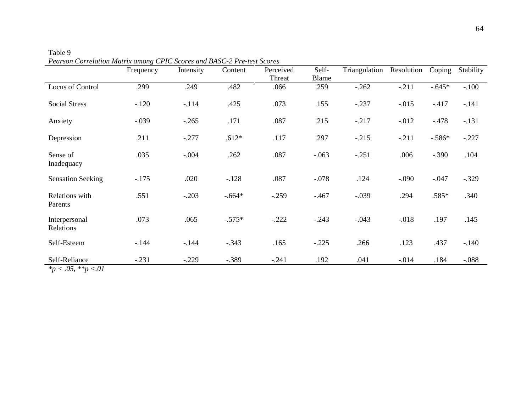|                                              | Frequency | Intensity | Content  | Perceived<br>Threat | Self-<br>Blame | Triangulation | Resolution | Coping   | Stability |
|----------------------------------------------|-----------|-----------|----------|---------------------|----------------|---------------|------------|----------|-----------|
| Locus of Control                             | .299      | .249      | .482     | .066                | .259           | $-.262$       | $-.211$    | $-.645*$ | $-.100$   |
| <b>Social Stress</b>                         | $-120$    | $-114$    | .425     | .073                | .155           | $-.237$       | $-0.015$   | $-417$   | $-.141$   |
| Anxiety                                      | $-.039$   | $-.265$   | .171     | .087                | .215           | $-.217$       | $-0.012$   | $-478$   | $-.131$   |
| Depression                                   | .211      | $-.277$   | $.612*$  | .117                | .297           | $-.215$       | $-.211$    | $-.586*$ | $-.227$   |
| Sense of<br>Inadequacy                       | .035      | $-.004$   | .262     | .087                | $-.063$        | $-.251$       | .006       | $-.390$  | .104      |
| <b>Sensation Seeking</b>                     | $-175$    | .020      | $-.128$  | .087                | $-.078$        | .124          | $-.090$    | $-.047$  | $-.329$   |
| Relations with<br>Parents                    | .551      | $-.203$   | $-.664*$ | $-.259$             | $-467$         | $-.039$       | .294       | $.585*$  | .340      |
| Interpersonal<br>Relations                   | .073      | .065      | $-.575*$ | $-.222$             | $-.243$        | $-.043$       | $-0.018$   | .197     | .145      |
| Self-Esteem                                  | $-144$    | $-144$    | $-.343$  | .165                | $-.225$        | .266          | .123       | .437     | $-.140$   |
| Self-Reliance<br>$x_{22}$ / 05 $x_{23}$ / 01 | $-.231$   | $-.229$   | $-.389$  | $-.241$             | .192           | .041          | $-0.014$   | .184     | $-.088$   |

Table 9 *Pearson Correlation Matrix among CPIC Scores and BASC-2 Pre-test Scores*

*\*p < .05, \*\*p <.01*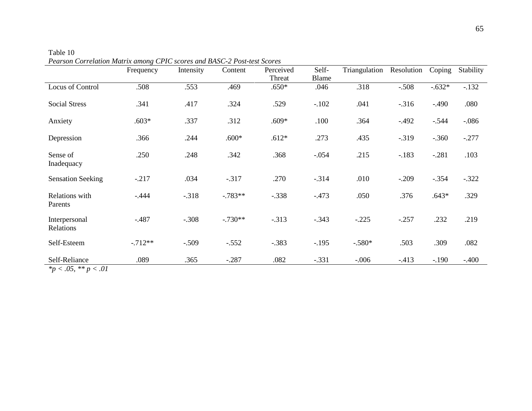|                                     | Frequency | Intensity | Content   | Perceived<br>Threat | Self-<br>Blame | Triangulation | Resolution | Coping   | Stability |
|-------------------------------------|-----------|-----------|-----------|---------------------|----------------|---------------|------------|----------|-----------|
| Locus of Control                    | .508      | .553      | .469      | $.650*$             | .046           | .318          | $-.508$    | $-.632*$ | $-132$    |
| <b>Social Stress</b>                | .341      | .417      | .324      | .529                | $-.102$        | .041          | $-316$     | $-.490$  | .080      |
| Anxiety                             | $.603*$   | .337      | .312      | $.609*$             | .100           | .364          | $-.492$    | $-.544$  | $-.086$   |
| Depression                          | .366      | .244      | $.600*$   | $.612*$             | .273           | .435          | $-0.319$   | $-.360$  | $-.277$   |
| Sense of<br>Inadequacy              | .250      | .248      | .342      | .368                | $-.054$        | .215          | $-183$     | $-.281$  | .103      |
| <b>Sensation Seeking</b>            | $-.217$   | .034      | $-.317$   | .270                | $-.314$        | .010          | $-.209$    | $-.354$  | $-.322$   |
| Relations with<br>Parents           | $-.444$   | $-.318$   | $-783**$  | $-.338$             | $-473$         | .050          | .376       | $.643*$  | .329      |
| Interpersonal<br>Relations          | $-.487$   | $-.308$   | $-.730**$ | $-.313$             | $-.343$        | $-.225$       | $-.257$    | .232     | .219      |
| Self-Esteem                         | $-.712**$ | $-.509$   | $-.552$   | $-.383$             | $-.195$        | $-.580*$      | .503       | .309     | .082      |
| Self-Reliance<br>$*$ / 05 ** · / 01 | .089      | .365      | $-.287$   | .082                | $-.331$        | $-.006$       | $-413$     | $-.190$  | $-.400$   |

Table 10 *Pearson Correlation Matrix among CPIC scores and BASC-2 Post-test Scores*

*\*p < .05*, *\*\* p < .01*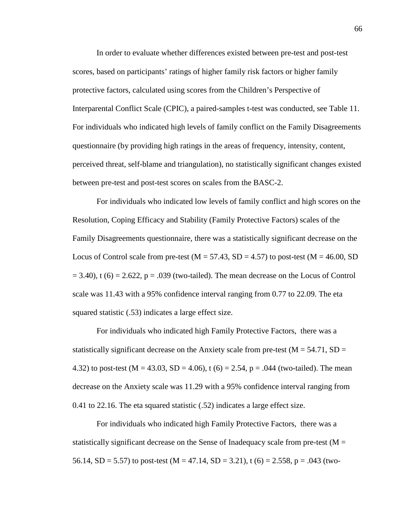In order to evaluate whether differences existed between pre-test and post-test scores, based on participants' ratings of higher family risk factors or higher family protective factors, calculated using scores from the Children's Perspective of Interparental Conflict Scale (CPIC), a paired-samples t-test was conducted, see Table 11. For individuals who indicated high levels of family conflict on the Family Disagreements questionnaire (by providing high ratings in the areas of frequency, intensity, content, perceived threat, self-blame and triangulation), no statistically significant changes existed between pre-test and post-test scores on scales from the BASC-2.

For individuals who indicated low levels of family conflict and high scores on the Resolution, Coping Efficacy and Stability (Family Protective Factors) scales of the Family Disagreements questionnaire, there was a statistically significant decrease on the Locus of Control scale from pre-test ( $M = 57.43$ , SD = 4.57) to post-test ( $M = 46.00$ , SD  $= 3.40$ ), t (6)  $= 2.622$ ,  $p = .039$  (two-tailed). The mean decrease on the Locus of Control scale was 11.43 with a 95% confidence interval ranging from 0.77 to 22.09. The eta squared statistic (.53) indicates a large effect size.

For individuals who indicated high Family Protective Factors, there was a statistically significant decrease on the Anxiety scale from pre-test ( $M = 54.71$ ,  $SD =$ 4.32) to post-test (M = 43.03, SD = 4.06), t (6) = 2.54, p = .044 (two-tailed). The mean decrease on the Anxiety scale was 11.29 with a 95% confidence interval ranging from 0.41 to 22.16. The eta squared statistic (.52) indicates a large effect size.

For individuals who indicated high Family Protective Factors, there was a statistically significant decrease on the Sense of Inadequacy scale from pre-test ( $M =$ 56.14, SD = 5.57) to post-test (M = 47.14, SD = 3.21), t (6) = 2.558, p = .043 (two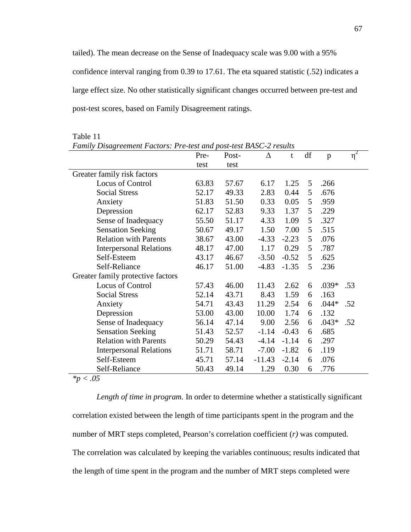tailed). The mean decrease on the Sense of Inadequacy scale was 9.00 with a 95% confidence interval ranging from 0.39 to 17.61. The eta squared statistic (.52) indicates a large effect size. No other statistically significant changes occurred between pre-test and post-test scores, based on Family Disagreement ratings.

|                                   | Family Disagreement Factors: Pre-test and post-test BASC-2 results |       |          |         |    |              |          |  |  |  |  |  |
|-----------------------------------|--------------------------------------------------------------------|-------|----------|---------|----|--------------|----------|--|--|--|--|--|
|                                   | Pre-                                                               | Post- | Δ        | t       | df | $\mathbf{p}$ | $\eta^2$ |  |  |  |  |  |
|                                   | test                                                               | test  |          |         |    |              |          |  |  |  |  |  |
| Greater family risk factors       |                                                                    |       |          |         |    |              |          |  |  |  |  |  |
| Locus of Control                  | 63.83                                                              | 57.67 | 6.17     | 1.25    | 5  | .266         |          |  |  |  |  |  |
| <b>Social Stress</b>              | 52.17                                                              | 49.33 | 2.83     | 0.44    | 5  | .676         |          |  |  |  |  |  |
| Anxiety                           | 51.83                                                              | 51.50 | 0.33     | 0.05    | 5  | .959         |          |  |  |  |  |  |
| Depression                        | 62.17                                                              | 52.83 | 9.33     | 1.37    | 5  | .229         |          |  |  |  |  |  |
| Sense of Inadequacy               | 55.50                                                              | 51.17 | 4.33     | 1.09    | 5  | .327         |          |  |  |  |  |  |
| <b>Sensation Seeking</b>          | 50.67                                                              | 49.17 | 1.50     | 7.00    | 5  | .515         |          |  |  |  |  |  |
| <b>Relation with Parents</b>      | 38.67                                                              | 43.00 | $-4.33$  | $-2.23$ | 5  | .076         |          |  |  |  |  |  |
| <b>Interpersonal Relations</b>    | 48.17                                                              | 47.00 | 1.17     | 0.29    | 5  | .787         |          |  |  |  |  |  |
| Self-Esteem                       | 43.17                                                              | 46.67 | $-3.50$  | $-0.52$ | 5  | .625         |          |  |  |  |  |  |
| Self-Reliance                     | 46.17                                                              | 51.00 | $-4.83$  | $-1.35$ | 5  | .236         |          |  |  |  |  |  |
| Greater family protective factors |                                                                    |       |          |         |    |              |          |  |  |  |  |  |
| Locus of Control                  | 57.43                                                              | 46.00 | 11.43    | 2.62    | 6  | .039*        | .53      |  |  |  |  |  |
| <b>Social Stress</b>              | 52.14                                                              | 43.71 | 8.43     | 1.59    | 6  | .163         |          |  |  |  |  |  |
| Anxiety                           | 54.71                                                              | 43.43 | 11.29    | 2.54    | 6  | $.044*$      | .52      |  |  |  |  |  |
| Depression                        | 53.00                                                              | 43.00 | 10.00    | 1.74    | 6  | .132         |          |  |  |  |  |  |
| Sense of Inadequacy               | 56.14                                                              | 47.14 | 9.00     | 2.56    | 6  | $.043*$      | .52      |  |  |  |  |  |
| <b>Sensation Seeking</b>          | 51.43                                                              | 52.57 | $-1.14$  | $-0.43$ | 6  | .685         |          |  |  |  |  |  |
| <b>Relation with Parents</b>      | 50.29                                                              | 54.43 | $-4.14$  | $-1.14$ | 6  | .297         |          |  |  |  |  |  |
| <b>Interpersonal Relations</b>    | 51.71                                                              | 58.71 | $-7.00$  | $-1.82$ | 6  | .119         |          |  |  |  |  |  |
| Self-Esteem                       | 45.71                                                              | 57.14 | $-11.43$ | $-2.14$ | 6  | .076         |          |  |  |  |  |  |
| Self-Reliance                     | 50.43                                                              | 49.14 | 1.29     | 0.30    | 6  | .776         |          |  |  |  |  |  |

Table 11

*\*p < .05* 

*Length of time in program.* In order to determine whether a statistically significant correlation existed between the length of time participants spent in the program and the number of MRT steps completed, Pearson's correlation coefficient (*r)* was computed. The correlation was calculated by keeping the variables continuous; results indicated that the length of time spent in the program and the number of MRT steps completed were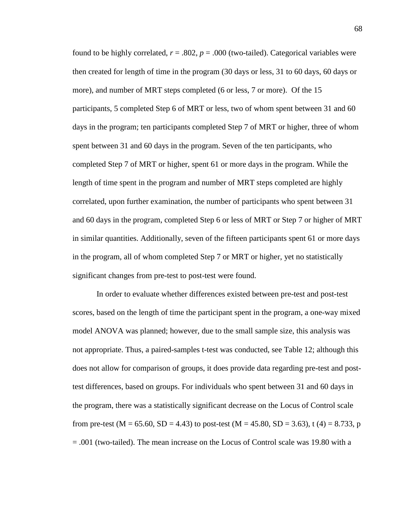found to be highly correlated,  $r = .802$ ,  $p = .000$  (two-tailed). Categorical variables were then created for length of time in the program (30 days or less, 31 to 60 days, 60 days or more), and number of MRT steps completed (6 or less, 7 or more). Of the 15 participants, 5 completed Step 6 of MRT or less, two of whom spent between 31 and 60 days in the program; ten participants completed Step 7 of MRT or higher, three of whom spent between 31 and 60 days in the program. Seven of the ten participants, who completed Step 7 of MRT or higher, spent 61 or more days in the program. While the length of time spent in the program and number of MRT steps completed are highly correlated, upon further examination, the number of participants who spent between 31 and 60 days in the program, completed Step 6 or less of MRT or Step 7 or higher of MRT in similar quantities. Additionally, seven of the fifteen participants spent 61 or more days in the program, all of whom completed Step 7 or MRT or higher, yet no statistically significant changes from pre-test to post-test were found.

In order to evaluate whether differences existed between pre-test and post-test scores, based on the length of time the participant spent in the program, a one-way mixed model ANOVA was planned; however, due to the small sample size, this analysis was not appropriate. Thus, a paired-samples t-test was conducted, see Table 12; although this does not allow for comparison of groups, it does provide data regarding pre-test and posttest differences, based on groups. For individuals who spent between 31 and 60 days in the program, there was a statistically significant decrease on the Locus of Control scale from pre-test (M = 65.60, SD = 4.43) to post-test (M = 45.80, SD = 3.63), t (4) = 8.733, p = .001 (two-tailed). The mean increase on the Locus of Control scale was 19.80 with a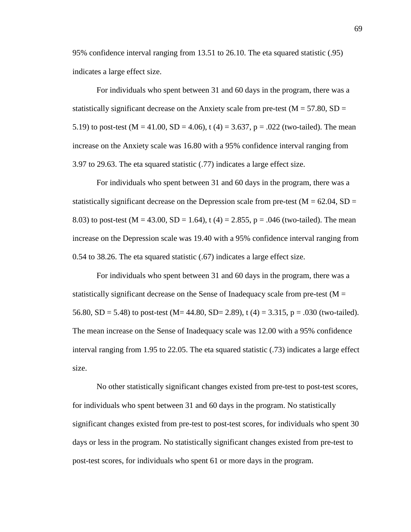95% confidence interval ranging from 13.51 to 26.10. The eta squared statistic (.95) indicates a large effect size.

For individuals who spent between 31 and 60 days in the program, there was a statistically significant decrease on the Anxiety scale from pre-test ( $M = 57.80$ ,  $SD =$ 5.19) to post-test (M = 41.00, SD = 4.06), t (4) = 3.637, p = .022 (two-tailed). The mean increase on the Anxiety scale was 16.80 with a 95% confidence interval ranging from 3.97 to 29.63. The eta squared statistic (.77) indicates a large effect size.

For individuals who spent between 31 and 60 days in the program, there was a statistically significant decrease on the Depression scale from pre-test ( $M = 62.04$ ,  $SD =$ 8.03) to post-test (M = 43.00, SD = 1.64), t (4) = 2.855, p = .046 (two-tailed). The mean increase on the Depression scale was 19.40 with a 95% confidence interval ranging from 0.54 to 38.26. The eta squared statistic (.67) indicates a large effect size.

For individuals who spent between 31 and 60 days in the program, there was a statistically significant decrease on the Sense of Inadequacy scale from pre-test ( $M =$ 56.80, SD = 5.48) to post-test (M= 44.80, SD= 2.89), t (4) = 3.315, p = .030 (two-tailed). The mean increase on the Sense of Inadequacy scale was 12.00 with a 95% confidence interval ranging from 1.95 to 22.05. The eta squared statistic (.73) indicates a large effect size.

No other statistically significant changes existed from pre-test to post-test scores, for individuals who spent between 31 and 60 days in the program. No statistically significant changes existed from pre-test to post-test scores, for individuals who spent 30 days or less in the program. No statistically significant changes existed from pre-test to post-test scores, for individuals who spent 61 or more days in the program.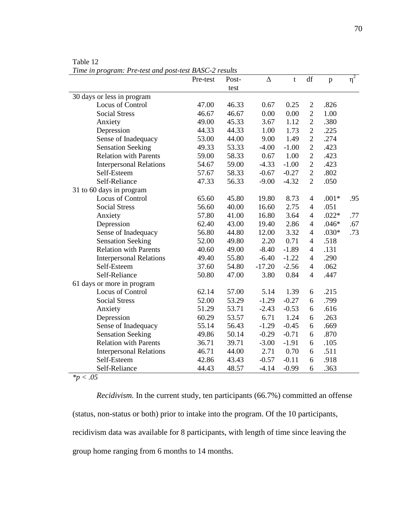Pre-test Posttest ∆ t df p η  $\eta^2$ 30 days or less in program Locus of Control 47.00 46.33 0.67 0.25 2 .826 Social Stress **46.67** 46.67 0.00 0.00 2 1.00 Anxiety 49.00 45.33 3.67 1.12 2 .380 Depression 44.33 44.33 1.00 1.73 2 .225 Sense of Inadequacy 53.00 44.00 9.00 1.49 2 .274 Sensation Seeking 49.33 53.33 -4.00 -1.00 2 .423 Relation with Parents 59.00 58.33 0.67 1.00 2 .423 Interpersonal Relations 54.67 59.00 -4.33 -1.00 2 .423 Self-Esteem 57.67 58.33 -0.67 -0.27 2 .802<br>Self-Reliance 47.33 56.33 -9.00 -4.32 2 .050 Self-Reliance 47.33 56.33 -9.00 -4.32 2 .050 31 to 60 days in program Locus of Control 65.60 45.80 19.80 8.73 4 .001\* .95 Social Stress 56.60 40.00 16.60 2.75 4 .051 Anxiety 57.80 41.00 16.80 3.64 4 .022\* .77 Depression 62.40 43.00 19.40 2.86 4 .046\* .67 Sense of Inadequacy 56.80 44.80 12.00 3.32 4 .030\* .73 Sensation Seeking 52.00 49.80 2.20 0.71 4 .518 Relation with Parents 40.60 49.00 -8.40 -1.89 4 .131 Interpersonal Relations 49.40 55.80 -6.40 -1.22 4 .290 Self-Esteem 37.60 54.80 -17.20 -2.56 4 .062 Self-Reliance 50.80 47.00 3.80 0.84 4 .447 61 days or more in program Locus of Control 62.14 57.00 5.14 1.39 6 .215 Social Stress 52.00 53.29 -1.29 -0.27 6 .799 Anxiety 51.29 53.71 -2.43 -0.53 6 .616 Depression 60.29 53.57 6.71 1.24 6 .263 Sense of Inadequacy  $55.14$   $56.43$   $-1.29$   $-0.45$  6 .669 Sensation Seeking 49.86 50.14 -0.29 -0.71 6 .870 Relation with Parents 36.71 39.71 -3.00 -1.91 6 .105 Interpersonal Relations 46.71 44.00 2.71 0.70 6 .511 Self-Esteem 42.86 43.43 -0.57 -0.11 6 .918 Self-Reliance 44.43 48.57 -4.14 -0.99 6 .363

Table 12

*Time in program: Pre-test and post-test BASC-2 results*

*\*p < .05* 

*Recidivism.* In the current study, ten participants (66.7%) committed an offense (status, non-status or both) prior to intake into the program. Of the 10 participants, recidivism data was available for 8 participants, with length of time since leaving the group home ranging from 6 months to 14 months.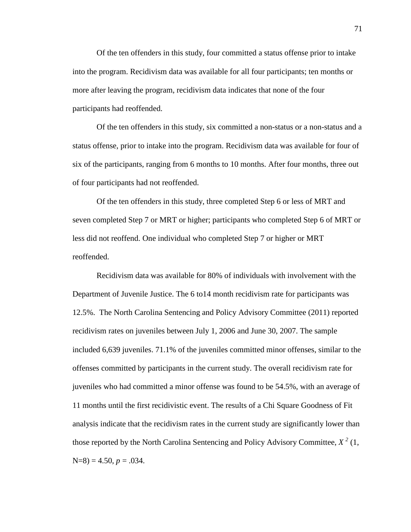Of the ten offenders in this study, four committed a status offense prior to intake into the program. Recidivism data was available for all four participants; ten months or more after leaving the program, recidivism data indicates that none of the four participants had reoffended.

Of the ten offenders in this study, six committed a non-status or a non-status and a status offense, prior to intake into the program. Recidivism data was available for four of six of the participants, ranging from 6 months to 10 months. After four months, three out of four participants had not reoffended.

Of the ten offenders in this study, three completed Step 6 or less of MRT and seven completed Step 7 or MRT or higher; participants who completed Step 6 of MRT or less did not reoffend. One individual who completed Step 7 or higher or MRT reoffended.

Recidivism data was available for 80% of individuals with involvement with the Department of Juvenile Justice. The 6 to14 month recidivism rate for participants was 12.5%. The North Carolina Sentencing and Policy Advisory Committee (2011) reported recidivism rates on juveniles between July 1, 2006 and June 30, 2007. The sample included 6,639 juveniles. 71.1% of the juveniles committed minor offenses, similar to the offenses committed by participants in the current study. The overall recidivism rate for juveniles who had committed a minor offense was found to be 54.5%, with an average of 11 months until the first recidivistic event. The results of a Chi Square Goodness of Fit analysis indicate that the recidivism rates in the current study are significantly lower than those reported by the North Carolina Sentencing and Policy Advisory Committee,  $X^2$  (1,  $N=8$ ) = 4.50,  $p = .034$ .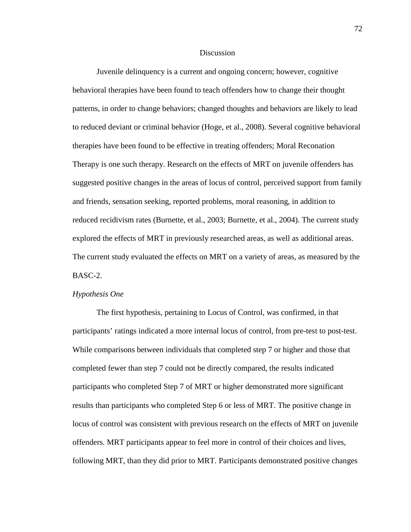### **Discussion**

Juvenile delinquency is a current and ongoing concern; however, cognitive behavioral therapies have been found to teach offenders how to change their thought patterns, in order to change behaviors; changed thoughts and behaviors are likely to lead to reduced deviant or criminal behavior (Hoge, et al., 2008). Several cognitive behavioral therapies have been found to be effective in treating offenders; Moral Reconation Therapy is one such therapy. Research on the effects of MRT on juvenile offenders has suggested positive changes in the areas of locus of control, perceived support from family and friends, sensation seeking, reported problems, moral reasoning, in addition to reduced recidivism rates (Burnette, et al., 2003; Burnette, et al., 2004). The current study explored the effects of MRT in previously researched areas, as well as additional areas. The current study evaluated the effects on MRT on a variety of areas, as measured by the BASC-2.

### *Hypothesis One*

The first hypothesis, pertaining to Locus of Control, was confirmed, in that participants' ratings indicated a more internal locus of control, from pre-test to post-test. While comparisons between individuals that completed step 7 or higher and those that completed fewer than step 7 could not be directly compared, the results indicated participants who completed Step 7 of MRT or higher demonstrated more significant results than participants who completed Step 6 or less of MRT. The positive change in locus of control was consistent with previous research on the effects of MRT on juvenile offenders. MRT participants appear to feel more in control of their choices and lives, following MRT, than they did prior to MRT. Participants demonstrated positive changes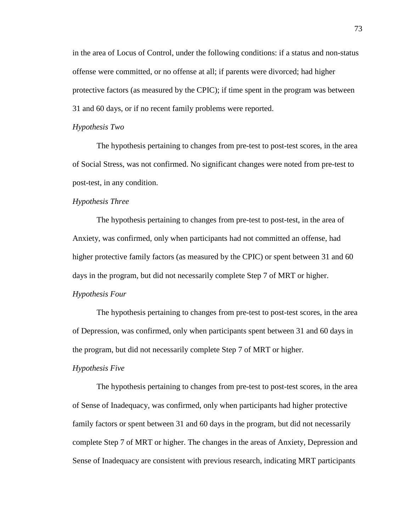in the area of Locus of Control, under the following conditions: if a status and non-status offense were committed, or no offense at all; if parents were divorced; had higher protective factors (as measured by the CPIC); if time spent in the program was between 31 and 60 days, or if no recent family problems were reported.

#### *Hypothesis Two*

 The hypothesis pertaining to changes from pre-test to post-test scores, in the area of Social Stress, was not confirmed. No significant changes were noted from pre-test to post-test, in any condition.

## *Hypothesis Three*

The hypothesis pertaining to changes from pre-test to post-test, in the area of Anxiety, was confirmed, only when participants had not committed an offense, had higher protective family factors (as measured by the CPIC) or spent between 31 and 60 days in the program, but did not necessarily complete Step 7 of MRT or higher.

### *Hypothesis Four*

The hypothesis pertaining to changes from pre-test to post-test scores, in the area of Depression, was confirmed, only when participants spent between 31 and 60 days in the program, but did not necessarily complete Step 7 of MRT or higher.

#### *Hypothesis Five*

The hypothesis pertaining to changes from pre-test to post-test scores, in the area of Sense of Inadequacy, was confirmed, only when participants had higher protective family factors or spent between 31 and 60 days in the program, but did not necessarily complete Step 7 of MRT or higher. The changes in the areas of Anxiety, Depression and Sense of Inadequacy are consistent with previous research, indicating MRT participants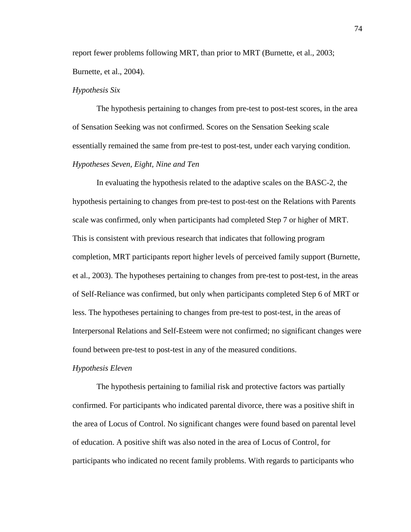report fewer problems following MRT, than prior to MRT (Burnette, et al., 2003; Burnette, et al., 2004).

#### *Hypothesis Six*

 The hypothesis pertaining to changes from pre-test to post-test scores, in the area of Sensation Seeking was not confirmed. Scores on the Sensation Seeking scale essentially remained the same from pre-test to post-test, under each varying condition. *Hypotheses Seven, Eight, Nine and Ten*

In evaluating the hypothesis related to the adaptive scales on the BASC-2, the hypothesis pertaining to changes from pre-test to post-test on the Relations with Parents scale was confirmed, only when participants had completed Step 7 or higher of MRT. This is consistent with previous research that indicates that following program completion, MRT participants report higher levels of perceived family support (Burnette, et al., 2003). The hypotheses pertaining to changes from pre-test to post-test, in the areas of Self-Reliance was confirmed, but only when participants completed Step 6 of MRT or less. The hypotheses pertaining to changes from pre-test to post-test, in the areas of Interpersonal Relations and Self-Esteem were not confirmed; no significant changes were found between pre-test to post-test in any of the measured conditions.

#### *Hypothesis Eleven*

 The hypothesis pertaining to familial risk and protective factors was partially confirmed. For participants who indicated parental divorce, there was a positive shift in the area of Locus of Control. No significant changes were found based on parental level of education. A positive shift was also noted in the area of Locus of Control, for participants who indicated no recent family problems. With regards to participants who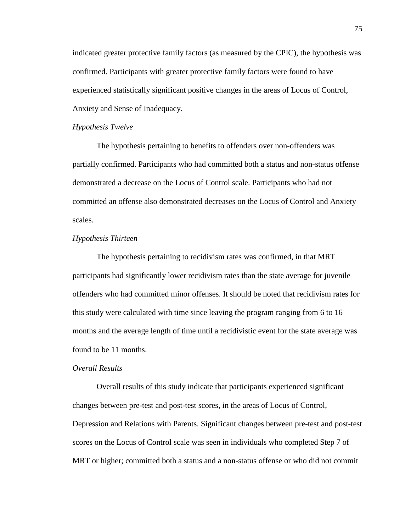indicated greater protective family factors (as measured by the CPIC), the hypothesis was confirmed. Participants with greater protective family factors were found to have experienced statistically significant positive changes in the areas of Locus of Control, Anxiety and Sense of Inadequacy.

#### *Hypothesis Twelve*

 The hypothesis pertaining to benefits to offenders over non-offenders was partially confirmed. Participants who had committed both a status and non-status offense demonstrated a decrease on the Locus of Control scale. Participants who had not committed an offense also demonstrated decreases on the Locus of Control and Anxiety scales.

#### *Hypothesis Thirteen*

 The hypothesis pertaining to recidivism rates was confirmed, in that MRT participants had significantly lower recidivism rates than the state average for juvenile offenders who had committed minor offenses. It should be noted that recidivism rates for this study were calculated with time since leaving the program ranging from 6 to 16 months and the average length of time until a recidivistic event for the state average was found to be 11 months.

#### *Overall Results*

Overall results of this study indicate that participants experienced significant changes between pre-test and post-test scores, in the areas of Locus of Control, Depression and Relations with Parents. Significant changes between pre-test and post-test scores on the Locus of Control scale was seen in individuals who completed Step 7 of MRT or higher; committed both a status and a non-status offense or who did not commit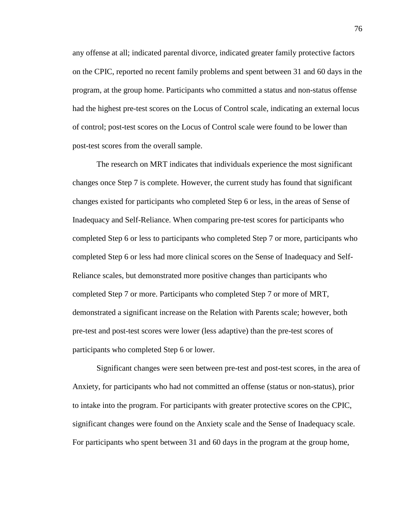any offense at all; indicated parental divorce, indicated greater family protective factors on the CPIC, reported no recent family problems and spent between 31 and 60 days in the program, at the group home. Participants who committed a status and non-status offense had the highest pre-test scores on the Locus of Control scale, indicating an external locus of control; post-test scores on the Locus of Control scale were found to be lower than post-test scores from the overall sample.

The research on MRT indicates that individuals experience the most significant changes once Step 7 is complete. However, the current study has found that significant changes existed for participants who completed Step 6 or less, in the areas of Sense of Inadequacy and Self-Reliance. When comparing pre-test scores for participants who completed Step 6 or less to participants who completed Step 7 or more, participants who completed Step 6 or less had more clinical scores on the Sense of Inadequacy and Self-Reliance scales, but demonstrated more positive changes than participants who completed Step 7 or more. Participants who completed Step 7 or more of MRT, demonstrated a significant increase on the Relation with Parents scale; however, both pre-test and post-test scores were lower (less adaptive) than the pre-test scores of participants who completed Step 6 or lower.

Significant changes were seen between pre-test and post-test scores, in the area of Anxiety, for participants who had not committed an offense (status or non-status), prior to intake into the program. For participants with greater protective scores on the CPIC, significant changes were found on the Anxiety scale and the Sense of Inadequacy scale. For participants who spent between 31 and 60 days in the program at the group home,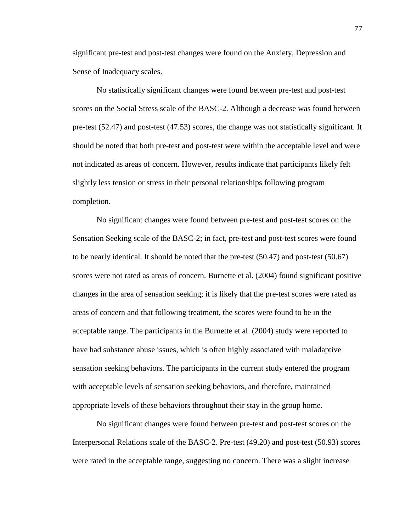significant pre-test and post-test changes were found on the Anxiety, Depression and Sense of Inadequacy scales.

No statistically significant changes were found between pre-test and post-test scores on the Social Stress scale of the BASC-2. Although a decrease was found between pre-test (52.47) and post-test (47.53) scores, the change was not statistically significant. It should be noted that both pre-test and post-test were within the acceptable level and were not indicated as areas of concern. However, results indicate that participants likely felt slightly less tension or stress in their personal relationships following program completion.

No significant changes were found between pre-test and post-test scores on the Sensation Seeking scale of the BASC-2; in fact, pre-test and post-test scores were found to be nearly identical. It should be noted that the pre-test (50.47) and post-test (50.67) scores were not rated as areas of concern. Burnette et al. (2004) found significant positive changes in the area of sensation seeking; it is likely that the pre-test scores were rated as areas of concern and that following treatment, the scores were found to be in the acceptable range. The participants in the Burnette et al. (2004) study were reported to have had substance abuse issues, which is often highly associated with maladaptive sensation seeking behaviors. The participants in the current study entered the program with acceptable levels of sensation seeking behaviors, and therefore, maintained appropriate levels of these behaviors throughout their stay in the group home.

No significant changes were found between pre-test and post-test scores on the Interpersonal Relations scale of the BASC-2. Pre-test (49.20) and post-test (50.93) scores were rated in the acceptable range, suggesting no concern. There was a slight increase

77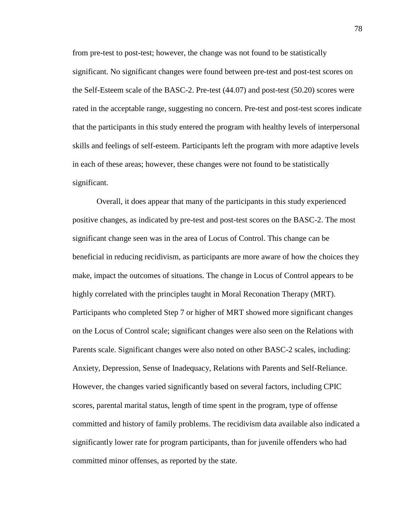from pre-test to post-test; however, the change was not found to be statistically significant. No significant changes were found between pre-test and post-test scores on the Self-Esteem scale of the BASC-2. Pre-test (44.07) and post-test (50.20) scores were rated in the acceptable range, suggesting no concern. Pre-test and post-test scores indicate that the participants in this study entered the program with healthy levels of interpersonal skills and feelings of self-esteem. Participants left the program with more adaptive levels in each of these areas; however, these changes were not found to be statistically significant.

Overall, it does appear that many of the participants in this study experienced positive changes, as indicated by pre-test and post-test scores on the BASC-2. The most significant change seen was in the area of Locus of Control. This change can be beneficial in reducing recidivism, as participants are more aware of how the choices they make, impact the outcomes of situations. The change in Locus of Control appears to be highly correlated with the principles taught in Moral Reconation Therapy (MRT). Participants who completed Step 7 or higher of MRT showed more significant changes on the Locus of Control scale; significant changes were also seen on the Relations with Parents scale. Significant changes were also noted on other BASC-2 scales, including: Anxiety, Depression, Sense of Inadequacy, Relations with Parents and Self-Reliance. However, the changes varied significantly based on several factors, including CPIC scores, parental marital status, length of time spent in the program, type of offense committed and history of family problems. The recidivism data available also indicated a significantly lower rate for program participants, than for juvenile offenders who had committed minor offenses, as reported by the state.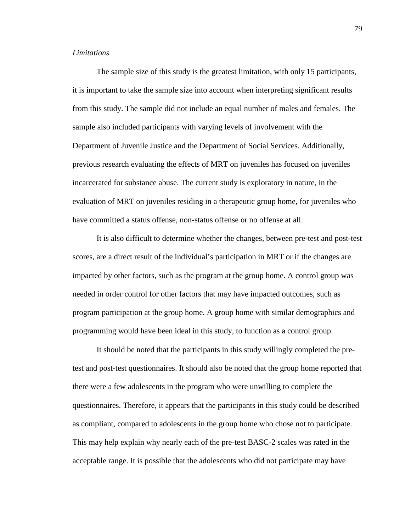### *Limitations*

 The sample size of this study is the greatest limitation, with only 15 participants, it is important to take the sample size into account when interpreting significant results from this study. The sample did not include an equal number of males and females. The sample also included participants with varying levels of involvement with the Department of Juvenile Justice and the Department of Social Services. Additionally, previous research evaluating the effects of MRT on juveniles has focused on juveniles incarcerated for substance abuse. The current study is exploratory in nature, in the evaluation of MRT on juveniles residing in a therapeutic group home, for juveniles who have committed a status offense, non-status offense or no offense at all.

 It is also difficult to determine whether the changes, between pre-test and post-test scores, are a direct result of the individual's participation in MRT or if the changes are impacted by other factors, such as the program at the group home. A control group was needed in order control for other factors that may have impacted outcomes, such as program participation at the group home. A group home with similar demographics and programming would have been ideal in this study, to function as a control group.

It should be noted that the participants in this study willingly completed the pretest and post-test questionnaires. It should also be noted that the group home reported that there were a few adolescents in the program who were unwilling to complete the questionnaires. Therefore, it appears that the participants in this study could be described as compliant, compared to adolescents in the group home who chose not to participate. This may help explain why nearly each of the pre-test BASC-2 scales was rated in the acceptable range. It is possible that the adolescents who did not participate may have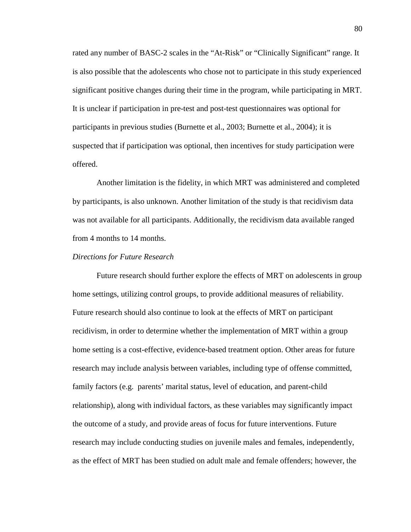rated any number of BASC-2 scales in the "At-Risk" or "Clinically Significant" range. It is also possible that the adolescents who chose not to participate in this study experienced significant positive changes during their time in the program, while participating in MRT. It is unclear if participation in pre-test and post-test questionnaires was optional for participants in previous studies (Burnette et al., 2003; Burnette et al., 2004); it is suspected that if participation was optional, then incentives for study participation were offered.

Another limitation is the fidelity, in which MRT was administered and completed by participants, is also unknown. Another limitation of the study is that recidivism data was not available for all participants. Additionally, the recidivism data available ranged from 4 months to 14 months.

#### *Directions for Future Research*

Future research should further explore the effects of MRT on adolescents in group home settings, utilizing control groups, to provide additional measures of reliability. Future research should also continue to look at the effects of MRT on participant recidivism, in order to determine whether the implementation of MRT within a group home setting is a cost-effective, evidence-based treatment option. Other areas for future research may include analysis between variables, including type of offense committed, family factors (e.g. parents' marital status, level of education, and parent-child relationship), along with individual factors, as these variables may significantly impact the outcome of a study, and provide areas of focus for future interventions. Future research may include conducting studies on juvenile males and females, independently, as the effect of MRT has been studied on adult male and female offenders; however, the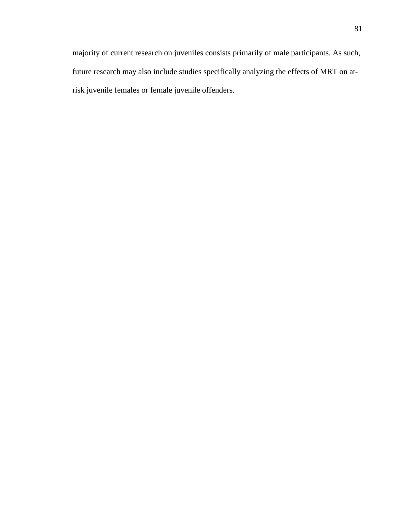majority of current research on juveniles consists primarily of male participants. As such, future research may also include studies specifically analyzing the effects of MRT on atrisk juvenile females or female juvenile offenders.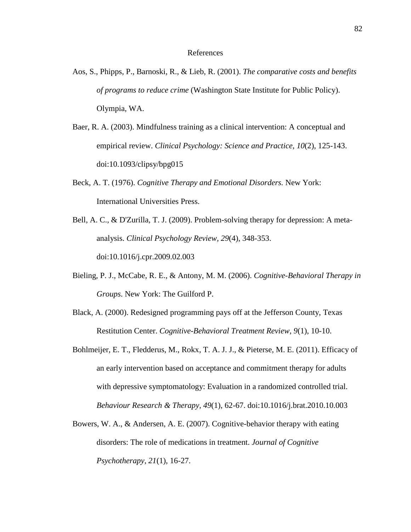#### References

- Aos, S., Phipps, P., Barnoski, R., & Lieb, R. (2001). *The comparative costs and benefits of programs to reduce crime* (Washington State Institute for Public Policy). Olympia, WA.
- Baer, R. A. (2003). Mindfulness training as a clinical intervention: A conceptual and empirical review. *Clinical Psychology: Science and Practice, 10*(2), 125-143. doi:10.1093/clipsy/bpg015
- Beck, A. T. (1976). *Cognitive Therapy and Emotional Disorders.* New York: International Universities Press.
- Bell, A. C., & D'Zurilla, T. J. (2009). Problem-solving therapy for depression: A metaanalysis. *Clinical Psychology Review, 29*(4), 348-353. doi:10.1016/j.cpr.2009.02.003
- Bieling, P. J., McCabe, R. E., & Antony, M. M. (2006). *Cognitive-Behavioral Therapy in Groups*. New York: The Guilford P.
- Black, A. (2000). Redesigned programming pays off at the Jefferson County, Texas Restitution Center. *Cognitive-Behavioral Treatment Review*, *9*(1), 10-10.
- Bohlmeijer, E. T., Fledderus, M., Rokx, T. A. J. J., & Pieterse, M. E. (2011). Efficacy of an early intervention based on acceptance and commitment therapy for adults with depressive symptomatology: Evaluation in a randomized controlled trial. *Behaviour Research & Therapy, 49*(1), 62-67. doi:10.1016/j.brat.2010.10.003
- Bowers, W. A., & Andersen, A. E. (2007). Cognitive-behavior therapy with eating disorders: The role of medications in treatment. *Journal of Cognitive Psychotherapy, 21*(1), 16-27.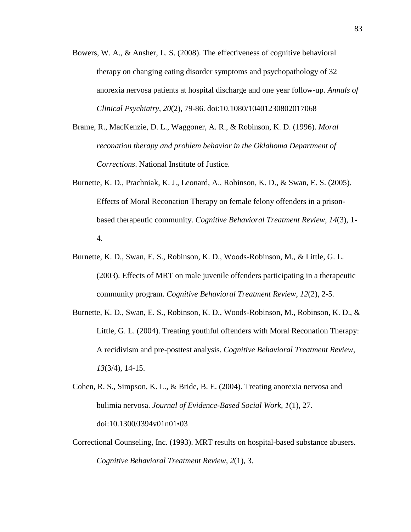- Bowers, W. A., & Ansher, L. S. (2008). The effectiveness of cognitive behavioral therapy on changing eating disorder symptoms and psychopathology of 32 anorexia nervosa patients at hospital discharge and one year follow-up. *Annals of Clinical Psychiatry, 20*(2), 79-86. doi:10.1080/10401230802017068
- Brame, R., MacKenzie, D. L., Waggoner, A. R., & Robinson, K. D. (1996). *Moral reconation therapy and problem behavior in the Oklahoma Department of Corrections*. National Institute of Justice.
- Burnette, K. D., Prachniak, K. J., Leonard, A., Robinson, K. D., & Swan, E. S. (2005). Effects of Moral Reconation Therapy on female felony offenders in a prisonbased therapeutic community. *Cognitive Behavioral Treatment Review*, *14*(3), 1- 4.
- Burnette, K. D., Swan, E. S., Robinson, K. D., Woods-Robinson, M., & Little, G. L. (2003). Effects of MRT on male juvenile offenders participating in a therapeutic community program. *Cognitive Behavioral Treatment Review*, *12*(2), 2-5.
- Burnette, K. D., Swan, E. S., Robinson, K. D., Woods-Robinson, M., Robinson, K. D., & Little, G. L. (2004). Treating youthful offenders with Moral Reconation Therapy: A recidivism and pre-posttest analysis. *Cognitive Behavioral Treatment Review*, *13*(3/4), 14-15.
- Cohen, R. S., Simpson, K. L., & Bride, B. E. (2004). Treating anorexia nervosa and bulimia nervosa. *Journal of Evidence-Based Social Work, 1*(1), 27. doi:10.1300/J394v01n01•03
- Correctional Counseling, Inc. (1993). MRT results on hospital-based substance abusers. *Cognitive Behavioral Treatment Review*, *2*(1), 3.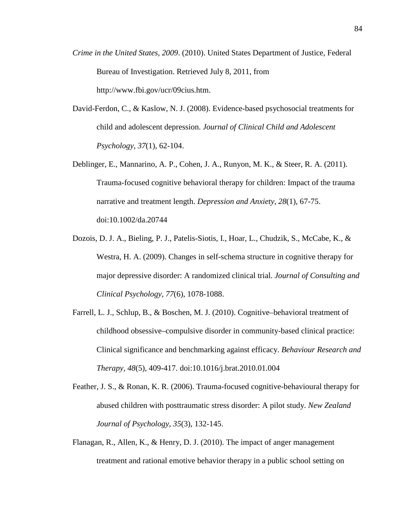- *Crime in the United States, 2009*. (2010). United States Department of Justice, Federal Bureau of Investigation. Retrieved July 8, 2011, from http://www.fbi.gov/ucr/09cius.htm.
- David-Ferdon, C., & Kaslow, N. J. (2008). Evidence-based psychosocial treatments for child and adolescent depression. *Journal of Clinical Child and Adolescent Psychology, 37*(1), 62-104.
- Deblinger, E., Mannarino, A. P., Cohen, J. A., Runyon, M. K., & Steer, R. A. (2011). Trauma-focused cognitive behavioral therapy for children: Impact of the trauma narrative and treatment length. *Depression and Anxiety, 28*(1), 67-75. doi:10.1002/da.20744
- Dozois, D. J. A., Bieling, P. J., Patelis-Siotis, I., Hoar, L., Chudzik, S., McCabe, K., & Westra, H. A. (2009). Changes in self-schema structure in cognitive therapy for major depressive disorder: A randomized clinical trial. *Journal of Consulting and Clinical Psychology, 77*(6), 1078-1088.
- Farrell, L. J., Schlup, B., & Boschen, M. J. (2010). Cognitive–behavioral treatment of childhood obsessive–compulsive disorder in community-based clinical practice: Clinical significance and benchmarking against efficacy. *Behaviour Research and Therapy, 48*(5), 409-417. doi:10.1016/j.brat.2010.01.004
- Feather, J. S., & Ronan, K. R. (2006). Trauma-focused cognitive-behavioural therapy for abused children with posttraumatic stress disorder: A pilot study. *New Zealand Journal of Psychology, 35*(3), 132-145.
- Flanagan, R., Allen, K., & Henry, D. J. (2010). The impact of anger management treatment and rational emotive behavior therapy in a public school setting on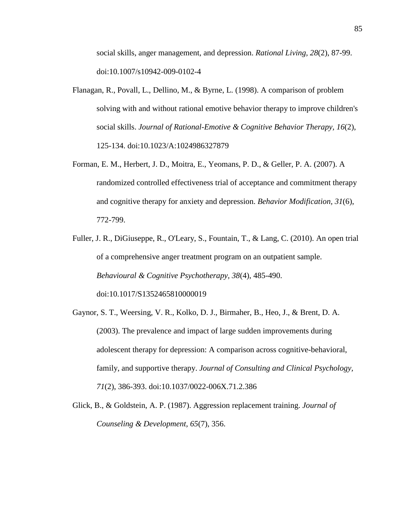social skills, anger management, and depression. *Rational Living, 28*(2), 87-99. doi:10.1007/s10942-009-0102-4

- Flanagan, R., Povall, L., Dellino, M., & Byrne, L. (1998). A comparison of problem solving with and without rational emotive behavior therapy to improve children's social skills. *Journal of Rational-Emotive & Cognitive Behavior Therapy, 16*(2), 125-134. doi:10.1023/A:1024986327879
- Forman, E. M., Herbert, J. D., Moitra, E., Yeomans, P. D., & Geller, P. A. (2007). A randomized controlled effectiveness trial of acceptance and commitment therapy and cognitive therapy for anxiety and depression. *Behavior Modification, 31*(6), 772-799.
- Fuller, J. R., DiGiuseppe, R., O'Leary, S., Fountain, T., & Lang, C. (2010). An open trial of a comprehensive anger treatment program on an outpatient sample. *Behavioural & Cognitive Psychotherapy, 38*(4), 485-490. doi:10.1017/S1352465810000019
- Gaynor, S. T., Weersing, V. R., Kolko, D. J., Birmaher, B., Heo, J., & Brent, D. A. (2003). The prevalence and impact of large sudden improvements during adolescent therapy for depression: A comparison across cognitive-behavioral, family, and supportive therapy. *Journal of Consulting and Clinical Psychology, 71*(2), 386-393. doi:10.1037/0022-006X.71.2.386
- Glick, B., & Goldstein, A. P. (1987). Aggression replacement training. *Journal of Counseling & Development, 65*(7), 356.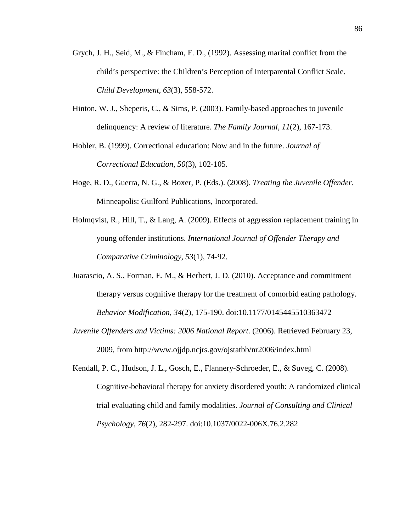- Grych, J. H., Seid, M., & Fincham, F. D., (1992). Assessing marital conflict from the child's perspective: the Children's Perception of Interparental Conflict Scale. *Child Development, 63*(3), 558-572.
- Hinton, W. J., Sheperis, C., & Sims, P. (2003). Family-based approaches to juvenile delinquency: A review of literature. *The Family Journal, 11*(2), 167-173.
- Hobler, B. (1999). Correctional education: Now and in the future. *Journal of Correctional Education*, *50*(3), 102-105.
- Hoge, R. D., Guerra, N. G., & Boxer, P. (Eds.). (2008). *Treating the Juvenile Offender*. Minneapolis: Guilford Publications, Incorporated.
- Holmqvist, R., Hill, T., & Lang, A. (2009). Effects of aggression replacement training in young offender institutions. *International Journal of Offender Therapy and Comparative Criminology, 53*(1), 74-92.
- Juarascio, A. S., Forman, E. M., & Herbert, J. D. (2010). Acceptance and commitment therapy versus cognitive therapy for the treatment of comorbid eating pathology. *Behavior Modification, 34*(2), 175-190. doi:10.1177/0145445510363472
- *Juvenile Offenders and Victims: 2006 National Report*. (2006). Retrieved February 23, 2009, from http://www.ojjdp.ncjrs.gov/ojstatbb/nr2006/index.html
- Kendall, P. C., Hudson, J. L., Gosch, E., Flannery-Schroeder, E., & Suveg, C. (2008). Cognitive-behavioral therapy for anxiety disordered youth: A randomized clinical trial evaluating child and family modalities. *Journal of Consulting and Clinical Psychology, 76*(2), 282-297. doi:10.1037/0022-006X.76.2.282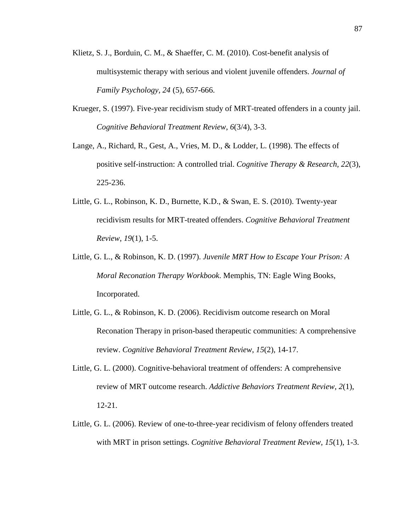- Klietz, S. J., Borduin, C. M., & Shaeffer, C. M. (2010). Cost-benefit analysis of multisystemic therapy with serious and violent juvenile offenders. *Journal of Family Psychology, 24* (5), 657-666.
- Krueger, S. (1997). Five-year recidivism study of MRT-treated offenders in a county jail. *Cognitive Behavioral Treatment Review*, *6*(3/4), 3-3.
- Lange, A., Richard, R., Gest, A., Vries, M. D., & Lodder, L. (1998). The effects of positive self-instruction: A controlled trial. *Cognitive Therapy & Research, 22*(3), 225-236.
- Little, G. L., Robinson, K. D., Burnette, K.D., & Swan, E. S. (2010). Twenty-year recidivism results for MRT-treated offenders. *Cognitive Behavioral Treatment Review*, *19*(1), 1-5.
- Little, G. L., & Robinson, K. D. (1997). *Juvenile MRT How to Escape Your Prison: A Moral Reconation Therapy Workbook*. Memphis, TN: Eagle Wing Books, Incorporated.
- Little, G. L., & Robinson, K. D. (2006). Recidivism outcome research on Moral Reconation Therapy in prison-based therapeutic communities: A comprehensive review. *Cognitive Behavioral Treatment Review*, *15*(2), 14-17.
- Little, G. L. (2000). Cognitive-behavioral treatment of offenders: A comprehensive review of MRT outcome research. *Addictive Behaviors Treatment Review*, *2*(1), 12-21.
- Little, G. L. (2006). Review of one-to-three-year recidivism of felony offenders treated with MRT in prison settings. *Cognitive Behavioral Treatment Review*, *15*(1), 1-3.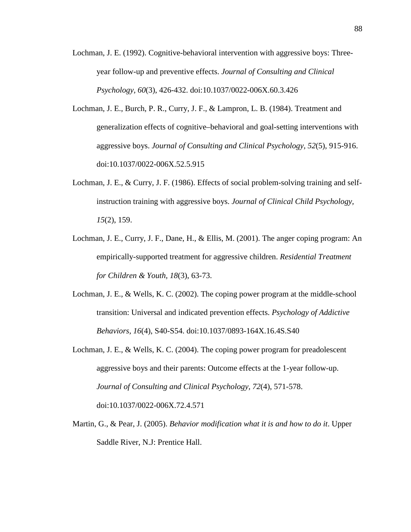- Lochman, J. E. (1992). Cognitive-behavioral intervention with aggressive boys: Threeyear follow-up and preventive effects. *Journal of Consulting and Clinical Psychology, 60*(3), 426-432. doi:10.1037/0022-006X.60.3.426
- Lochman, J. E., Burch, P. R., Curry, J. F., & Lampron, L. B. (1984). Treatment and generalization effects of cognitive–behavioral and goal-setting interventions with aggressive boys. *Journal of Consulting and Clinical Psychology, 52*(5), 915-916. doi:10.1037/0022-006X.52.5.915
- Lochman, J. E., & Curry, J. F. (1986). Effects of social problem-solving training and selfinstruction training with aggressive boys. *Journal of Clinical Child Psychology, 15*(2), 159.
- Lochman, J. E., Curry, J. F., Dane, H., & Ellis, M. (2001). The anger coping program: An empirically-supported treatment for aggressive children. *Residential Treatment for Children & Youth, 18*(3), 63-73.
- Lochman, J. E., & Wells, K. C. (2002). The coping power program at the middle-school transition: Universal and indicated prevention effects. *Psychology of Addictive Behaviors, 16*(4), S40-S54. doi:10.1037/0893-164X.16.4S.S40
- Lochman, J. E., & Wells, K. C. (2004). The coping power program for preadolescent aggressive boys and their parents: Outcome effects at the 1-year follow-up. *Journal of Consulting and Clinical Psychology, 72*(4), 571-578. doi:10.1037/0022-006X.72.4.571
- Martin, G., & Pear, J. (2005). *Behavior modification what it is and how to do it*. Upper Saddle River, N.J: Prentice Hall.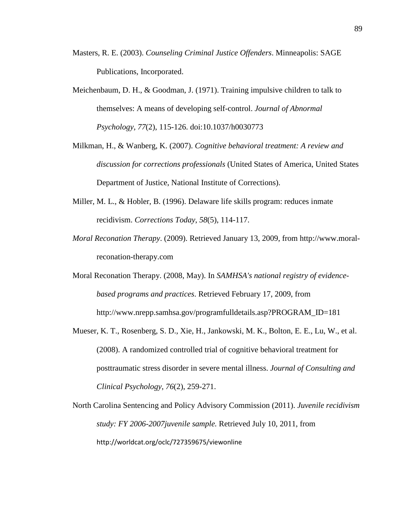- Masters, R. E. (2003). *Counseling Criminal Justice Offenders*. Minneapolis: SAGE Publications, Incorporated.
- Meichenbaum, D. H., & Goodman, J. (1971). Training impulsive children to talk to themselves: A means of developing self-control. *Journal of Abnormal Psychology, 77*(2), 115-126. doi:10.1037/h0030773
- Milkman, H., & Wanberg, K. (2007). *Cognitive behavioral treatment: A review and discussion for corrections professionals* (United States of America, United States Department of Justice, National Institute of Corrections).
- Miller, M. L., & Hobler, B. (1996). Delaware life skills program: reduces inmate recidivism. *Corrections Today*, *58*(5), 114-117.
- *Moral Reconation Therapy*. (2009). Retrieved January 13, 2009, from http://www.moralreconation-therapy.com
- Moral Reconation Therapy. (2008, May). In *SAMHSA's national registry of evidencebased programs and practices*. Retrieved February 17, 2009, from http://www.nrepp.samhsa.gov/programfulldetails.asp?PROGRAM\_ID=181
- Mueser, K. T., Rosenberg, S. D., Xie, H., Jankowski, M. K., Bolton, E. E., Lu, W., et al. (2008). A randomized controlled trial of cognitive behavioral treatment for posttraumatic stress disorder in severe mental illness. *Journal of Consulting and Clinical Psychology*, *76*(2), 259-271.
- North Carolina Sentencing and Policy Advisory Commission (2011). *Juvenile recidivism study: FY 2006-2007juvenile sample.* Retrieved July 10, 2011, from http://worldcat.org/oclc/727359675/viewonline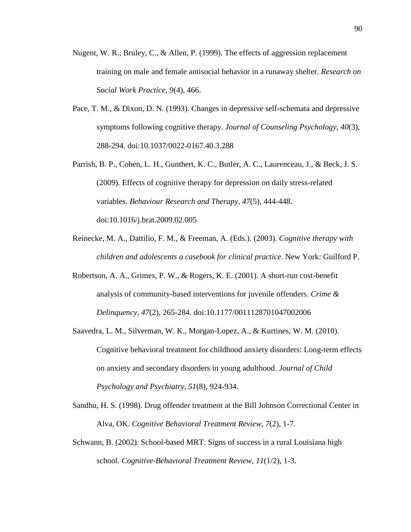- Nugent, W. R., Bruley, C., & Allen, P. (1999). The effects of aggression replacement training on male and female antisocial behavior in a runaway shelter. *Research on Social Work Practice, 9*(4), 466.
- Pace, T. M., & Dixon, D. N. (1993). Changes in depressive self-schemata and depressive symptoms following cognitive therapy. *Journal of Counseling Psychology, 40*(3), 288-294. doi:10.1037/0022-0167.40.3.288
- Parrish, B. P., Cohen, L. H., Gunthert, K. C., Butler, A. C., Laurenceau, J., & Beck, J. S. (2009). Effects of cognitive therapy for depression on daily stress-related variables. *Behaviour Research and Therapy, 47*(5), 444-448. doi:10.1016/j.brat.2009.02.005
- Reinecke, M. A., Dattilio, F. M., & Freeman, A. (Eds.). (2003). *Cognitive therapy with children and adolescents a casebook for clinical practice*. New York: Guilford P.
- Robertson, A. A., Grimes, P. W., & Rogers, K. E. (2001). A short-run cost-benefit analysis of community-based interventions for juvenile offenders. *Crime & Delinquency, 47*(2), 265-284. doi:10.1177/0011128701047002006
- Saavedra, L. M., Silverman, W. K., Morgan-Lopez, A., & Kurtines, W. M. (2010). Cognitive behavioral treatment for childhood anxiety disorders: Long-term effects on anxiety and secondary disorders in young adulthood. *Journal of Child Psychology and Psychiatry, 51*(8), 924-934.
- Sandhu, H. S. (1998). Drug offender treatment at the Bill Johnson Correctional Center in Alva, OK. *Cognitive Behavioral Treatment Review*, *7*(2), 1-7.
- Schwann, B. (2002). School-based MRT: Signs of success in a rural Louisiana high school. *Cognitive-Behavioral Treatment Review*, *11*(1/2), 1-3.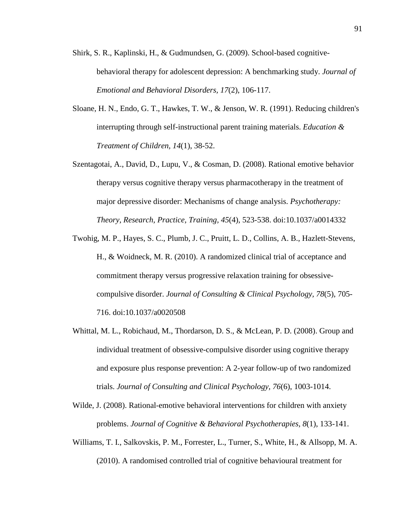- Shirk, S. R., Kaplinski, H., & Gudmundsen, G. (2009). School-based cognitivebehavioral therapy for adolescent depression: A benchmarking study. *Journal of Emotional and Behavioral Disorders, 17*(2), 106-117.
- Sloane, H. N., Endo, G. T., Hawkes, T. W., & Jenson, W. R. (1991). Reducing children's interrupting through self-instructional parent training materials. *Education & Treatment of Children, 14*(1), 38-52.
- Szentagotai, A., David, D., Lupu, V., & Cosman, D. (2008). Rational emotive behavior therapy versus cognitive therapy versus pharmacotherapy in the treatment of major depressive disorder: Mechanisms of change analysis. *Psychotherapy: Theory, Research, Practice, Training, 45*(4), 523-538. doi:10.1037/a0014332
- Twohig, M. P., Hayes, S. C., Plumb, J. C., Pruitt, L. D., Collins, A. B., Hazlett-Stevens, H., & Woidneck, M. R. (2010). A randomized clinical trial of acceptance and commitment therapy versus progressive relaxation training for obsessivecompulsive disorder. *Journal of Consulting & Clinical Psychology, 78*(5), 705- 716. doi:10.1037/a0020508
- Whittal, M. L., Robichaud, M., Thordarson, D. S., & McLean, P. D. (2008). Group and individual treatment of obsessive-compulsive disorder using cognitive therapy and exposure plus response prevention: A 2-year follow-up of two randomized trials. *Journal of Consulting and Clinical Psychology, 76*(6), 1003-1014.
- Wilde, J. (2008). Rational-emotive behavioral interventions for children with anxiety problems. *Journal of Cognitive & Behavioral Psychotherapies, 8*(1), 133-141.
- Williams, T. I., Salkovskis, P. M., Forrester, L., Turner, S., White, H., & Allsopp, M. A. (2010). A randomised controlled trial of cognitive behavioural treatment for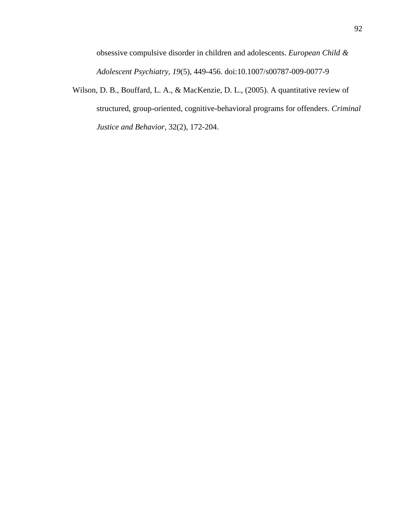obsessive compulsive disorder in children and adolescents. *European Child & Adolescent Psychiatry, 19*(5), 449-456. doi:10.1007/s00787-009-0077-9

Wilson, D. B., Bouffard, L. A., & MacKenzie, D. L., (2005). A quantitative review of structured, group-oriented, cognitive-behavioral programs for offenders. *Criminal Justice and Behavior,* 32(2), 172-204.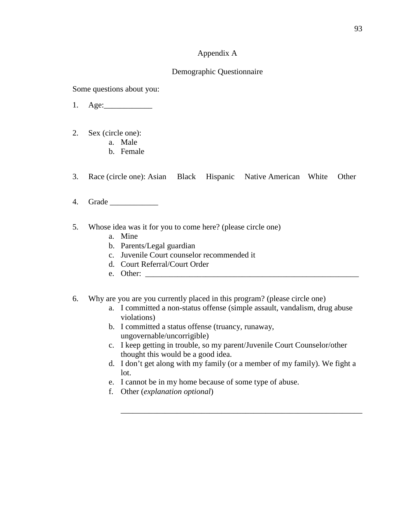## Appendix A

## Demographic Questionnaire

Some questions about you:

- 1. Age:\_\_\_\_\_\_\_\_\_\_\_\_
- 2. Sex (circle one):
	- a. Male
	- b. Female
- 3. Race (circle one): Asian Black Hispanic Native American White Other
- 4. Grade \_\_\_\_\_\_\_\_\_\_\_\_
- 5. Whose idea was it for you to come here? (please circle one)
	- a. Mine
	- b. Parents/Legal guardian
	- c. Juvenile Court counselor recommended it
	- d. Court Referral/Court Order
	- e. Other: \_\_\_\_\_\_\_\_\_\_\_\_\_\_\_\_\_\_\_\_\_\_\_\_\_\_\_\_\_\_\_\_\_\_\_\_\_\_\_\_\_\_\_\_\_\_\_\_\_\_\_\_\_
- 6. Why are you are you currently placed in this program? (please circle one)
	- a. I committed a non-status offense (simple assault, vandalism, drug abuse violations)
	- b. I committed a status offense (truancy, runaway, ungovernable/uncorrigible)
	- c. I keep getting in trouble, so my parent/Juvenile Court Counselor/other thought this would be a good idea.
	- d. I don't get along with my family (or a member of my family). We fight a lot.

\_\_\_\_\_\_\_\_\_\_\_\_\_\_\_\_\_\_\_\_\_\_\_\_\_\_\_\_\_\_\_\_\_\_\_\_\_\_\_\_\_\_\_\_\_\_\_\_\_\_\_\_\_\_\_\_\_\_\_\_

- e. I cannot be in my home because of some type of abuse.
- f. Other (*explanation optional*)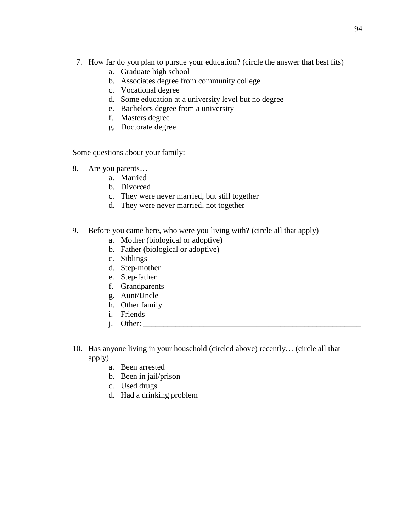- 7. How far do you plan to pursue your education? (circle the answer that best fits)
	- a. Graduate high school
	- b. Associates degree from community college
	- c. Vocational degree
	- d. Some education at a university level but no degree
	- e. Bachelors degree from a university
	- f. Masters degree
	- g. Doctorate degree

Some questions about your family:

- 8. Are you parents…
	- a. Married
	- b. Divorced
	- c. They were never married, but still together
	- d. They were never married, not together
- 9. Before you came here, who were you living with? (circle all that apply)
	- a. Mother (biological or adoptive)
	- b. Father (biological or adoptive)
	- c. Siblings
	- d. Step-mother
	- e. Step-father
	- f. Grandparents
	- g. Aunt/Uncle
	- h. Other family
	- i. Friends
	- i. Other:
- 10. Has anyone living in your household (circled above) recently… (circle all that apply)
	- a. Been arrested
	- b. Been in jail/prison
	- c. Used drugs
	- d. Had a drinking problem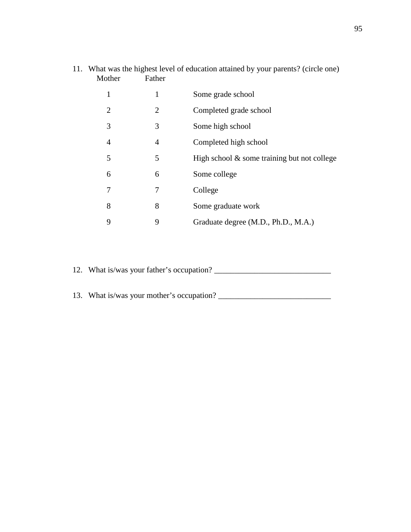| Mother         | Father         | 11. What was the highest level of education attained by your parents? (circle one) |
|----------------|----------------|------------------------------------------------------------------------------------|
| 1              | 1              | Some grade school                                                                  |
| 2              | 2              | Completed grade school                                                             |
| 3              | 3              | Some high school                                                                   |
| $\overline{4}$ | $\overline{4}$ | Completed high school                                                              |
| 5              | 5              | High school $\&$ some training but not college                                     |
| 6              | 6              | Some college                                                                       |
| 7              | 7              | College                                                                            |
| 8              | 8              | Some graduate work                                                                 |
| 9              | 9              | Graduate degree (M.D., Ph.D., M.A.)                                                |

12. What is/was your father's occupation? \_\_\_\_\_\_\_\_\_\_\_\_\_\_\_\_\_\_\_\_\_\_\_\_\_\_\_\_\_

13. What is/was your mother's occupation? \_\_\_\_\_\_\_\_\_\_\_\_\_\_\_\_\_\_\_\_\_\_\_\_\_\_\_\_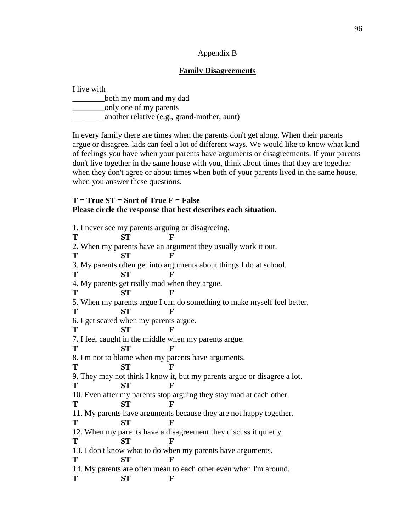## Appendix B

## **Family Disagreements**

| I live with                                 |
|---------------------------------------------|
| both my mom and my dad                      |
| only one of my parents                      |
| another relative (e.g., grand-mother, aunt) |

In every family there are times when the parents don't get along. When their parents argue or disagree, kids can feel a lot of different ways. We would like to know what kind of feelings you have when your parents have arguments or disagreements. If your parents don't live together in the same house with you, think about times that they are together when they don't agree or about times when both of your parents lived in the same house, when you answer these questions.

## **T = True ST = Sort of True F = False Please circle the response that best describes each situation.**

| 1. I never see my parents arguing or disagreeing.                        |           |                                                       |  |  |  |
|--------------------------------------------------------------------------|-----------|-------------------------------------------------------|--|--|--|
| T                                                                        | <b>ST</b> | F                                                     |  |  |  |
| 2. When my parents have an argument they usually work it out.            |           |                                                       |  |  |  |
| Т                                                                        | <b>ST</b> | F                                                     |  |  |  |
| 3. My parents often get into arguments about things I do at school.      |           |                                                       |  |  |  |
| T                                                                        | <b>ST</b> | F                                                     |  |  |  |
| 4. My parents get really mad when they argue.                            |           |                                                       |  |  |  |
| Т                                                                        | <b>ST</b> | F                                                     |  |  |  |
| 5. When my parents argue I can do something to make myself feel better.  |           |                                                       |  |  |  |
| Т                                                                        | ST        | $\mathbf F$                                           |  |  |  |
| 6. I get scared when my parents argue.                                   |           |                                                       |  |  |  |
| T                                                                        | <b>ST</b> | $\mathbf{F}$                                          |  |  |  |
|                                                                          |           | 7. I feel caught in the middle when my parents argue. |  |  |  |
| Т                                                                        | <b>ST</b> | F                                                     |  |  |  |
|                                                                          |           | 8. I'm not to blame when my parents have arguments.   |  |  |  |
| T                                                                        | <b>ST</b> | F                                                     |  |  |  |
| 9. They may not think I know it, but my parents argue or disagree a lot. |           |                                                       |  |  |  |
| T                                                                        | <b>ST</b> | F                                                     |  |  |  |
| 10. Even after my parents stop arguing they stay mad at each other.      |           |                                                       |  |  |  |
| т                                                                        | <b>ST</b> | F                                                     |  |  |  |
| 11. My parents have arguments because they are not happy together.       |           |                                                       |  |  |  |
| T                                                                        | <b>ST</b> | F                                                     |  |  |  |
| 12. When my parents have a disagreement they discuss it quietly.         |           |                                                       |  |  |  |
| T                                                                        | <b>ST</b> | F                                                     |  |  |  |
| 13. I don't know what to do when my parents have arguments.              |           |                                                       |  |  |  |
| T                                                                        | <b>ST</b> | F                                                     |  |  |  |
| 14. My parents are often mean to each other even when I'm around.        |           |                                                       |  |  |  |
| T                                                                        | <b>ST</b> | F                                                     |  |  |  |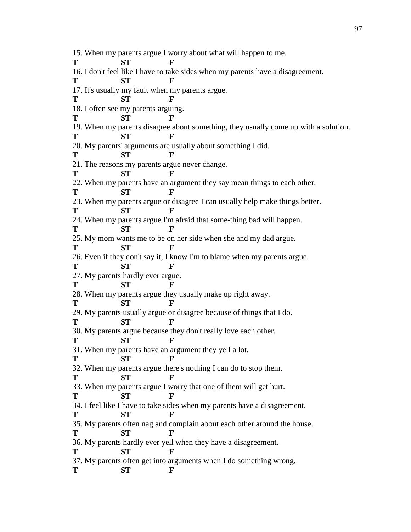15. When my parents argue I worry about what will happen to me. **T ST F** 16. I don't feel like I have to take sides when my parents have a disagreement. **T ST F** 17. It's usually my fault when my parents argue. **T ST F** 18. I often see my parents arguing. **T ST F** 19. When my parents disagree about something, they usually come up with a solution. **T ST F** 20. My parents' arguments are usually about something I did. **T ST F** 21. The reasons my parents argue never change. **T ST F** 22. When my parents have an argument they say mean things to each other. **T ST F** 23. When my parents argue or disagree I can usually help make things better. **T ST F** 24. When my parents argue I'm afraid that some-thing bad will happen. **T ST F** 25. My mom wants me to be on her side when she and my dad argue. **T ST F** 26. Even if they don't say it, I know I'm to blame when my parents argue. **T ST F** 27. My parents hardly ever argue. **T ST F** 28. When my parents argue they usually make up right away. **T ST F** 29. My parents usually argue or disagree because of things that I do. **T ST F** 30. My parents argue because they don't really love each other. **T ST F** 31. When my parents have an argument they yell a lot. **T ST F** 32. When my parents argue there's nothing I can do to stop them. **T ST F** 33. When my parents argue I worry that one of them will get hurt. **T ST F** 34. I feel like I have to take sides when my parents have a disagreement. **T ST F** 35. My parents often nag and complain about each other around the house. **T ST F** 36. My parents hardly ever yell when they have a disagreement. **T ST F** 37. My parents often get into arguments when I do something wrong. **T ST F**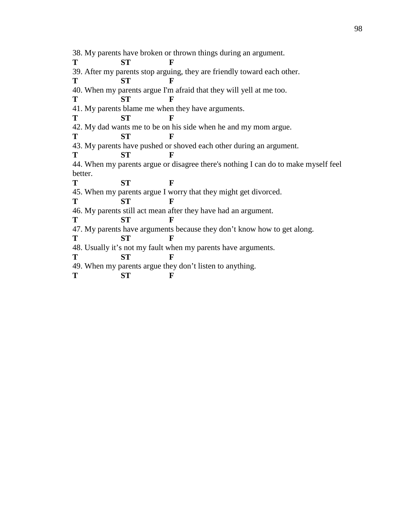38. My parents have broken or thrown things during an argument. **T ST F** 39. After my parents stop arguing, they are friendly toward each other. **T ST F** 40. When my parents argue I'm afraid that they will yell at me too. **T ST F** 41. My parents blame me when they have arguments. **T ST F** 42. My dad wants me to be on his side when he and my mom argue. **T ST F** 43. My parents have pushed or shoved each other during an argument. **T ST F** 44. When my parents argue or disagree there's nothing I can do to make myself feel better. **T ST F** 45. When my parents argue I worry that they might get divorced. **T ST F** 46. My parents still act mean after they have had an argument. **T ST F** 47. My parents have arguments because they don't know how to get along. **T ST F** 48. Usually it's not my fault when my parents have arguments. **T ST F** 49. When my parents argue they don't listen to anything. **T ST F**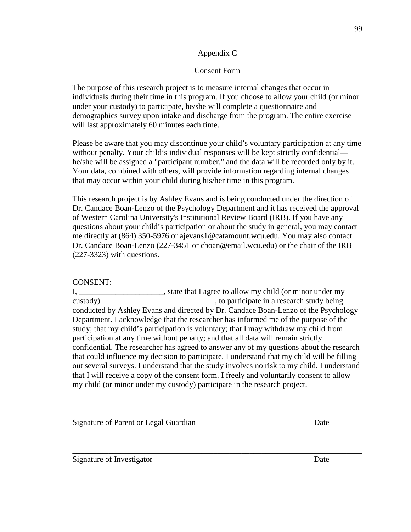## Appendix C

# Consent Form

The purpose of this research project is to measure internal changes that occur in individuals during their time in this program. If you choose to allow your child (or minor under your custody) to participate, he/she will complete a questionnaire and demographics survey upon intake and discharge from the program. The entire exercise will last approximately 60 minutes each time.

Please be aware that you may discontinue your child's voluntary participation at any time without penalty. Your child's individual responses will be kept strictly confidential he/she will be assigned a "participant number," and the data will be recorded only by it. Your data, combined with others, will provide information regarding internal changes that may occur within your child during his/her time in this program.

This research project is by Ashley Evans and is being conducted under the direction of Dr. Candace Boan-Lenzo of the Psychology Department and it has received the approval of Western Carolina University's Institutional Review Board (IRB). If you have any questions about your child's participation or about the study in general, you may contact me directly at (864) 350-5976 or ajevans1@catamount.wcu.edu. You may also contact Dr. Candace Boan-Lenzo (227-3451 or cboan@email.wcu.edu) or the chair of the IRB (227-3323) with questions.

# CONSENT:

I, \_\_\_\_\_\_\_\_\_\_\_\_\_\_\_\_\_\_\_\_\_, state that I agree to allow my child (or minor under my custody) \_\_\_\_\_\_\_\_\_\_\_\_\_\_\_\_\_\_\_\_\_\_\_\_\_\_\_\_, to participate in a research study being conducted by Ashley Evans and directed by Dr. Candace Boan-Lenzo of the Psychology Department. I acknowledge that the researcher has informed me of the purpose of the study; that my child's participation is voluntary; that I may withdraw my child from participation at any time without penalty; and that all data will remain strictly confidential. The researcher has agreed to answer any of my questions about the research that could influence my decision to participate. I understand that my child will be filling out several surveys. I understand that the study involves no risk to my child. I understand that I will receive a copy of the consent form. I freely and voluntarily consent to allow my child (or minor under my custody) participate in the research project.

Signature of Parent or Legal Guardian Date

Signature of Investigator Date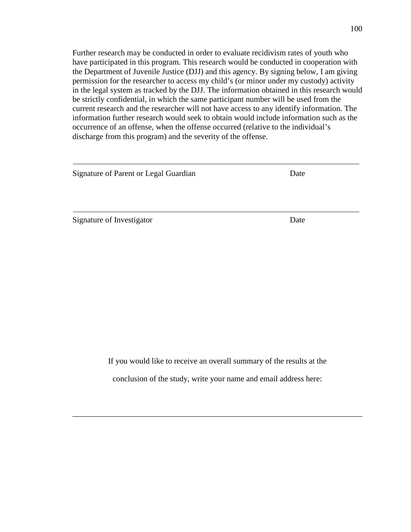Further research may be conducted in order to evaluate recidivism rates of youth who have participated in this program. This research would be conducted in cooperation with the Department of Juvenile Justice (DJJ) and this agency. By signing below, I am giving permission for the researcher to access my child's (or minor under my custody) activity in the legal system as tracked by the DJJ. The information obtained in this research would be strictly confidential, in which the same participant number will be used from the current research and the researcher will not have access to any identify information. The information further research would seek to obtain would include information such as the occurrence of an offense, when the offense occurred (relative to the individual's discharge from this program) and the severity of the offense.

| Signature of Parent or Legal Guardian | Date |
|---------------------------------------|------|
|                                       |      |
|                                       |      |
| Signature of Investigator             | Date |

If you would like to receive an overall summary of the results at the

conclusion of the study, write your name and email address here:

\_\_\_\_\_\_\_\_\_\_\_\_\_\_\_\_\_\_\_\_\_\_\_\_\_\_\_\_\_\_\_\_\_\_\_\_\_\_\_\_\_\_\_\_\_\_\_\_\_\_\_\_\_\_\_\_\_\_\_\_\_\_\_\_\_\_\_\_\_\_\_\_